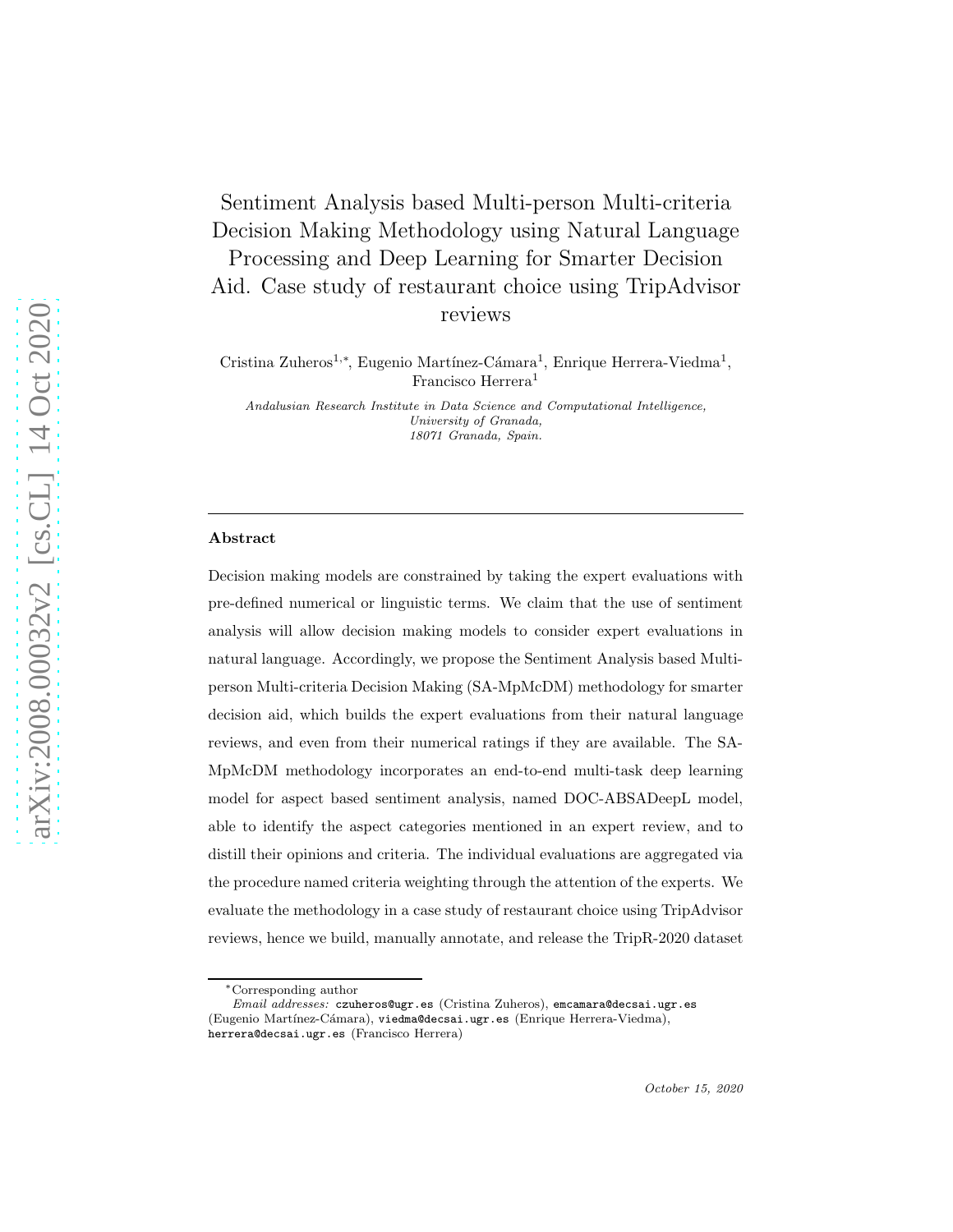# Sentiment Analysis based Multi-person Multi-criteria Decision Making Methodology using Natural Language Processing and Deep Learning for Smarter Decision Aid. Case study of restaurant choice using TripAdvisor reviews

Cristina Zuheros<sup>1,∗</sup>, Eugenio Martínez-Cámara<sup>1</sup>, Enrique Herrera-Viedma<sup>1</sup>, Francisco Herrera<sup>1</sup>

*Andalusian Research Institute in Data Science and Computational Intelligence, University of Granada, 18071 Granada, Spain.*

## Abstract

Decision making models are constrained by taking the expert evaluations with pre-defined numerical or linguistic terms. We claim that the use of sentiment analysis will allow decision making models to consider expert evaluations in natural language. Accordingly, we propose the Sentiment Analysis based Multiperson Multi-criteria Decision Making (SA-MpMcDM) methodology for smarter decision aid, which builds the expert evaluations from their natural language reviews, and even from their numerical ratings if they are available. The SA-MpMcDM methodology incorporates an end-to-end multi-task deep learning model for aspect based sentiment analysis, named DOC-ABSADeepL model, able to identify the aspect categories mentioned in an expert review, and to distill their opinions and criteria. The individual evaluations are aggregated via the procedure named criteria weighting through the attention of the experts. We evaluate the methodology in a case study of restaurant choice using TripAdvisor reviews, hence we build, manually annotate, and release the TripR-2020 dataset

<sup>∗</sup>Corresponding author

*Email addresses:* czuheros@ugr.es (Cristina Zuheros), emcamara@decsai.ugr.es (Eugenio Martínez-Cámara), viedma@decsai.ugr.es (Enrique Herrera-Viedma), herrera@decsai.ugr.es (Francisco Herrera)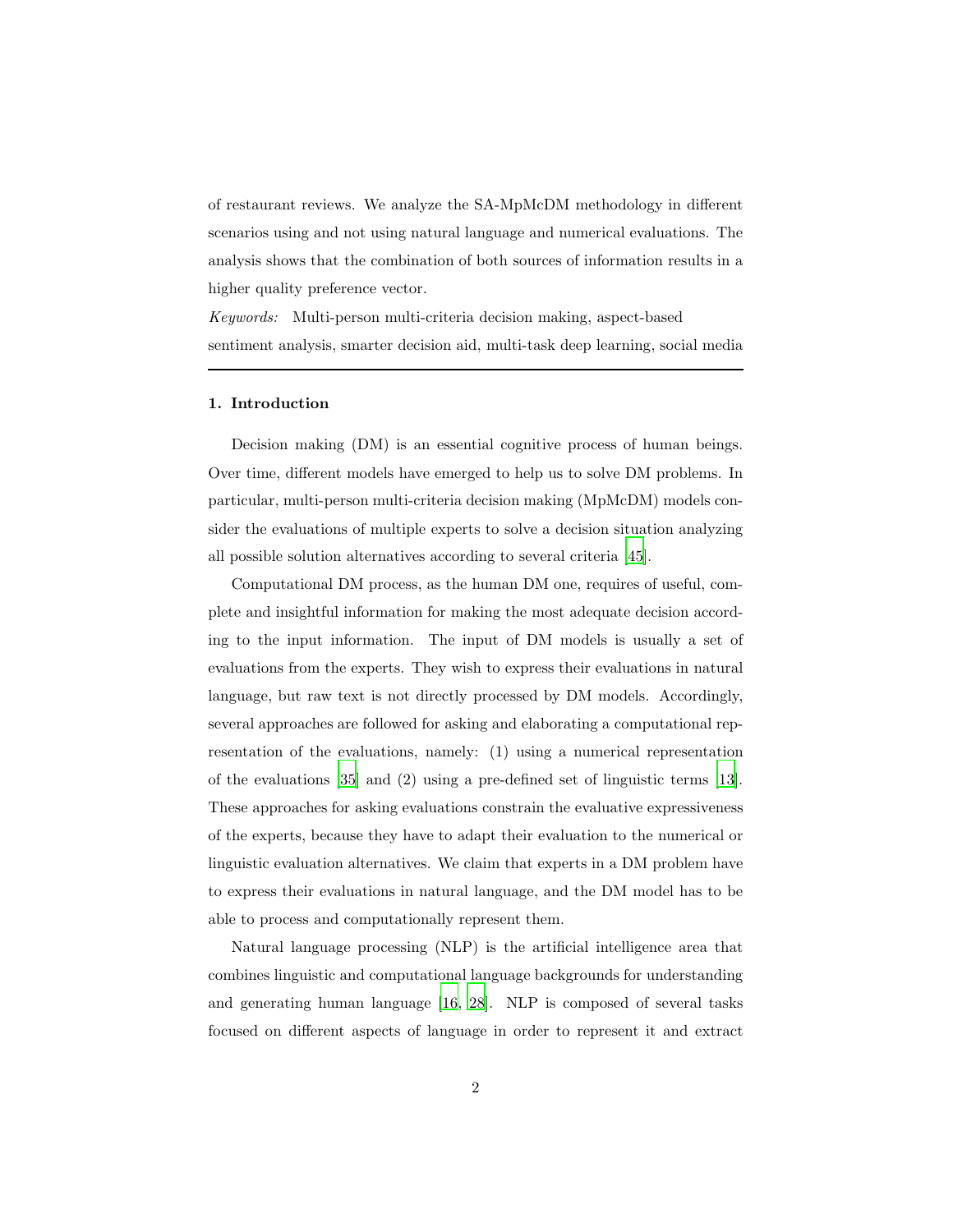of restaurant reviews. We analyze the SA-MpMcDM methodology in different scenarios using and not using natural language and numerical evaluations. The analysis shows that the combination of both sources of information results in a higher quality preference vector.

*Keywords:* Multi-person multi-criteria decision making, aspect-based sentiment analysis, smarter decision aid, multi-task deep learning, social media

## 1. Introduction

Decision making (DM) is an essential cognitive process of human beings. Over time, different models have emerged to help us to solve DM problems. In particular, multi-person multi-criteria decision making (MpMcDM) models consider the evaluations of multiple experts to solve a decision situation analyzing all possible solution alternatives according to several criteria [\[45\]](#page-43-0).

Computational DM process, as the human DM one, requires of useful, complete and insightful information for making the most adequate decision according to the input information. The input of DM models is usually a set of evaluations from the experts. They wish to express their evaluations in natural language, but raw text is not directly processed by DM models. Accordingly, several approaches are followed for asking and elaborating a computational representation of the evaluations, namely: (1) using a numerical representation of the evaluations [\[35\]](#page-42-0) and (2) using a pre-defined set of linguistic terms [\[13\]](#page-40-0). These approaches for asking evaluations constrain the evaluative expressiveness of the experts, because they have to adapt their evaluation to the numerical or linguistic evaluation alternatives. We claim that experts in a DM problem have to express their evaluations in natural language, and the DM model has to be able to process and computationally represent them.

Natural language processing (NLP) is the artificial intelligence area that combines linguistic and computational language backgrounds for understanding and generating human language [\[16](#page-40-1), [28\]](#page-42-1). NLP is composed of several tasks focused on different aspects of language in order to represent it and extract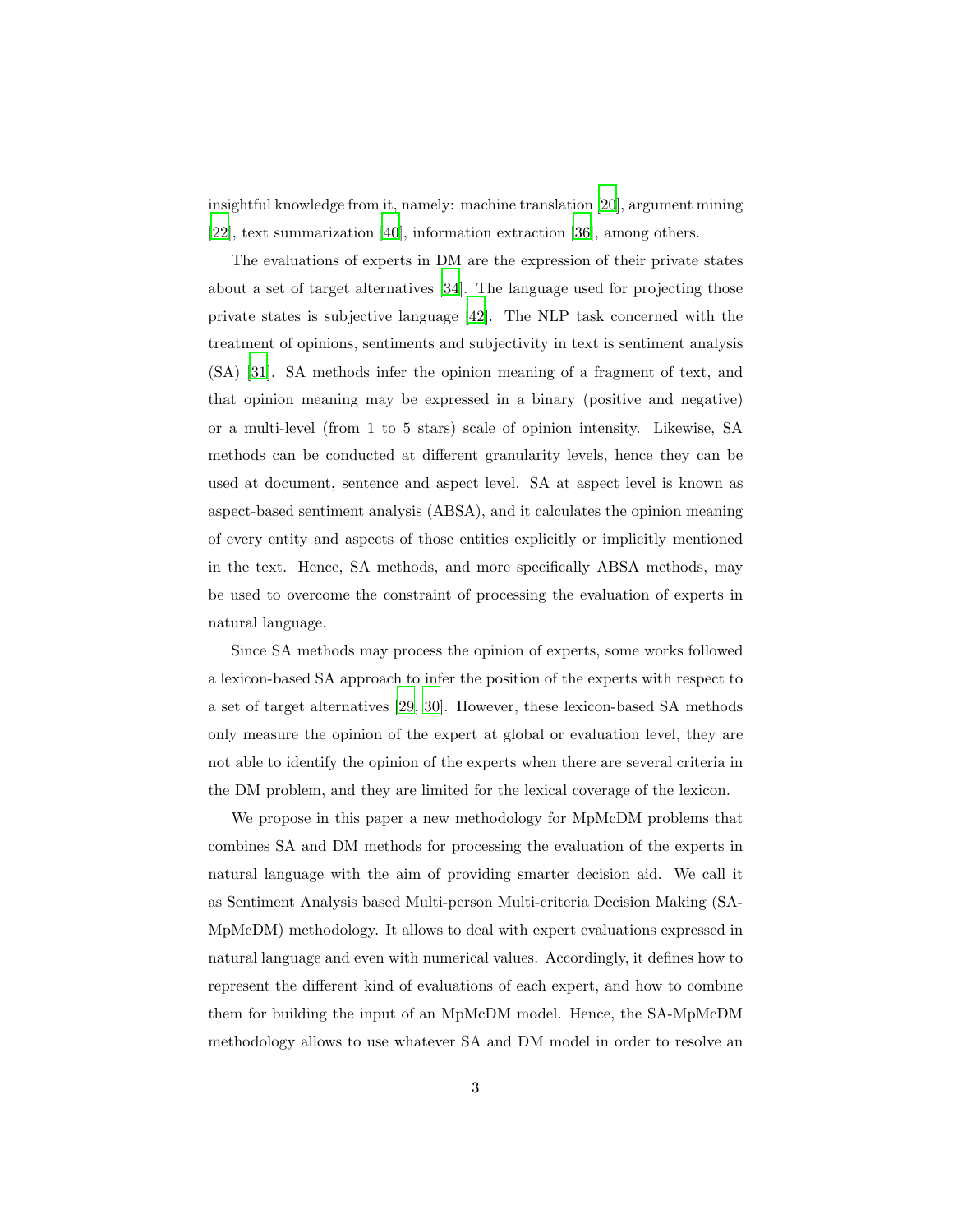insightful knowledge from it, namely: machine translation [\[20\]](#page-41-0), argument mining [\[22\]](#page-41-1), text summarization [\[40\]](#page-43-1), information extraction [\[36](#page-42-2)], among others.

The evaluations of experts in DM are the expression of their private states about a set of target alternatives [\[34](#page-42-3)]. The language used for projecting those private states is subjective language [\[42\]](#page-43-2). The NLP task concerned with the treatment of opinions, sentiments and subjectivity in text is sentiment analysis (SA) [\[31](#page-42-4)]. SA methods infer the opinion meaning of a fragment of text, and that opinion meaning may be expressed in a binary (positive and negative) or a multi-level (from 1 to 5 stars) scale of opinion intensity. Likewise, SA methods can be conducted at different granularity levels, hence they can be used at document, sentence and aspect level. SA at aspect level is known as aspect-based sentiment analysis (ABSA), and it calculates the opinion meaning of every entity and aspects of those entities explicitly or implicitly mentioned in the text. Hence, SA methods, and more specifically ABSA methods, may be used to overcome the constraint of processing the evaluation of experts in natural language.

Since SA methods may process the opinion of experts, some works followed a lexicon-based SA approach to infer the position of the experts with respect to a set of target alternatives [\[29](#page-42-5), [30\]](#page-42-6). However, these lexicon-based SA methods only measure the opinion of the expert at global or evaluation level, they are not able to identify the opinion of the experts when there are several criteria in the DM problem, and they are limited for the lexical coverage of the lexicon.

We propose in this paper a new methodology for MpMcDM problems that combines SA and DM methods for processing the evaluation of the experts in natural language with the aim of providing smarter decision aid. We call it as Sentiment Analysis based Multi-person Multi-criteria Decision Making (SA-MpMcDM) methodology. It allows to deal with expert evaluations expressed in natural language and even with numerical values. Accordingly, it defines how to represent the different kind of evaluations of each expert, and how to combine them for building the input of an MpMcDM model. Hence, the SA-MpMcDM methodology allows to use whatever SA and DM model in order to resolve an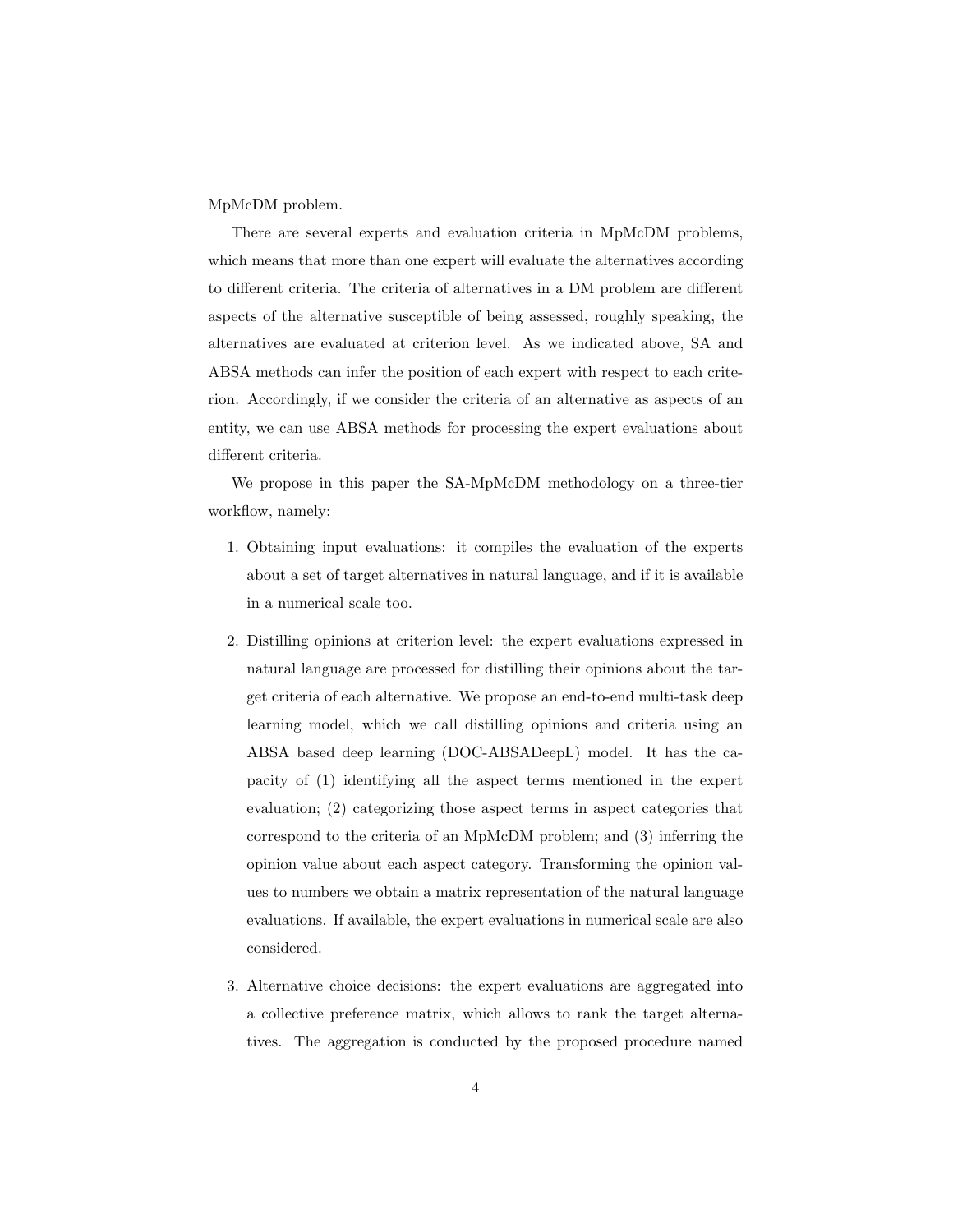MpMcDM problem.

There are several experts and evaluation criteria in MpMcDM problems, which means that more than one expert will evaluate the alternatives according to different criteria. The criteria of alternatives in a DM problem are different aspects of the alternative susceptible of being assessed, roughly speaking, the alternatives are evaluated at criterion level. As we indicated above, SA and ABSA methods can infer the position of each expert with respect to each criterion. Accordingly, if we consider the criteria of an alternative as aspects of an entity, we can use ABSA methods for processing the expert evaluations about different criteria.

We propose in this paper the SA-MpMcDM methodology on a three-tier workflow, namely:

- 1. Obtaining input evaluations: it compiles the evaluation of the experts about a set of target alternatives in natural language, and if it is available in a numerical scale too.
- 2. Distilling opinions at criterion level: the expert evaluations expressed in natural language are processed for distilling their opinions about the target criteria of each alternative. We propose an end-to-end multi-task deep learning model, which we call distilling opinions and criteria using an ABSA based deep learning (DOC-ABSADeepL) model. It has the capacity of (1) identifying all the aspect terms mentioned in the expert evaluation; (2) categorizing those aspect terms in aspect categories that correspond to the criteria of an MpMcDM problem; and (3) inferring the opinion value about each aspect category. Transforming the opinion values to numbers we obtain a matrix representation of the natural language evaluations. If available, the expert evaluations in numerical scale are also considered.
- 3. Alternative choice decisions: the expert evaluations are aggregated into a collective preference matrix, which allows to rank the target alternatives. The aggregation is conducted by the proposed procedure named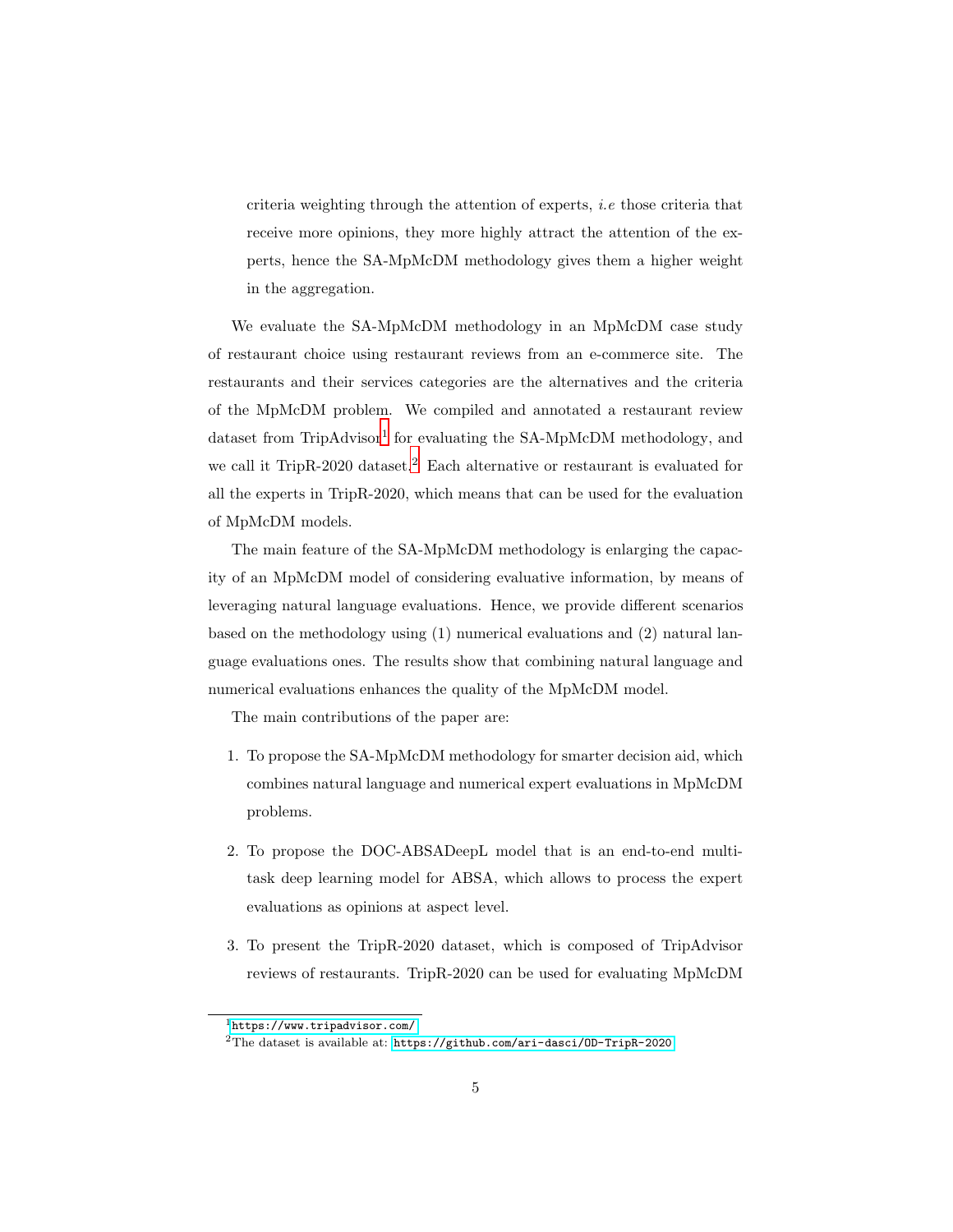criteria weighting through the attention of experts, *i.e* those criteria that receive more opinions, they more highly attract the attention of the experts, hence the SA-MpMcDM methodology gives them a higher weight in the aggregation.

We evaluate the SA-MpMcDM methodology in an MpMcDM case study of restaurant choice using restaurant reviews from an e-commerce site. The restaurants and their services categories are the alternatives and the criteria of the MpMcDM problem. We compiled and annotated a restaurant review dataset from TripAdvisor<sup>[1](#page-4-0)</sup> for evaluating the SA-MpMcDM methodology, and we call it TripR-[2](#page-4-1)020 dataset.<sup>2</sup> Each alternative or restaurant is evaluated for all the experts in TripR-2020, which means that can be used for the evaluation of MpMcDM models.

The main feature of the SA-MpMcDM methodology is enlarging the capacity of an MpMcDM model of considering evaluative information, by means of leveraging natural language evaluations. Hence, we provide different scenarios based on the methodology using (1) numerical evaluations and (2) natural language evaluations ones. The results show that combining natural language and numerical evaluations enhances the quality of the MpMcDM model.

The main contributions of the paper are:

- 1. To propose the SA-MpMcDM methodology for smarter decision aid, which combines natural language and numerical expert evaluations in MpMcDM problems.
- 2. To propose the DOC-ABSADeepL model that is an end-to-end multitask deep learning model for ABSA, which allows to process the expert evaluations as opinions at aspect level.
- 3. To present the TripR-2020 dataset, which is composed of TripAdvisor reviews of restaurants. TripR-2020 can be used for evaluating MpMcDM

<sup>1</sup><https://www.tripadvisor.com/>

<span id="page-4-1"></span><span id="page-4-0"></span><sup>2</sup>The dataset is available at: <https://github.com/ari-dasci/OD-TripR-2020>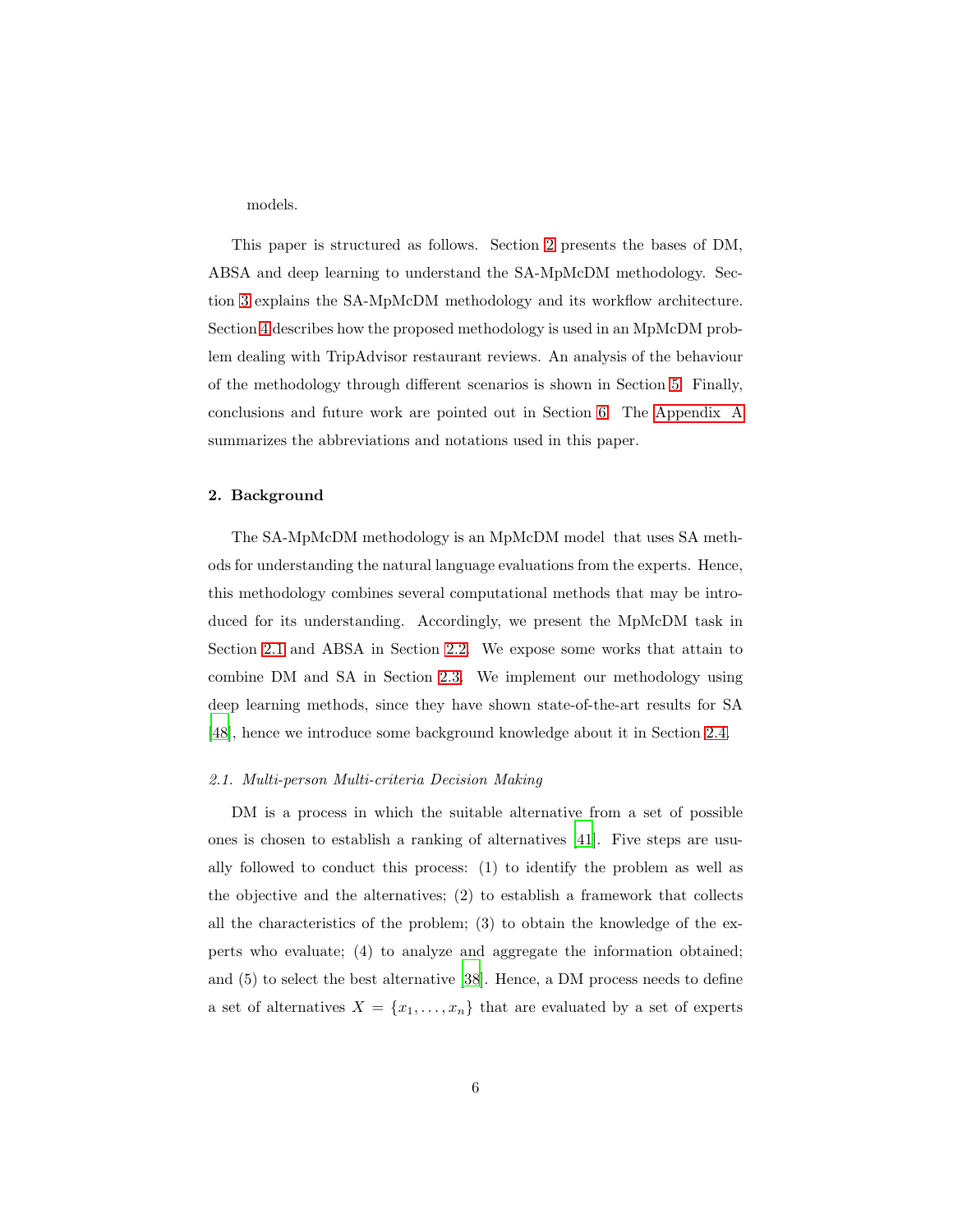models.

This paper is structured as follows. Section [2](#page-5-0) presents the bases of DM, ABSA and deep learning to understand the SA-MpMcDM methodology. Section [3](#page-10-0) explains the SA-MpMcDM methodology and its workflow architecture. Section [4](#page-20-0) describes how the proposed methodology is used in an MpMcDM problem dealing with TripAdvisor restaurant reviews. An analysis of the behaviour of the methodology through different scenarios is shown in Section [5.](#page-31-0) Finally, conclusions and future work are pointed out in Section [6.](#page-37-0) The [Appendix A](#page-45-0) summarizes the abbreviations and notations used in this paper.

## <span id="page-5-0"></span>2. Background

The SA-MpMcDM methodology is an MpMcDM model that uses SA methods for understanding the natural language evaluations from the experts. Hence, this methodology combines several computational methods that may be introduced for its understanding. Accordingly, we present the MpMcDM task in Section [2.1](#page-5-1) and ABSA in Section [2.2.](#page-6-0) We expose some works that attain to combine DM and SA in Section [2.3.](#page-7-0) We implement our methodology using deep learning methods, since they have shown state-of-the-art results for SA [\[48\]](#page-44-0), hence we introduce some background knowledge about it in Section [2.4.](#page-8-0)

#### <span id="page-5-1"></span>*2.1. Multi-person Multi-criteria Decision Making*

DM is a process in which the suitable alternative from a set of possible ones is chosen to establish a ranking of alternatives [\[41\]](#page-43-3). Five steps are usually followed to conduct this process: (1) to identify the problem as well as the objective and the alternatives; (2) to establish a framework that collects all the characteristics of the problem; (3) to obtain the knowledge of the experts who evaluate; (4) to analyze and aggregate the information obtained; and (5) to select the best alternative [\[38\]](#page-43-4). Hence, a DM process needs to define a set of alternatives  $X = \{x_1, \ldots, x_n\}$  that are evaluated by a set of experts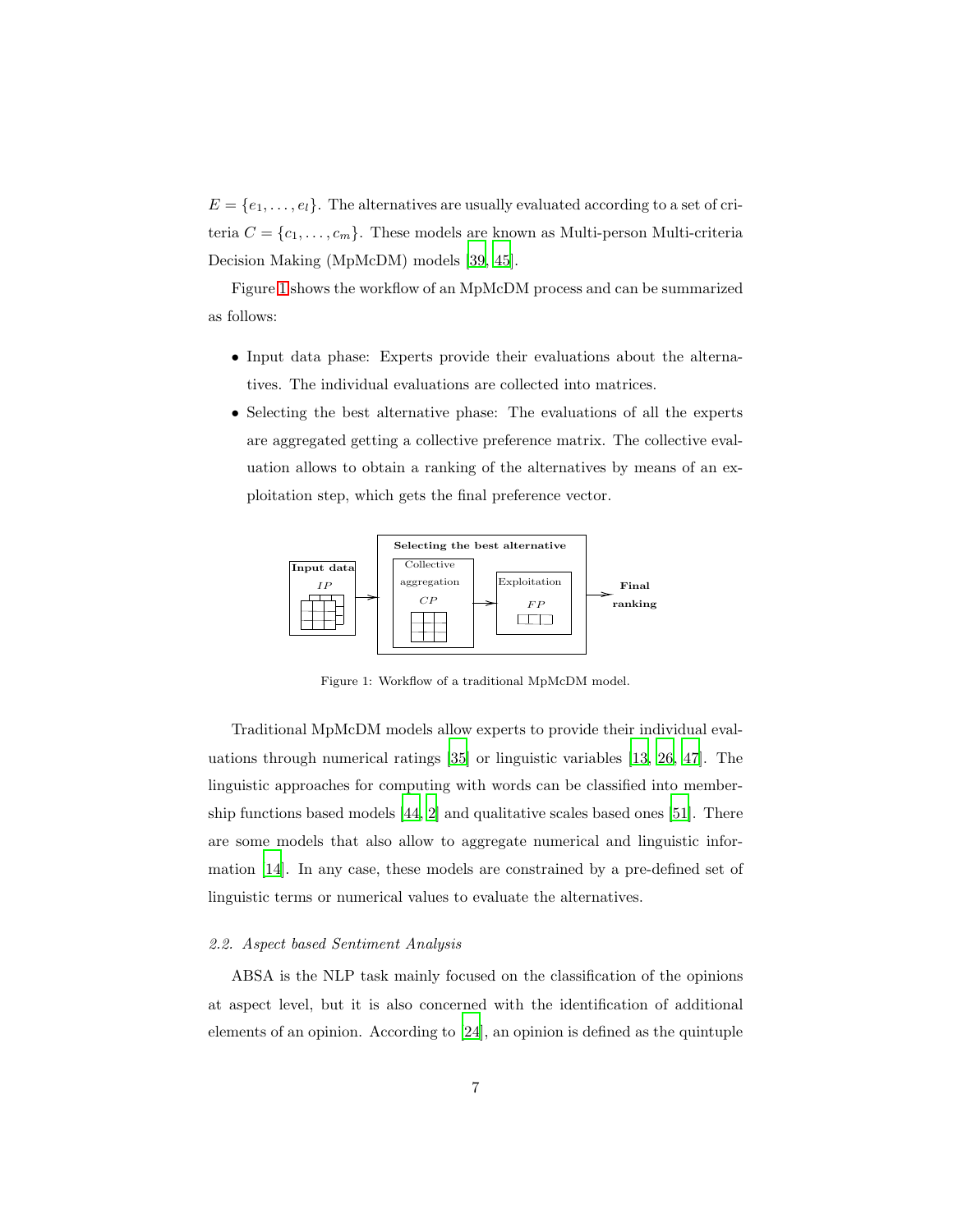$E = \{e_1, \ldots, e_l\}$ . The alternatives are usually evaluated according to a set of criteria  $C = \{c_1, \ldots, c_m\}$ . These models are known as Multi-person Multi-criteria Decision Making (MpMcDM) models [\[39,](#page-43-5) [45\]](#page-43-0).

Figure [1](#page-6-1) shows the workflow of an MpMcDM process and can be summarized as follows:

- Input data phase: Experts provide their evaluations about the alternatives. The individual evaluations are collected into matrices.
- Selecting the best alternative phase: The evaluations of all the experts are aggregated getting a collective preference matrix. The collective evaluation allows to obtain a ranking of the alternatives by means of an exploitation step, which gets the final preference vector.

<span id="page-6-1"></span>

Figure 1: Workflow of a traditional MpMcDM model.

Traditional MpMcDM models allow experts to provide their individual evaluations through numerical ratings [\[35\]](#page-42-0) or linguistic variables [\[13](#page-40-0), [26,](#page-41-2) [47](#page-43-6)]. The linguistic approaches for computing with words can be classified into membership functions based models [\[44,](#page-43-7) [2](#page-39-0)] and qualitative scales based ones [\[51](#page-44-1)]. There are some models that also allow to aggregate numerical and linguistic information [\[14\]](#page-40-2). In any case, these models are constrained by a pre-defined set of linguistic terms or numerical values to evaluate the alternatives.

#### <span id="page-6-0"></span>*2.2. Aspect based Sentiment Analysis*

ABSA is the NLP task mainly focused on the classification of the opinions at aspect level, but it is also concerned with the identification of additional elements of an opinion. According to [\[24\]](#page-41-3), an opinion is defined as the quintuple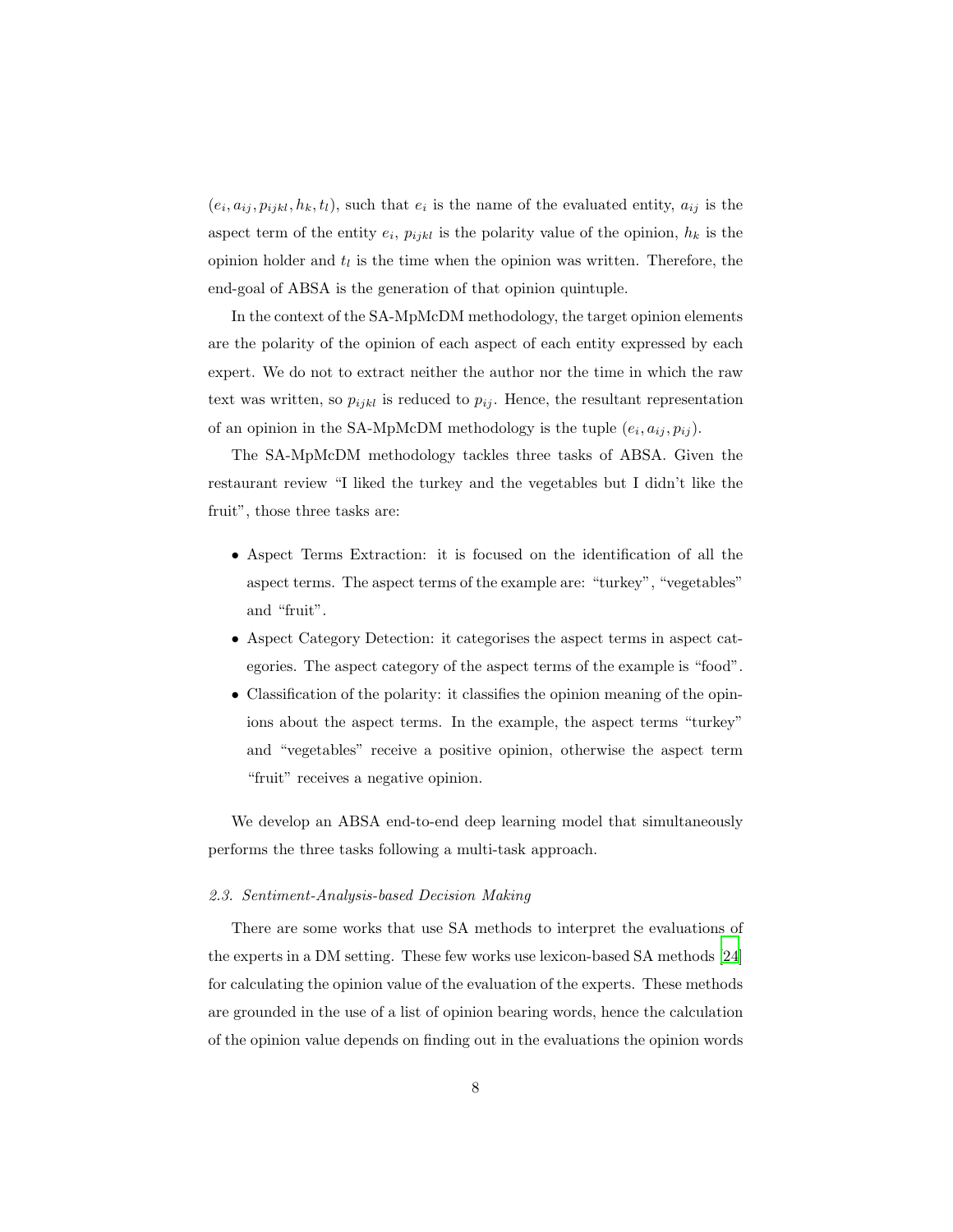$(e_i, a_{ij}, p_{ijkl}, h_k, t_l)$ , such that  $e_i$  is the name of the evaluated entity,  $a_{ij}$  is the aspect term of the entity  $e_i$ ,  $p_{ijkl}$  is the polarity value of the opinion,  $h_k$  is the opinion holder and  $t_l$  is the time when the opinion was written. Therefore, the end-goal of ABSA is the generation of that opinion quintuple.

In the context of the SA-MpMcDM methodology, the target opinion elements are the polarity of the opinion of each aspect of each entity expressed by each expert. We do not to extract neither the author nor the time in which the raw text was written, so  $p_{ijkl}$  is reduced to  $p_{ij}$ . Hence, the resultant representation of an opinion in the SA-MpMcDM methodology is the tuple  $(e_i, a_{ij}, p_{ij})$ .

The SA-MpMcDM methodology tackles three tasks of ABSA. Given the restaurant review "I liked the turkey and the vegetables but I didn't like the fruit", those three tasks are:

- Aspect Terms Extraction: it is focused on the identification of all the aspect terms. The aspect terms of the example are: "turkey", "vegetables" and "fruit".
- Aspect Category Detection: it categorises the aspect terms in aspect categories. The aspect category of the aspect terms of the example is "food".
- Classification of the polarity: it classifies the opinion meaning of the opinions about the aspect terms. In the example, the aspect terms "turkey" and "vegetables" receive a positive opinion, otherwise the aspect term "fruit" receives a negative opinion.

We develop an ABSA end-to-end deep learning model that simultaneously performs the three tasks following a multi-task approach.

## <span id="page-7-0"></span>*2.3. Sentiment-Analysis-based Decision Making*

There are some works that use SA methods to interpret the evaluations of the experts in a DM setting. These few works use lexicon-based SA methods [\[24\]](#page-41-3) for calculating the opinion value of the evaluation of the experts. These methods are grounded in the use of a list of opinion bearing words, hence the calculation of the opinion value depends on finding out in the evaluations the opinion words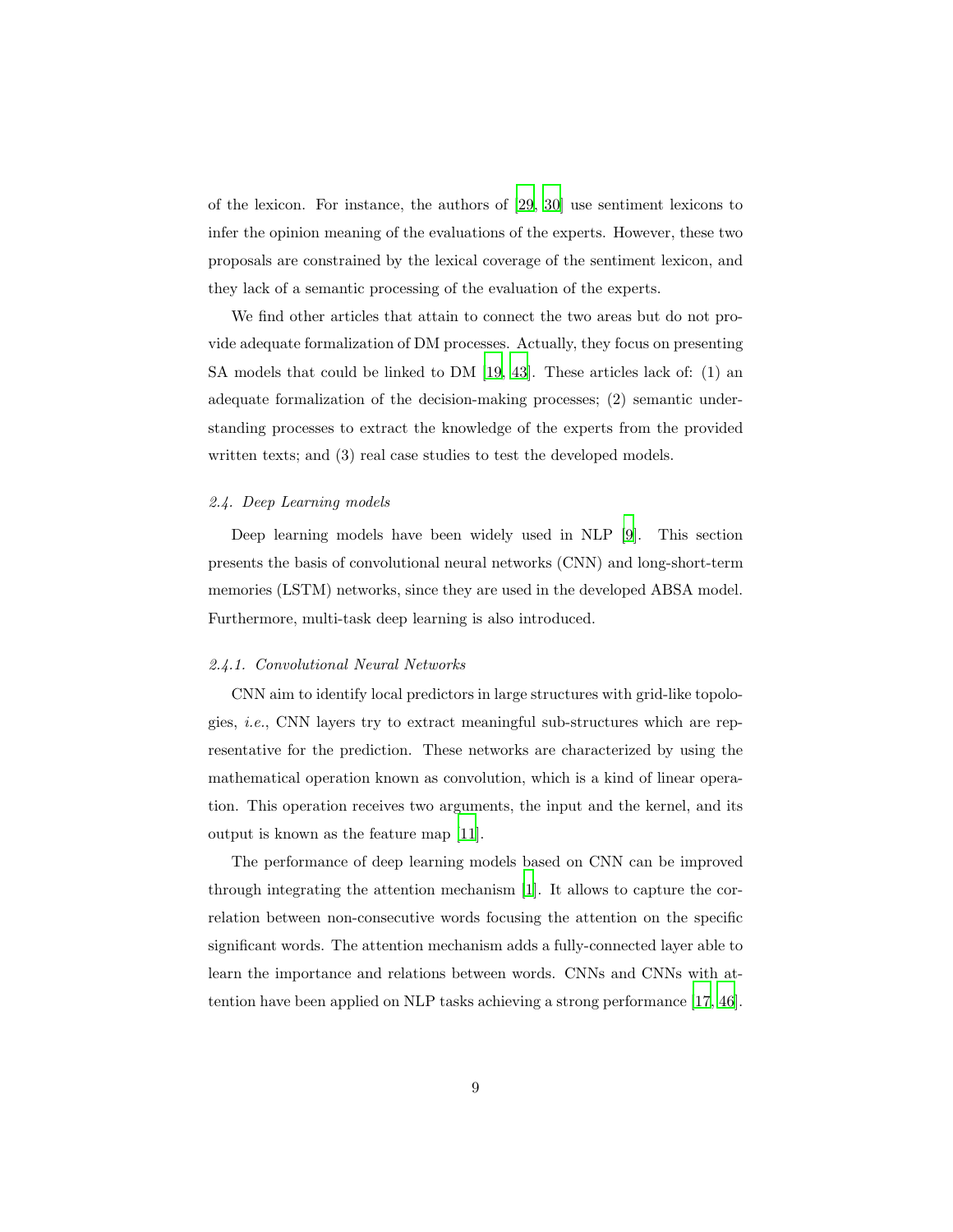of the lexicon. For instance, the authors of [\[29](#page-42-5), [30\]](#page-42-6) use sentiment lexicons to infer the opinion meaning of the evaluations of the experts. However, these two proposals are constrained by the lexical coverage of the sentiment lexicon, and they lack of a semantic processing of the evaluation of the experts.

We find other articles that attain to connect the two areas but do not provide adequate formalization of DM processes. Actually, they focus on presenting SA models that could be linked to DM [\[19,](#page-41-4) [43\]](#page-43-8). These articles lack of: (1) an adequate formalization of the decision-making processes; (2) semantic understanding processes to extract the knowledge of the experts from the provided written texts; and (3) real case studies to test the developed models.

## <span id="page-8-0"></span>*2.4. Deep Learning models*

Deep learning models have been widely used in NLP [\[9](#page-39-1)]. This section presents the basis of convolutional neural networks (CNN) and long-short-term memories (LSTM) networks, since they are used in the developed ABSA model. Furthermore, multi-task deep learning is also introduced.

## *2.4.1. Convolutional Neural Networks*

CNN aim to identify local predictors in large structures with grid-like topologies, *i.e.*, CNN layers try to extract meaningful sub-structures which are representative for the prediction. These networks are characterized by using the mathematical operation known as convolution, which is a kind of linear operation. This operation receives two arguments, the input and the kernel, and its output is known as the feature map [\[11\]](#page-40-3).

The performance of deep learning models based on CNN can be improved through integrating the attention mechanism [\[1\]](#page-38-0). It allows to capture the correlation between non-consecutive words focusing the attention on the specific significant words. The attention mechanism adds a fully-connected layer able to learn the importance and relations between words. CNNs and CNNs with attention have been applied on NLP tasks achieving a strong performance [\[17,](#page-40-4) [46\]](#page-43-9).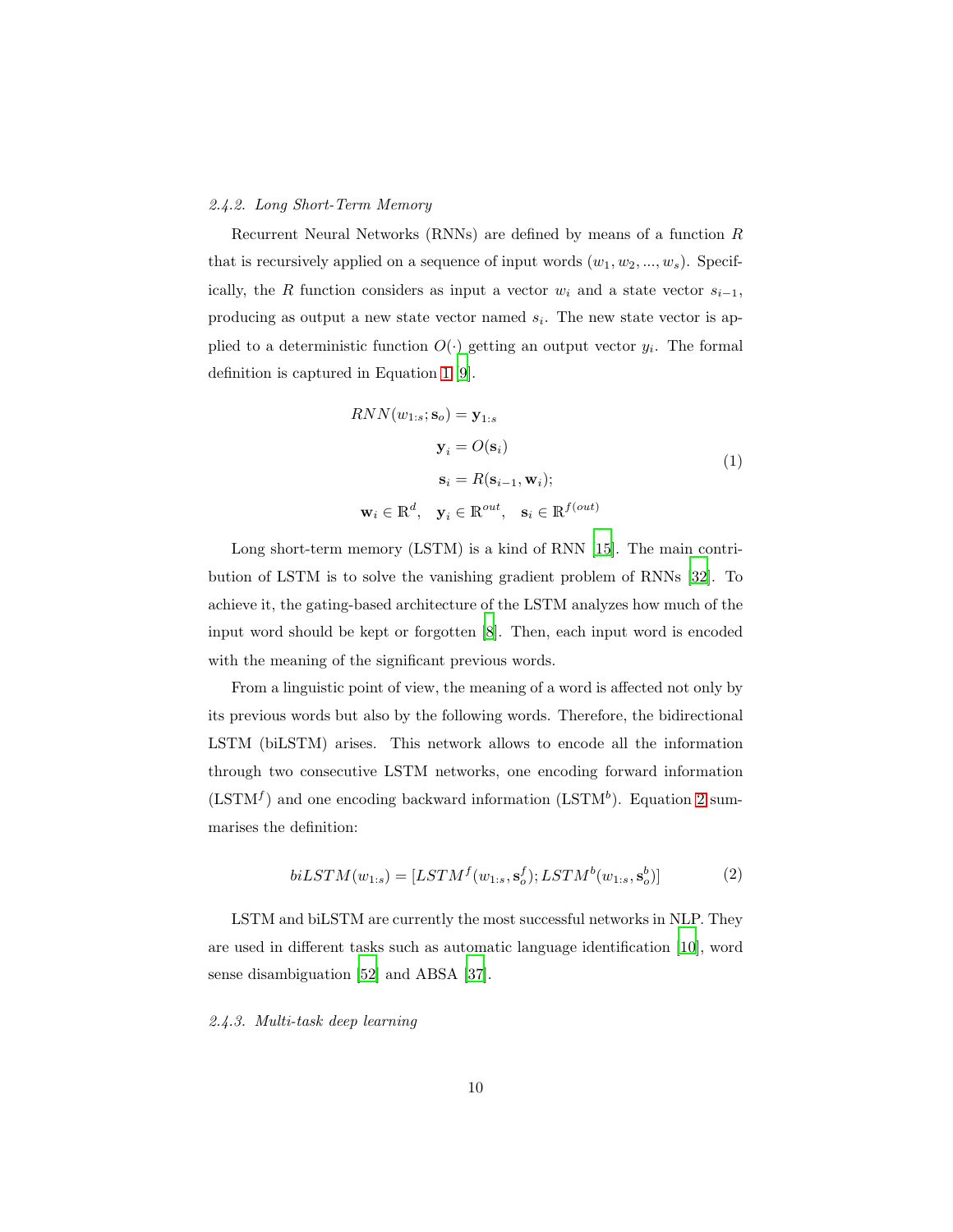## *2.4.2. Long Short-Term Memory*

Recurrent Neural Networks (RNNs) are defined by means of a function R that is recursively applied on a sequence of input words  $(w_1, w_2, ..., w_s)$ . Specifically, the R function considers as input a vector  $w_i$  and a state vector  $s_{i-1}$ , producing as output a new state vector named  $s_i$ . The new state vector is applied to a deterministic function  $O(\cdot)$  getting an output vector  $y_i$ . The formal definition is captured in Equation [1](#page-9-0) [\[9](#page-39-1)].

$$
RNN(w_{1:s}; \mathbf{s}_o) = \mathbf{y}_{1:s}
$$

$$
\mathbf{y}_i = O(\mathbf{s}_i)
$$

$$
\mathbf{s}_i = R(\mathbf{s}_{i-1}, \mathbf{w}_i);
$$

$$
\mathbf{w}_i \in \mathbb{R}^d, \quad \mathbf{y}_i \in \mathbb{R}^{out}, \quad \mathbf{s}_i \in \mathbb{R}^{f(out)}
$$
(1)

<span id="page-9-0"></span>Long short-term memory (LSTM) is a kind of RNN [15]. The main contribution of LSTM is to solve the vanishing gradient problem of RNNs [\[32\]](#page-42-7). To achieve it, the gating-based architecture of the LSTM analyzes how much of the input word should be kept or forgotten [8]. Then, each input word is encoded with the meaning of the significant previous words.

From a linguistic point of view, the meaning of a word is affected not only by its previous words but also by the following words. Therefore, the bidirectional LSTM (biLSTM) arises. This network allows to encode all the information through two consecutive LSTM networks, one encoding forward information  $(LSTM<sup>f</sup>)$  and one encoding backward information  $(LSTM<sup>b</sup>)$ . Equation [2](#page-9-1) summarises the definition:

$$
biLSTM(w_{1:s}) = [LSTM^{f}(w_{1:s}, \mathbf{s}_{o}^{f}); LSTM^{b}(w_{1:s}, \mathbf{s}_{o}^{b})]
$$
(2)

<span id="page-9-1"></span>LSTM and biLSTM are currently the most successful networks in NLP. They are used in different tasks such as automatic language identification [\[10](#page-39-2)], word sense disambiguation [\[52\]](#page-44-2) and ABSA [\[37\]](#page-43-10).

*2.4.3. Multi-task deep learning*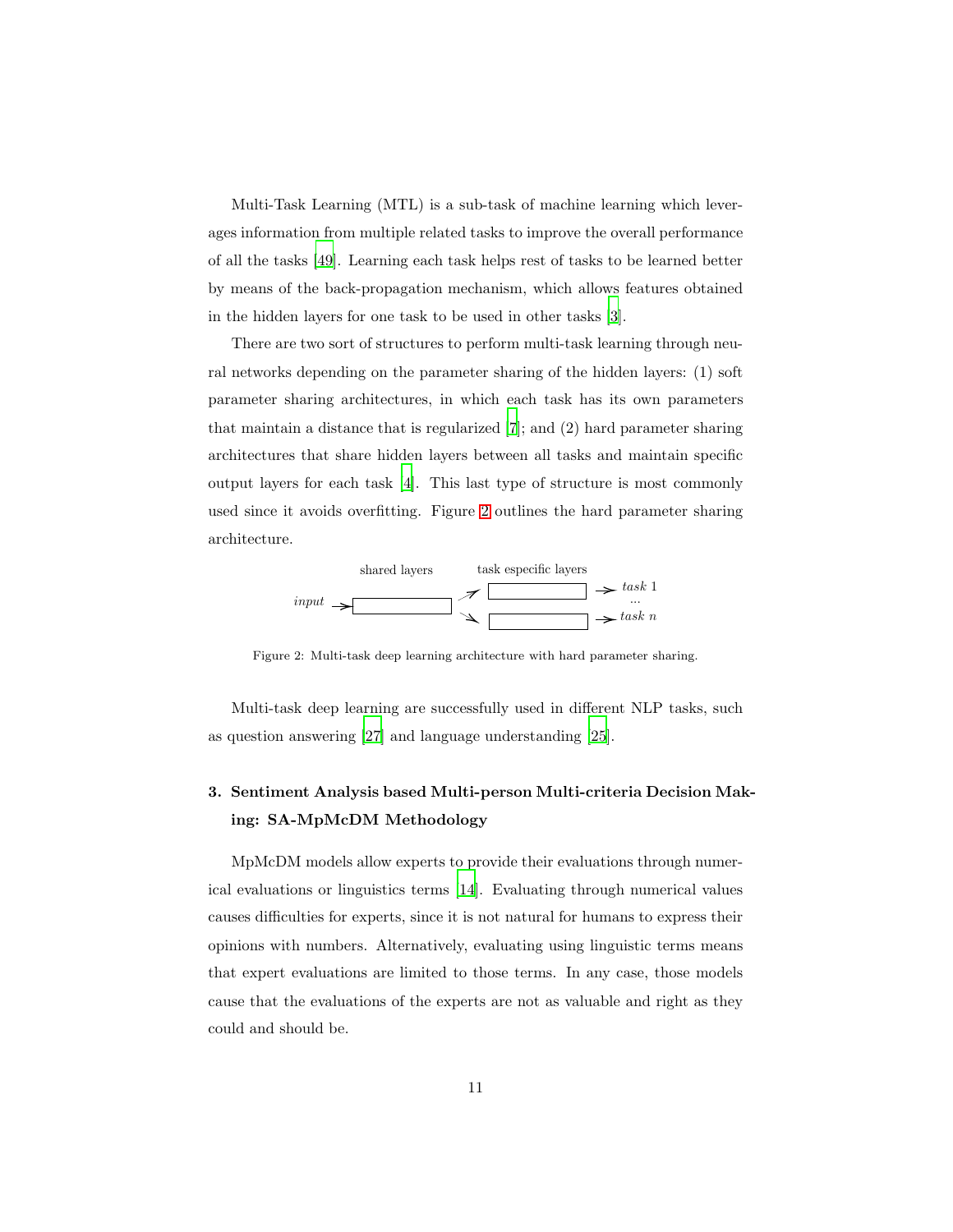Multi-Task Learning (MTL) is a sub-task of machine learning which leverages information from multiple related tasks to improve the overall performance of all the tasks [\[49\]](#page-44-3). Learning each task helps rest of tasks to be learned better by means of the back-propagation mechanism, which allows features obtained in the hidden layers for one task to be used in other tasks [\[3](#page-39-3)].

There are two sort of structures to perform multi-task learning through neural networks depending on the parameter sharing of the hidden layers: (1) soft parameter sharing architectures, in which each task has its own parameters that maintain a distance that is regularized [\[7](#page-39-4)]; and (2) hard parameter sharing architectures that share hidden layers between all tasks and maintain specific output layers for each task [\[4](#page-39-5)]. This last type of structure is most commonly used since it avoids overfitting. Figure [2](#page-10-1) outlines the hard parameter sharing architecture.

<span id="page-10-1"></span>

Figure 2: Multi-task deep learning architecture with hard parameter sharing.

Multi-task deep learning are successfully used in different NLP tasks, such as question answering [\[27\]](#page-42-8) and language understanding [\[25\]](#page-41-5).

## <span id="page-10-0"></span>3. Sentiment Analysis based Multi-person Multi-criteria Decision Making: SA-MpMcDM Methodology

MpMcDM models allow experts to provide their evaluations through numerical evaluations or linguistics terms [\[14](#page-40-2)]. Evaluating through numerical values causes difficulties for experts, since it is not natural for humans to express their opinions with numbers. Alternatively, evaluating using linguistic terms means that expert evaluations are limited to those terms. In any case, those models cause that the evaluations of the experts are not as valuable and right as they could and should be.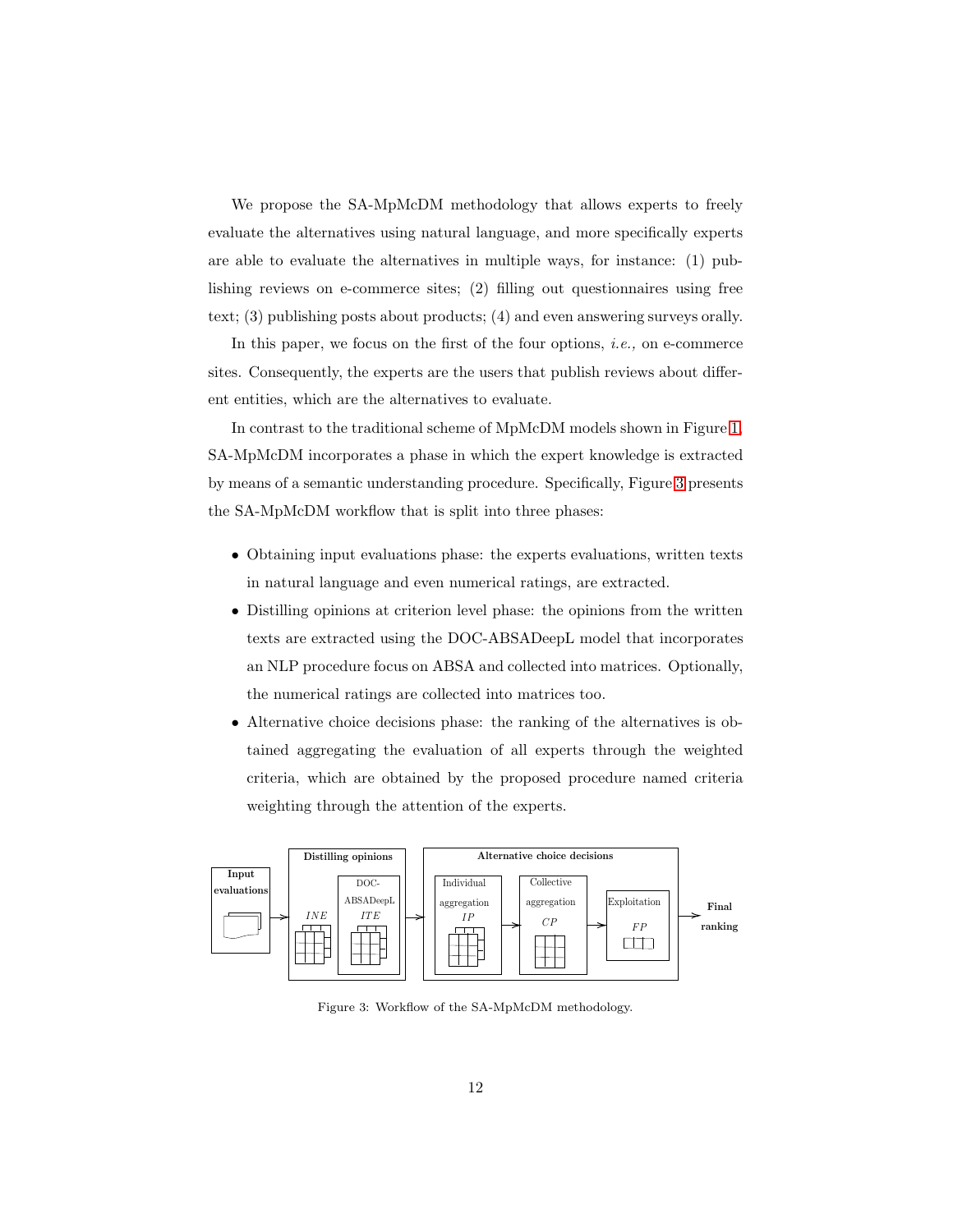We propose the SA-MpMcDM methodology that allows experts to freely evaluate the alternatives using natural language, and more specifically experts are able to evaluate the alternatives in multiple ways, for instance: (1) publishing reviews on e-commerce sites; (2) filling out questionnaires using free text; (3) publishing posts about products; (4) and even answering surveys orally.

In this paper, we focus on the first of the four options, *i.e.,* on e-commerce sites. Consequently, the experts are the users that publish reviews about different entities, which are the alternatives to evaluate.

In contrast to the traditional scheme of MpMcDM models shown in Figure [1,](#page-6-1) SA-MpMcDM incorporates a phase in which the expert knowledge is extracted by means of a semantic understanding procedure. Specifically, Figure [3](#page-11-0) presents the SA-MpMcDM workflow that is split into three phases:

- Obtaining input evaluations phase: the experts evaluations, written texts in natural language and even numerical ratings, are extracted.
- Distilling opinions at criterion level phase: the opinions from the written texts are extracted using the DOC-ABSADeepL model that incorporates an NLP procedure focus on ABSA and collected into matrices. Optionally, the numerical ratings are collected into matrices too.
- Alternative choice decisions phase: the ranking of the alternatives is obtained aggregating the evaluation of all experts through the weighted criteria, which are obtained by the proposed procedure named criteria weighting through the attention of the experts.

<span id="page-11-0"></span>

Figure 3: Workflow of the SA-MpMcDM methodology.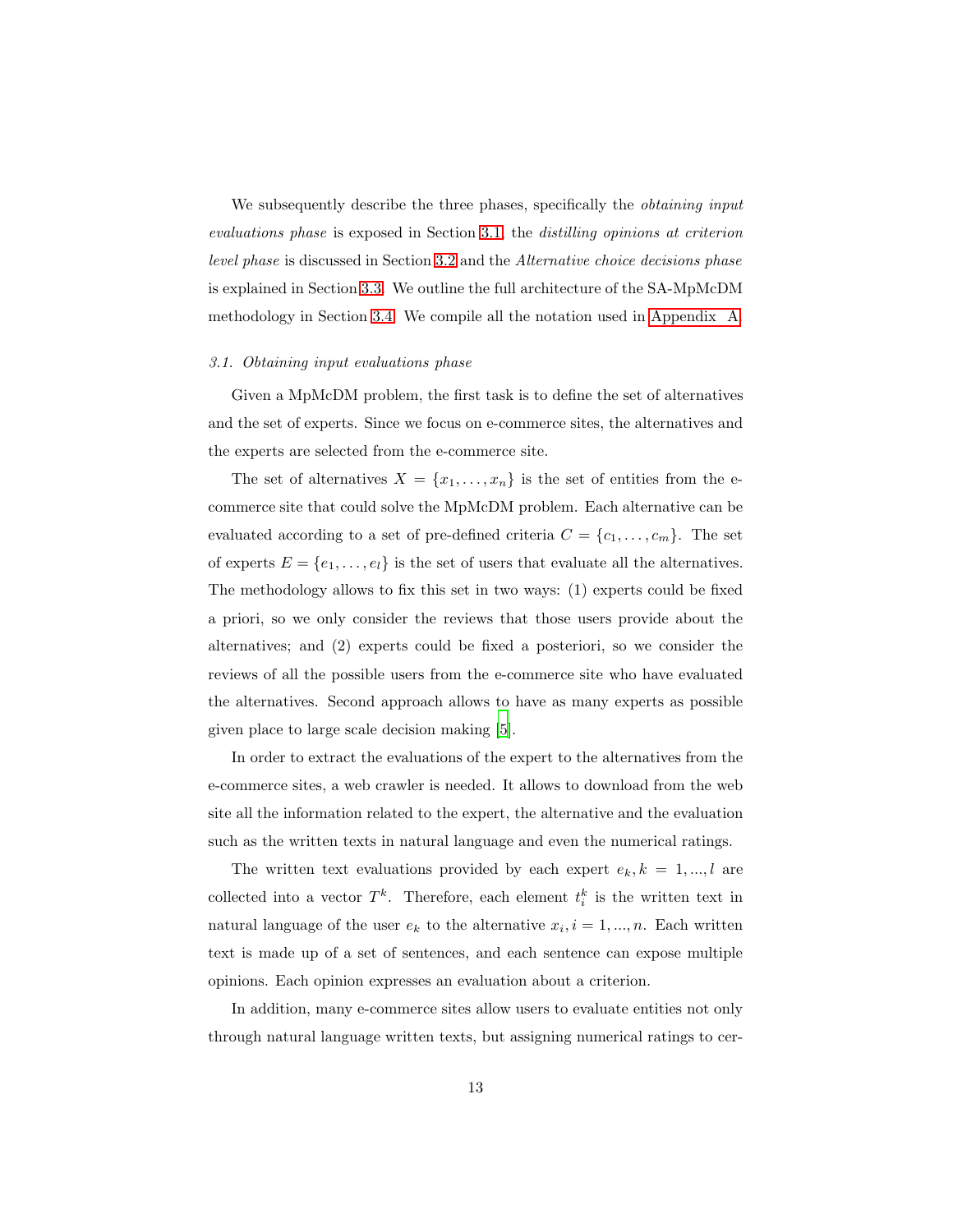We subsequently describe the three phases, specifically the *obtaining input evaluations phase* is exposed in Section [3.1,](#page-12-0) the *distilling opinions at criterion level phase* is discussed in Section [3.2](#page-13-0) and the *Alternative choice decisions phase* is explained in Section [3.3.](#page-18-0) We outline the full architecture of the SA-MpMcDM methodology in Section [3.4.](#page-20-1) We compile all the notation used in [Appendix](#page-45-0) A.

#### <span id="page-12-0"></span>*3.1. Obtaining input evaluations phase*

Given a MpMcDM problem, the first task is to define the set of alternatives and the set of experts. Since we focus on e-commerce sites, the alternatives and the experts are selected from the e-commerce site.

The set of alternatives  $X = \{x_1, \ldots, x_n\}$  is the set of entities from the ecommerce site that could solve the MpMcDM problem. Each alternative can be evaluated according to a set of pre-defined criteria  $C = \{c_1, \ldots, c_m\}$ . The set of experts  $E = \{e_1, \ldots, e_l\}$  is the set of users that evaluate all the alternatives. The methodology allows to fix this set in two ways: (1) experts could be fixed a priori, so we only consider the reviews that those users provide about the alternatives; and (2) experts could be fixed a posteriori, so we consider the reviews of all the possible users from the e-commerce site who have evaluated the alternatives. Second approach allows to have as many experts as possible given place to large scale decision making [\[5](#page-39-6)].

In order to extract the evaluations of the expert to the alternatives from the e-commerce sites, a web crawler is needed. It allows to download from the web site all the information related to the expert, the alternative and the evaluation such as the written texts in natural language and even the numerical ratings.

The written text evaluations provided by each expert  $e_k, k = 1, ..., l$  are collected into a vector  $T^k$ . Therefore, each element  $t_i^k$  is the written text in natural language of the user  $e_k$  to the alternative  $x_i, i = 1, ..., n$ . Each written text is made up of a set of sentences, and each sentence can expose multiple opinions. Each opinion expresses an evaluation about a criterion.

In addition, many e-commerce sites allow users to evaluate entities not only through natural language written texts, but assigning numerical ratings to cer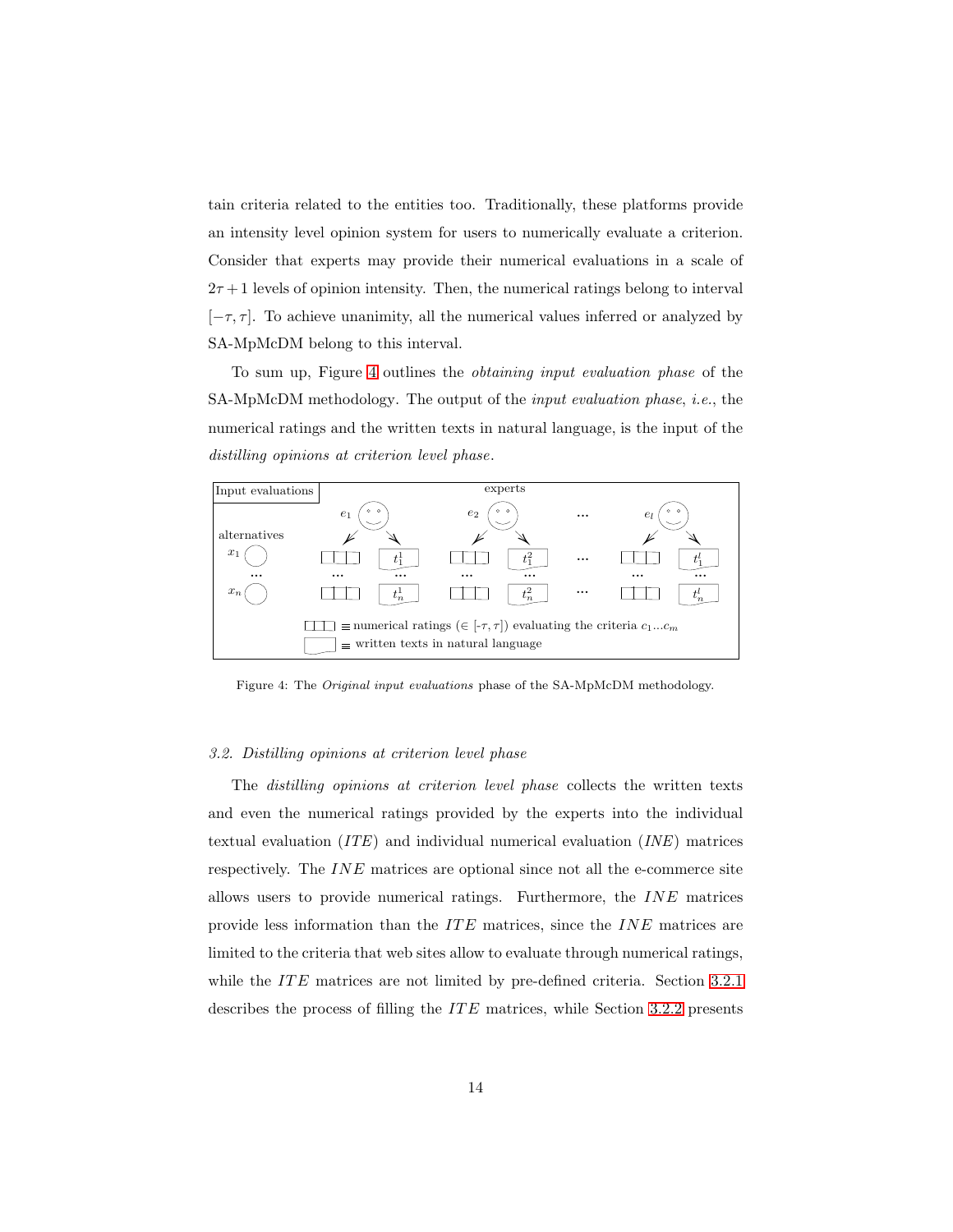tain criteria related to the entities too. Traditionally, these platforms provide an intensity level opinion system for users to numerically evaluate a criterion. Consider that experts may provide their numerical evaluations in a scale of  $2\tau + 1$  levels of opinion intensity. Then, the numerical ratings belong to interval  $[-\tau, \tau]$ . To achieve unanimity, all the numerical values inferred or analyzed by SA-MpMcDM belong to this interval.

To sum up, Figure [4](#page-13-1) outlines the *obtaining input evaluation phase* of the SA-MpMcDM methodology. The output of the *input evaluation phase*, *i.e.*, the numerical ratings and the written texts in natural language, is the input of the *distilling opinions at criterion level phase*.

<span id="page-13-1"></span>

Figure 4: The *Original input evaluations* phase of the SA-MpMcDM methodology.

## <span id="page-13-0"></span>*3.2. Distilling opinions at criterion level phase*

The *distilling opinions at criterion level phase* collects the written texts and even the numerical ratings provided by the experts into the individual textual evaluation (*ITE*) and individual numerical evaluation (*INE*) matrices respectively. The INE matrices are optional since not all the e-commerce site allows users to provide numerical ratings. Furthermore, the INE matrices provide less information than the  $ITE$  matrices, since the  $INE$  matrices are limited to the criteria that web sites allow to evaluate through numerical ratings, while the *ITE* matrices are not limited by pre-defined criteria. Section [3.2.1](#page-14-0) describes the process of filling the  $ITE$  matrices, while Section [3.2.2](#page-18-1) presents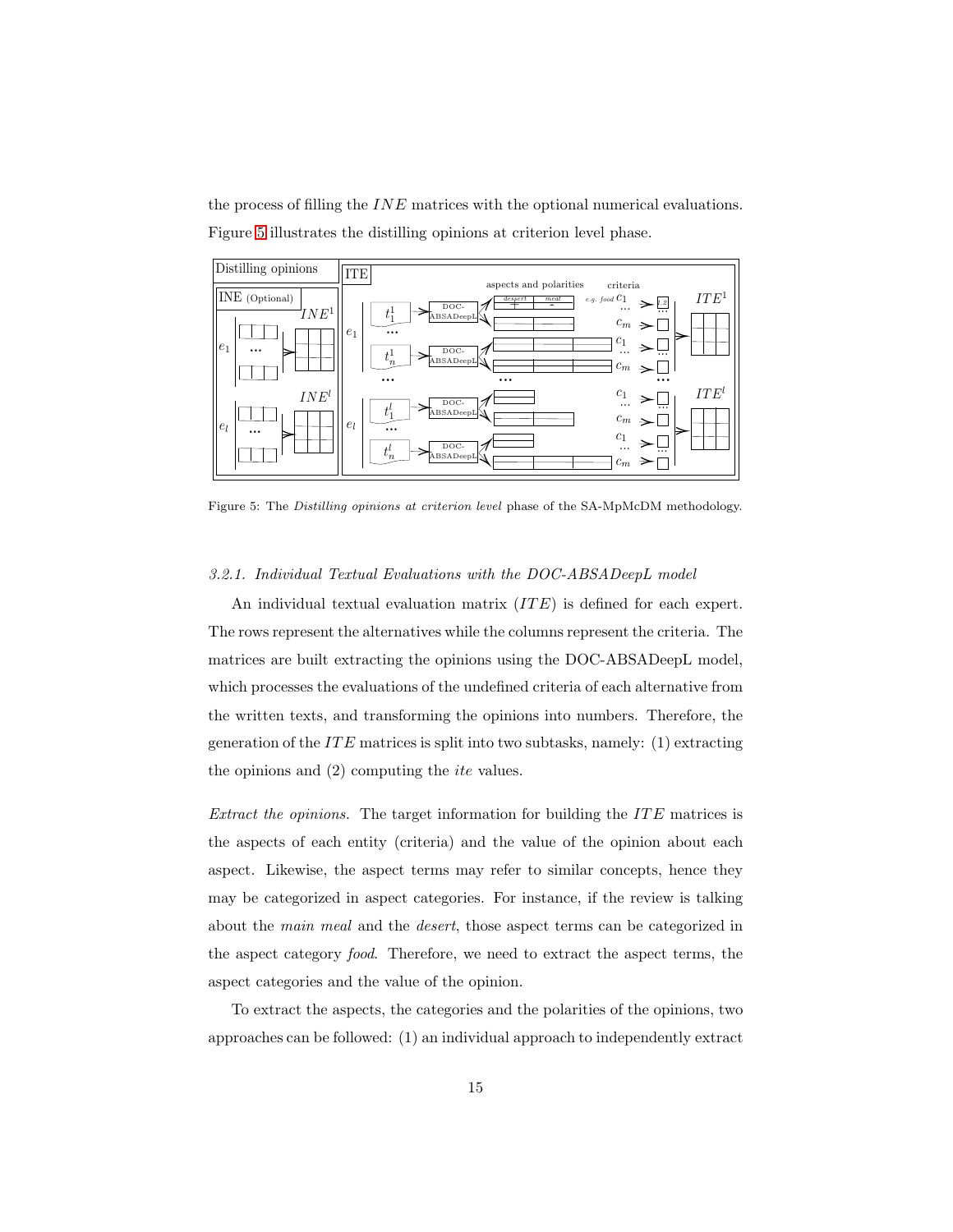<span id="page-14-1"></span>the process of filling the  $INE$  matrices with the optional numerical evaluations. Figure [5](#page-14-1) illustrates the distilling opinions at criterion level phase.



<span id="page-14-0"></span>Figure 5: The *Distilling opinions at criterion level* phase of the SA-MpMcDM methodology.

## *3.2.1. Individual Textual Evaluations with the DOC-ABSADeepL model*

An individual textual evaluation matrix  $(ITE)$  is defined for each expert. The rows represent the alternatives while the columns represent the criteria. The matrices are built extracting the opinions using the DOC-ABSADeepL model, which processes the evaluations of the undefined criteria of each alternative from the written texts, and transforming the opinions into numbers. Therefore, the generation of the  $ITE$  matrices is split into two subtasks, namely: (1) extracting the opinions and  $(2)$  computing the *ite* values.

*Extract the opinions.* The target information for building the ITE matrices is the aspects of each entity (criteria) and the value of the opinion about each aspect. Likewise, the aspect terms may refer to similar concepts, hence they may be categorized in aspect categories. For instance, if the review is talking about the *main meal* and the *desert*, those aspect terms can be categorized in the aspect category *food*. Therefore, we need to extract the aspect terms, the aspect categories and the value of the opinion.

To extract the aspects, the categories and the polarities of the opinions, two approaches can be followed: (1) an individual approach to independently extract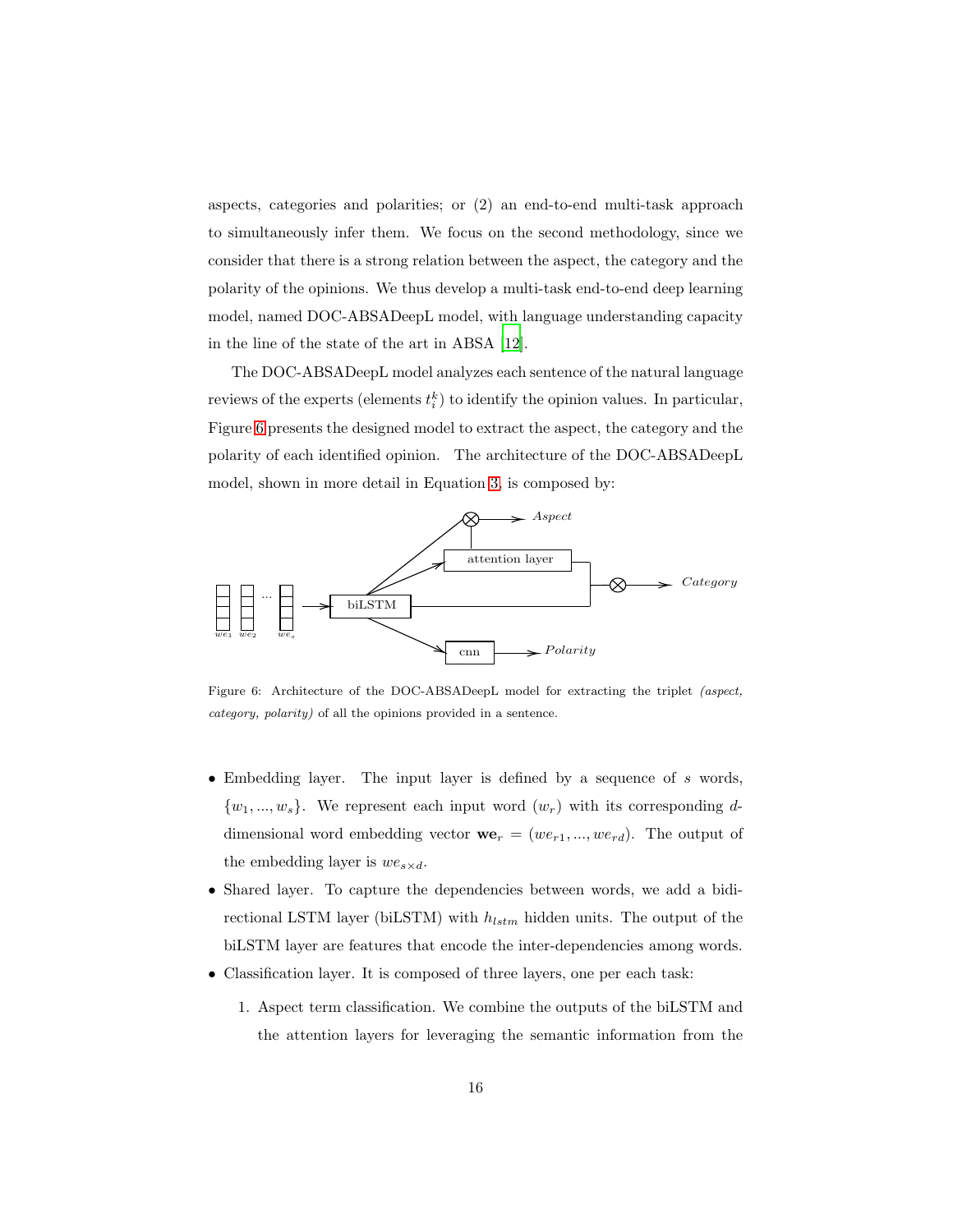aspects, categories and polarities; or (2) an end-to-end multi-task approach to simultaneously infer them. We focus on the second methodology, since we consider that there is a strong relation between the aspect, the category and the polarity of the opinions. We thus develop a multi-task end-to-end deep learning model, named DOC-ABSADeepL model, with language understanding capacity in the line of the state of the art in ABSA [\[12](#page-40-5)].

The DOC-ABSADeepL model analyzes each sentence of the natural language reviews of the experts (elements  $t_i^k$ ) to identify the opinion values. In particular, Figure [6](#page-15-0) presents the designed model to extract the aspect, the category and the polarity of each identified opinion. The architecture of the DOC-ABSADeepL model, shown in more detail in Equation [3,](#page-16-0) is composed by:

<span id="page-15-0"></span>

Figure 6: Architecture of the DOC-ABSADeepL model for extracting the triplet *(aspect, category, polarity)* of all the opinions provided in a sentence.

- Embedding layer. The input layer is defined by a sequence of  $s$  words,  $\{w_1, ..., w_s\}$ . We represent each input word  $(w_r)$  with its corresponding ddimensional word embedding vector  $\mathbf{we}_r = (we_{r1},...,we_{rd})$ . The output of the embedding layer is  $we_{s \times d}$ .
- Shared layer. To capture the dependencies between words, we add a bidirectional LSTM layer (biLSTM) with  $h_{lstm}$  hidden units. The output of the biLSTM layer are features that encode the inter-dependencies among words.
- Classification layer. It is composed of three layers, one per each task:
	- 1. Aspect term classification. We combine the outputs of the biLSTM and the attention layers for leveraging the semantic information from the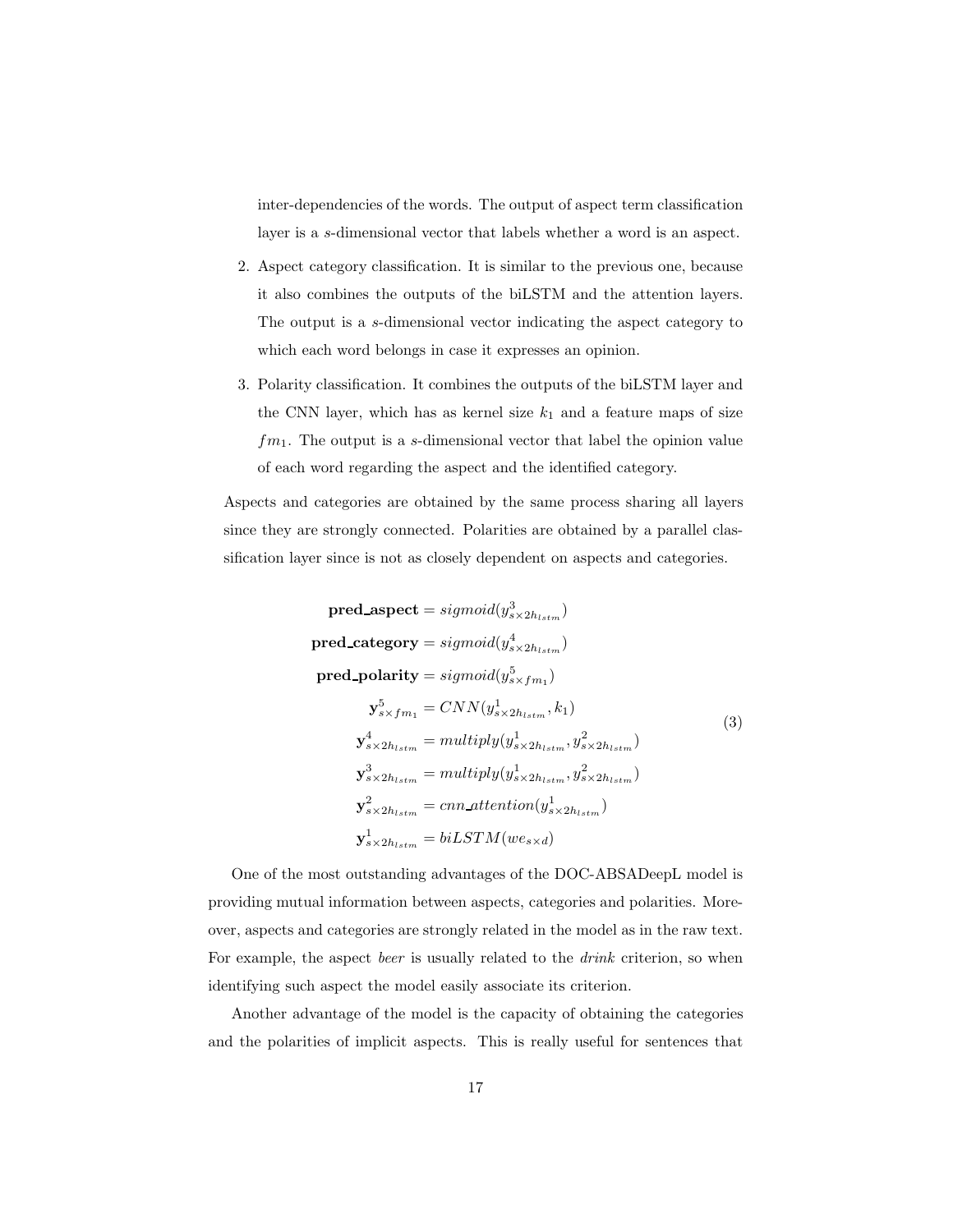inter-dependencies of the words. The output of aspect term classification layer is a s-dimensional vector that labels whether a word is an aspect.

- 2. Aspect category classification. It is similar to the previous one, because it also combines the outputs of the biLSTM and the attention layers. The output is a s-dimensional vector indicating the aspect category to which each word belongs in case it expresses an opinion.
- 3. Polarity classification. It combines the outputs of the biLSTM layer and the CNN layer, which has as kernel size  $k_1$  and a feature maps of size  $fm_1$ . The output is a s-dimensional vector that label the opinion value of each word regarding the aspect and the identified category.

Aspects and categories are obtained by the same process sharing all layers since they are strongly connected. Polarities are obtained by a parallel classification layer since is not as closely dependent on aspects and categories.

<span id="page-16-0"></span>pred\_aspect = sigmoid(y<sub>s×2h<sub>lstm</sub></sub>)  
\npred\_category = sigmoid(y<sub>s×2h<sub>lstm</sub></sub>  
\npred\_policy = sigmoid(y<sub>s×f<sub>m<sub>1</sub></sub></sub>  
\n
$$
\mathbf{y}_{s×fm1}^5 = CNN(ys×2hlstm, k1)
$$
\n
$$
\mathbf{y}_{s×2hlstm}^4 = multiply(ys×2hlstm, ys×2hlstm2)
$$
\n
$$
\mathbf{y}_{s×2hlstm}^3 = multiply(ys×2hlstm, ys×2hlstm2)
$$
\n
$$
\mathbf{y}_{s×2hlstm}^2 = multiply(ys×2hlstm2, ys×2hlstm2)
$$
\n
$$
\mathbf{y}_{s×2hlstm}^2 = cnn_
$$

One of the most outstanding advantages of the DOC-ABSADeepL model is providing mutual information between aspects, categories and polarities. Moreover, aspects and categories are strongly related in the model as in the raw text. For example, the aspect *beer* is usually related to the *drink* criterion, so when identifying such aspect the model easily associate its criterion.

Another advantage of the model is the capacity of obtaining the categories and the polarities of implicit aspects. This is really useful for sentences that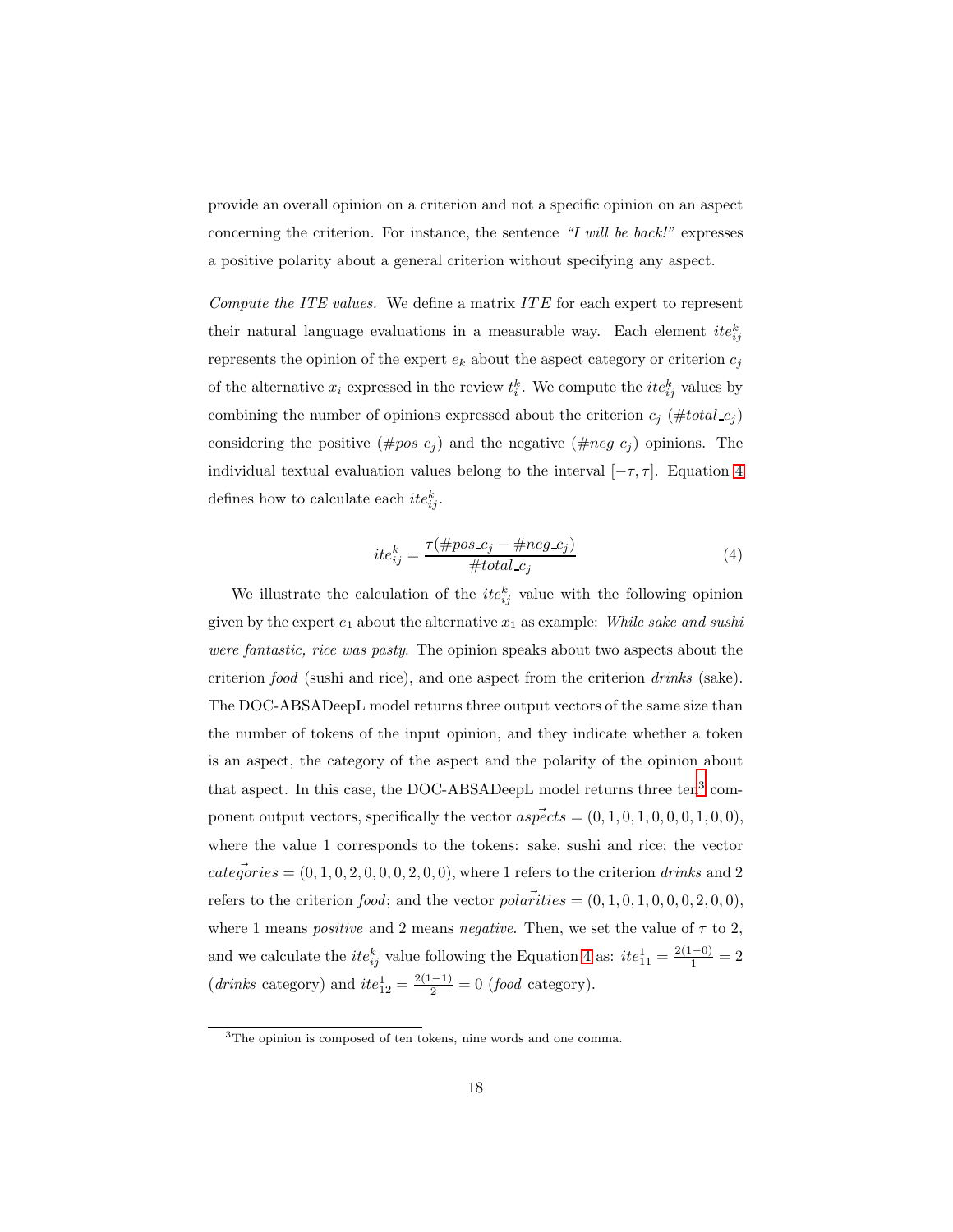provide an overall opinion on a criterion and not a specific opinion on an aspect concerning the criterion. For instance, the sentence *"I will be back!"* expresses a positive polarity about a general criterion without specifying any aspect.

*Compute the ITE values.* We define a matrix *ITE* for each expert to represent their natural language evaluations in a measurable way. Each element  $ite_{ij}^k$ represents the opinion of the expert  $e_k$  about the aspect category or criterion  $c_i$ of the alternative  $x_i$  expressed in the review  $t_i^k$ . We compute the  $ite_{ij}^k$  values by combining the number of opinions expressed about the criterion  $c_j$  (#total  $c_j$ ) considering the positive  $(\text{#pos } c_j)$  and the negative  $(\text{#neg } c_j)$  opinions. The individual textual evaluation values belong to the interval  $[-\tau, \tau]$ . Equation [4](#page-17-0) defines how to calculate each  $ite_{ij}^k$ .

<span id="page-17-0"></span>
$$
ite_{ij}^k = \frac{\tau(\#pos.c_j - \#neg.c_j)}{\#total.c_j} \tag{4}
$$

We illustrate the calculation of the  $ite^{k}_{ij}$  value with the following opinion given by the expert  $e_1$  about the alternative  $x_1$  as example: *While sake and sushi were fantastic, rice was pasty*. The opinion speaks about two aspects about the criterion *food* (sushi and rice), and one aspect from the criterion *drinks* (sake). The DOC-ABSADeepL model returns three output vectors of the same size than the number of tokens of the input opinion, and they indicate whether a token is an aspect, the category of the aspect and the polarity of the opinion about that aspect. In this case, the DOC-ABSADeepL model returns three  $ten^3$  $ten^3$  component output vectors, specifically the vector  $a \vec{spec}ts = (0, 1, 0, 1, 0, 0, 0, 1, 0, 0)$ , where the value 1 corresponds to the tokens: sake, sushi and rice; the vector  $categories = (0, 1, 0, 2, 0, 0, 0, 2, 0, 0)$ , where 1 refers to the criterion *drinks* and 2 refers to the criterion *food*; and the vector  $polarities = (0, 1, 0, 1, 0, 0, 0, 2, 0, 0)$ , where 1 means *positive* and 2 means *negative*. Then, we set the value of  $\tau$  to 2, and we calculate the  $ite_{ij}^k$  value following the Equation [4](#page-17-0) as:  $ite_{11}^1 = \frac{2(1-0)}{1} = 2$  $(drinks \ category)$  and  $ite_{12}^1 = \frac{2(1-1)}{2} = 0$  (*food* category).

<span id="page-17-1"></span><sup>3</sup>The opinion is composed of ten tokens, nine words and one comma.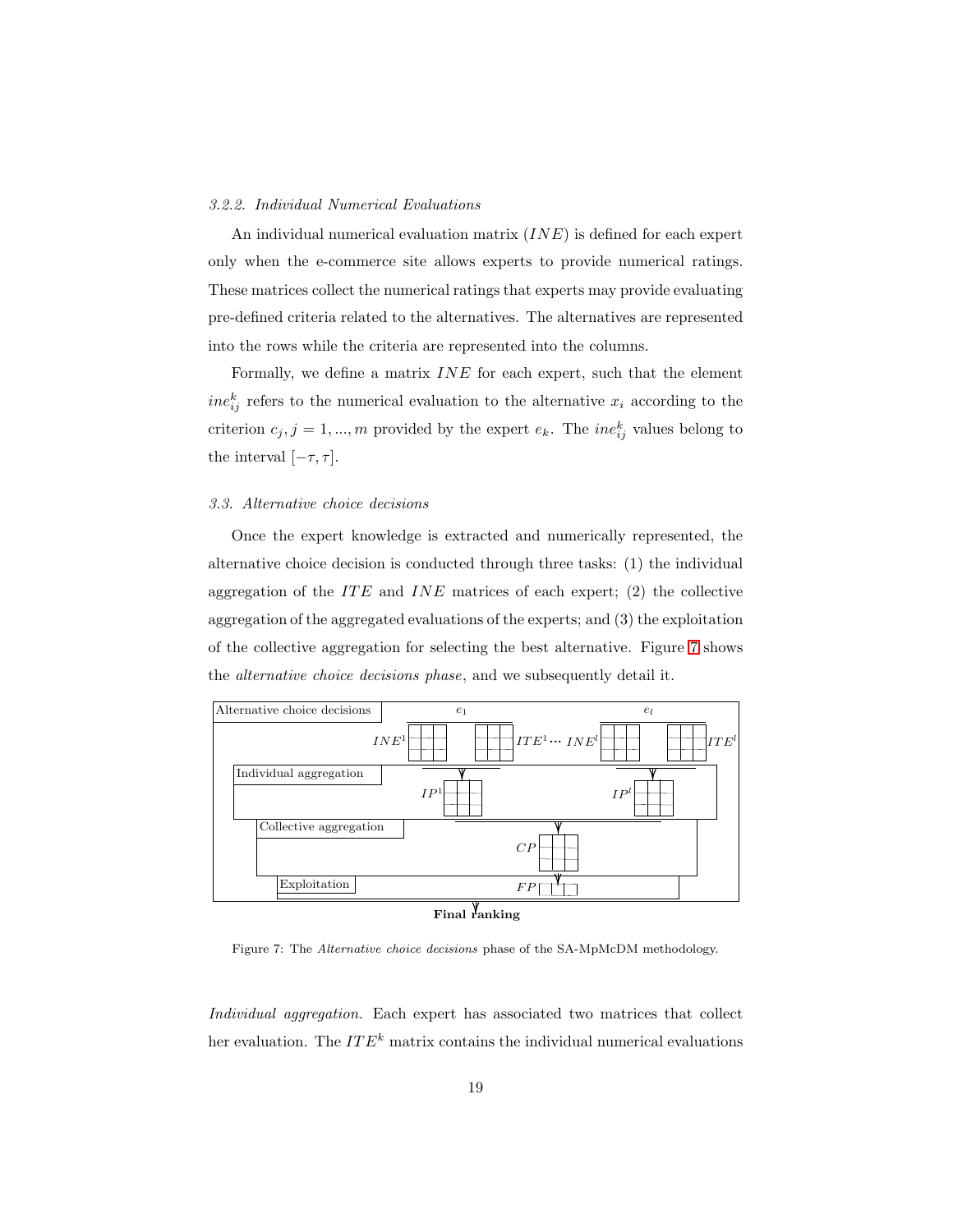#### <span id="page-18-1"></span>*3.2.2. Individual Numerical Evaluations*

An individual numerical evaluation matrix  $(INE)$  is defined for each expert only when the e-commerce site allows experts to provide numerical ratings. These matrices collect the numerical ratings that experts may provide evaluating pre-defined criteria related to the alternatives. The alternatives are represented into the rows while the criteria are represented into the columns.

Formally, we define a matrix  $INE$  for each expert, such that the element  $ine_{ij}^k$  refers to the numerical evaluation to the alternative  $x_i$  according to the criterion  $c_j$ ,  $j = 1, ..., m$  provided by the expert  $e_k$ . The *ine*<sup>k</sup><sub>ij</sub> values belong to the interval  $[-\tau, \tau]$ .

## <span id="page-18-0"></span>*3.3. Alternative choice decisions*

Once the expert knowledge is extracted and numerically represented, the alternative choice decision is conducted through three tasks: (1) the individual aggregation of the ITE and INE matrices of each expert;  $(2)$  the collective aggregation of the aggregated evaluations of the experts; and (3) the exploitation of the collective aggregation for selecting the best alternative. Figure [7](#page-18-2) shows the *alternative choice decisions phase*, and we subsequently detail it.

<span id="page-18-2"></span>

Figure 7: The *Alternative choice decisions* phase of the SA-MpMcDM methodology.

*Individual aggregation.* Each expert has associated two matrices that collect her evaluation. The  $ITE<sup>k</sup>$  matrix contains the individual numerical evaluations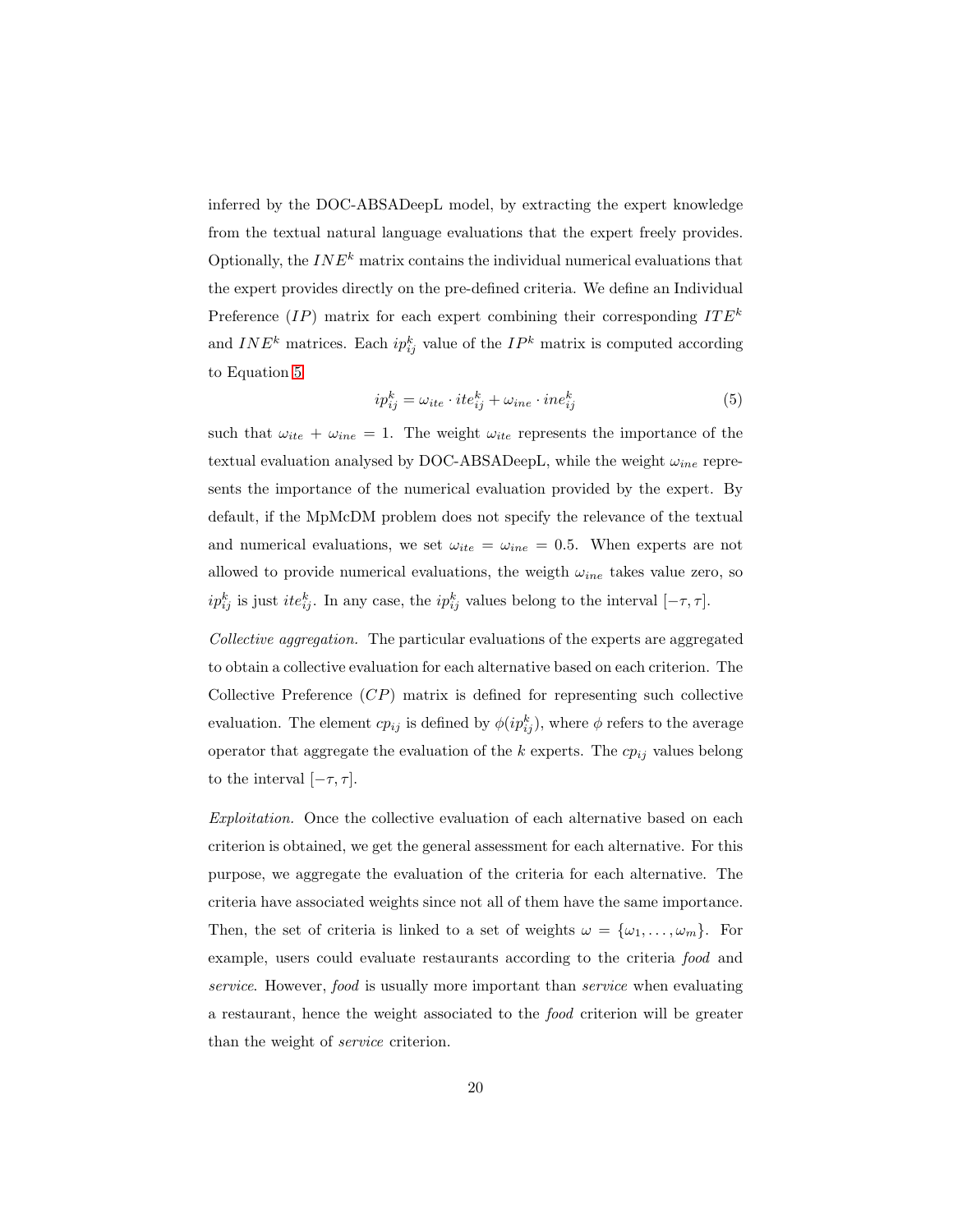inferred by the DOC-ABSADeepL model, by extracting the expert knowledge from the textual natural language evaluations that the expert freely provides. Optionally, the  $INE<sup>k</sup>$  matrix contains the individual numerical evaluations that the expert provides directly on the pre-defined criteria. We define an Individual Preference  $(IP)$  matrix for each expert combining their corresponding  $ITE<sup>k</sup>$ and  $INE<sup>k</sup>$  matrices. Each  $ip_{ij}^k$  value of the  $IP<sup>k</sup>$  matrix is computed according to Equation [5](#page-19-0)

<span id="page-19-0"></span>
$$
ip_{ij}^k = \omega_{ite} \cdot ite_{ij}^k + \omega_{ine} \cdot ine_{ij}^k \tag{5}
$$

such that  $\omega_{ite} + \omega_{ine} = 1$ . The weight  $\omega_{ite}$  represents the importance of the textual evaluation analysed by DOC-ABSADeepL, while the weight  $\omega_{ine}$  represents the importance of the numerical evaluation provided by the expert. By default, if the MpMcDM problem does not specify the relevance of the textual and numerical evaluations, we set  $\omega_{ite} = \omega_{ine} = 0.5$ . When experts are not allowed to provide numerical evaluations, the weigth  $\omega_{ine}$  takes value zero, so  $ip_{ij}^k$  is just  $ite_{ij}^k$ . In any case, the  $ip_{ij}^k$  values belong to the interval  $[-\tau, \tau]$ .

*Collective aggregation.* The particular evaluations of the experts are aggregated to obtain a collective evaluation for each alternative based on each criterion. The Collective Preference  $(CP)$  matrix is defined for representing such collective evaluation. The element  $cp_{ij}$  is defined by  $\phi(ip_{ij}^k)$ , where  $\phi$  refers to the average operator that aggregate the evaluation of the  $k$  experts. The  $cp_{ij}$  values belong to the interval  $[-\tau, \tau]$ .

*Exploitation.* Once the collective evaluation of each alternative based on each criterion is obtained, we get the general assessment for each alternative. For this purpose, we aggregate the evaluation of the criteria for each alternative. The criteria have associated weights since not all of them have the same importance. Then, the set of criteria is linked to a set of weights  $\omega = {\omega_1, \ldots, \omega_m}$ . For example, users could evaluate restaurants according to the criteria *food* and *service*. However, *food* is usually more important than *service* when evaluating a restaurant, hence the weight associated to the *food* criterion will be greater than the weight of *service* criterion.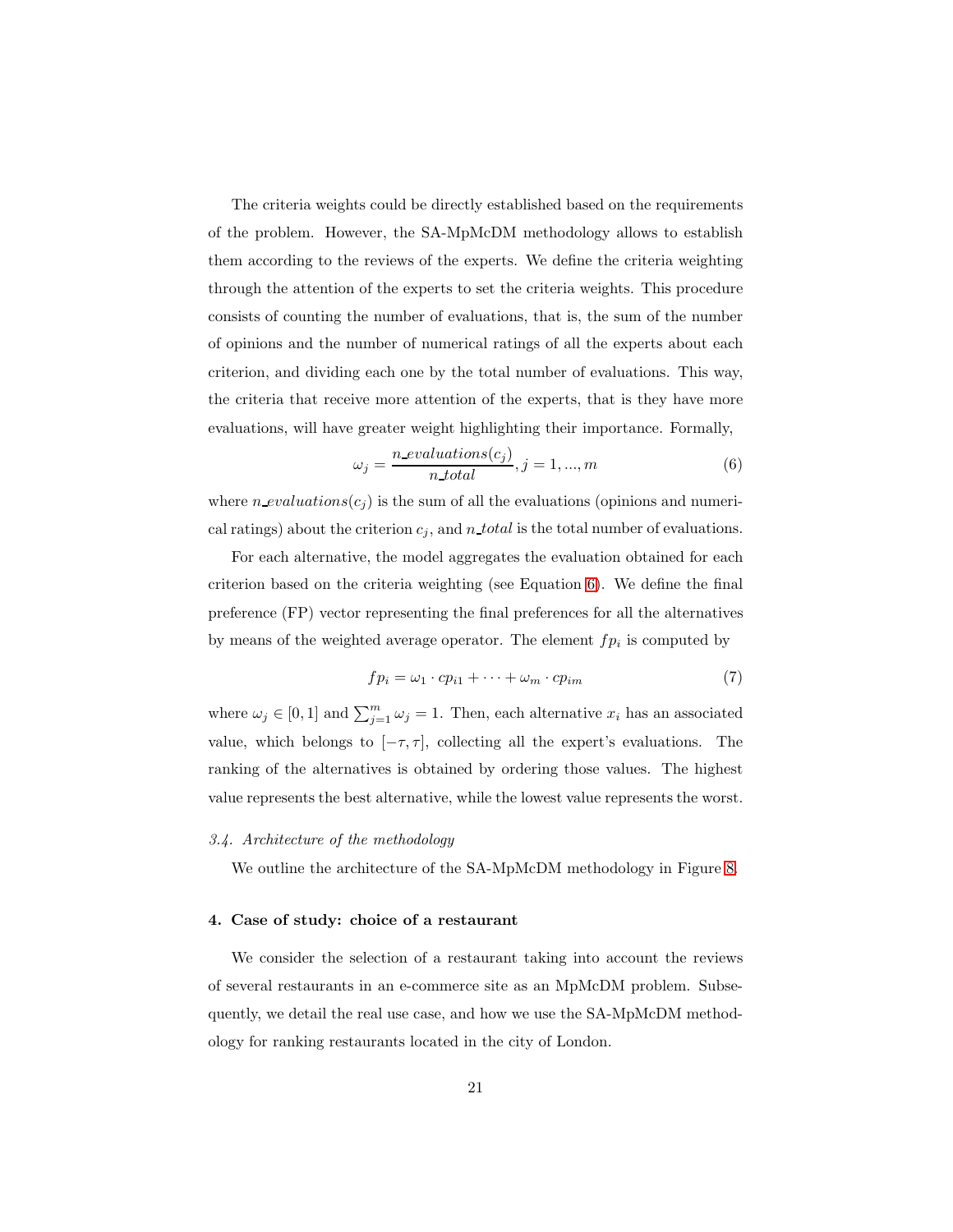The criteria weights could be directly established based on the requirements of the problem. However, the SA-MpMcDM methodology allows to establish them according to the reviews of the experts. We define the criteria weighting through the attention of the experts to set the criteria weights. This procedure consists of counting the number of evaluations, that is, the sum of the number of opinions and the number of numerical ratings of all the experts about each criterion, and dividing each one by the total number of evaluations. This way, the criteria that receive more attention of the experts, that is they have more evaluations, will have greater weight highlighting their importance. Formally,

<span id="page-20-2"></span>
$$
\omega_j = \frac{n\_evaluations(c_j)}{n\_total}, j = 1, ..., m
$$
\n(6)

where  $n\_evaluations(c_j)$  is the sum of all the evaluations (opinions and numerical ratings) about the criterion  $c_j$ , and n total is the total number of evaluations.

For each alternative, the model aggregates the evaluation obtained for each criterion based on the criteria weighting (see Equation [6\)](#page-20-2). We define the final preference (FP) vector representing the final preferences for all the alternatives by means of the weighted average operator. The element  $fp_i$  is computed by

<span id="page-20-3"></span>
$$
fp_i = \omega_1 \cdot cp_{i1} + \dots + \omega_m \cdot cp_{im} \tag{7}
$$

where  $\omega_j \in [0,1]$  and  $\sum_{j=1}^m \omega_j = 1$ . Then, each alternative  $x_i$  has an associated value, which belongs to  $[-\tau, \tau]$ , collecting all the expert's evaluations. The ranking of the alternatives is obtained by ordering those values. The highest value represents the best alternative, while the lowest value represents the worst.

## <span id="page-20-1"></span>*3.4. Architecture of the methodology*

<span id="page-20-0"></span>We outline the architecture of the SA-MpMcDM methodology in Figure [8.](#page-21-0)

## 4. Case of study: choice of a restaurant

We consider the selection of a restaurant taking into account the reviews of several restaurants in an e-commerce site as an MpMcDM problem. Subsequently, we detail the real use case, and how we use the SA-MpMcDM methodology for ranking restaurants located in the city of London.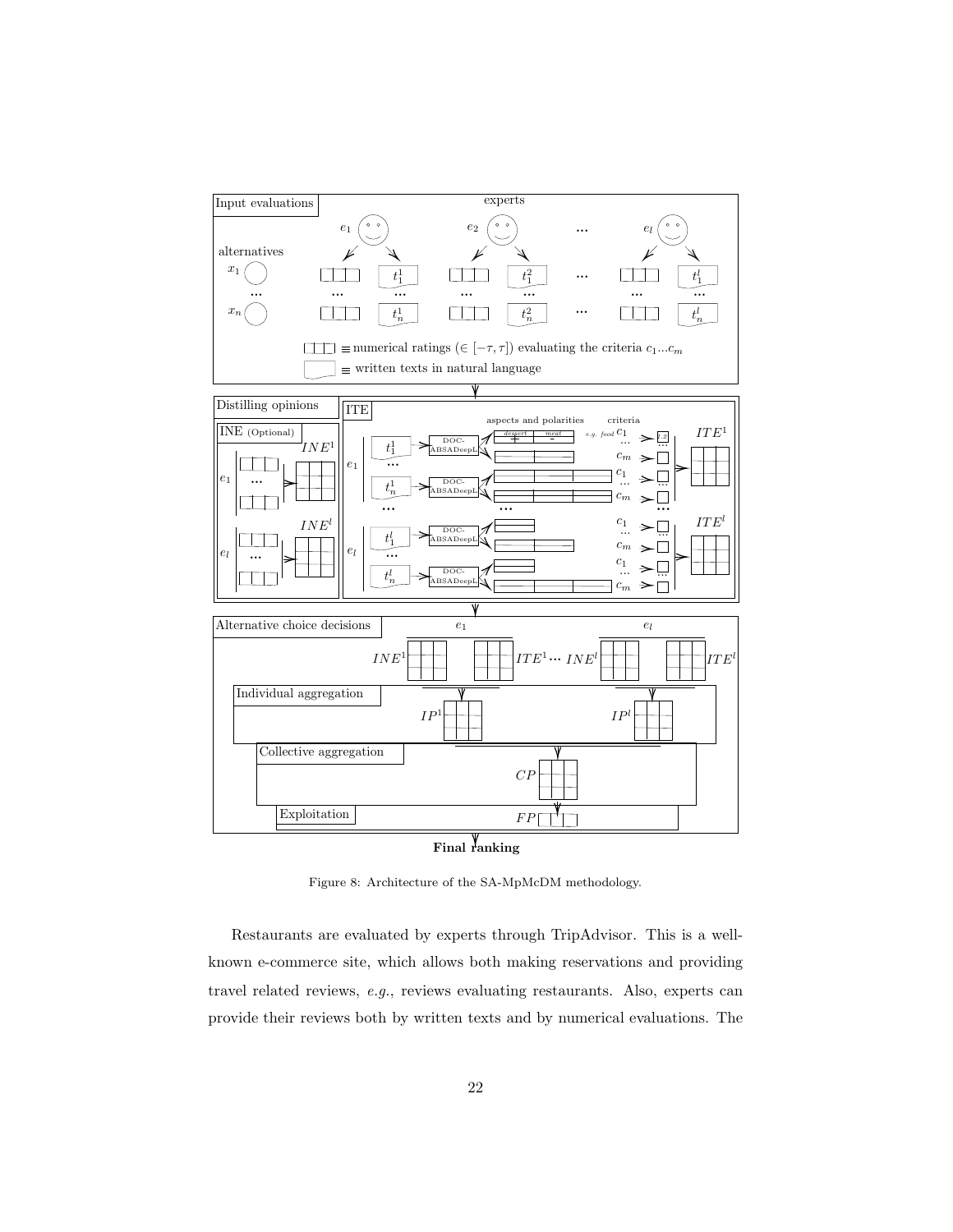<span id="page-21-0"></span>



Figure 8: Architecture of the SA-MpMcDM methodology.

Restaurants are evaluated by experts through TripAdvisor. This is a wellknown e-commerce site, which allows both making reservations and providing travel related reviews, *e.g.*, reviews evaluating restaurants. Also, experts can provide their reviews both by written texts and by numerical evaluations. The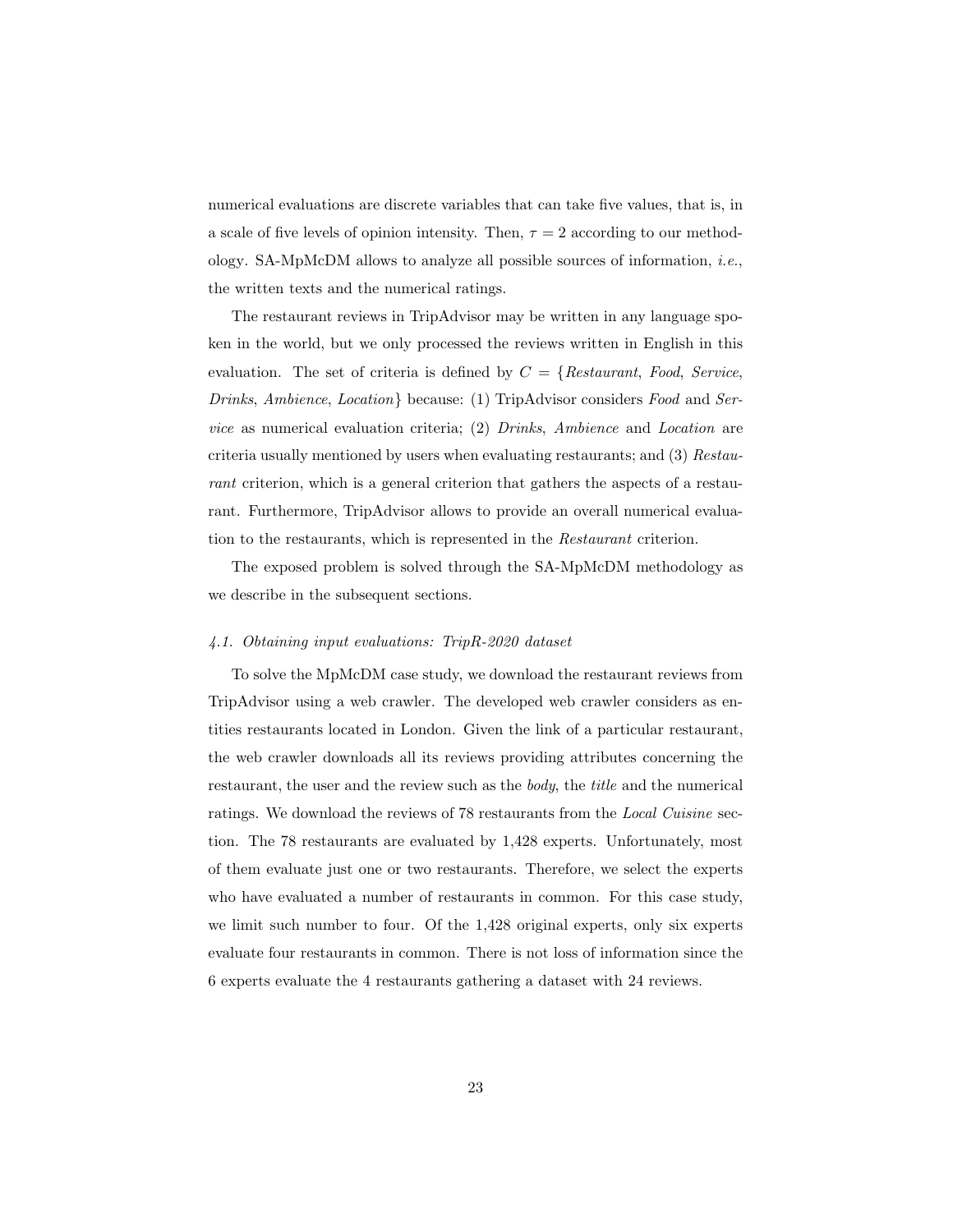numerical evaluations are discrete variables that can take five values, that is, in a scale of five levels of opinion intensity. Then,  $\tau = 2$  according to our methodology. SA-MpMcDM allows to analyze all possible sources of information, *i.e.*, the written texts and the numerical ratings.

The restaurant reviews in TripAdvisor may be written in any language spoken in the world, but we only processed the reviews written in English in this evaluation. The set of criteria is defined by C = {*Restaurant*, *Food*, *Service*, *Drinks*, *Ambience*, *Location*} because: (1) TripAdvisor considers *Food* and *Service* as numerical evaluation criteria; (2) *Drinks*, *Ambience* and *Location* are criteria usually mentioned by users when evaluating restaurants; and (3) *Restaurant* criterion, which is a general criterion that gathers the aspects of a restaurant. Furthermore, TripAdvisor allows to provide an overall numerical evaluation to the restaurants, which is represented in the *Restaurant* criterion.

The exposed problem is solved through the SA-MpMcDM methodology as we describe in the subsequent sections.

## *4.1. Obtaining input evaluations: TripR-2020 dataset*

To solve the MpMcDM case study, we download the restaurant reviews from TripAdvisor using a web crawler. The developed web crawler considers as entities restaurants located in London. Given the link of a particular restaurant, the web crawler downloads all its reviews providing attributes concerning the restaurant, the user and the review such as the *body*, the *title* and the numerical ratings. We download the reviews of 78 restaurants from the *Local Cuisine* section. The 78 restaurants are evaluated by 1,428 experts. Unfortunately, most of them evaluate just one or two restaurants. Therefore, we select the experts who have evaluated a number of restaurants in common. For this case study, we limit such number to four. Of the 1,428 original experts, only six experts evaluate four restaurants in common. There is not loss of information since the 6 experts evaluate the 4 restaurants gathering a dataset with 24 reviews.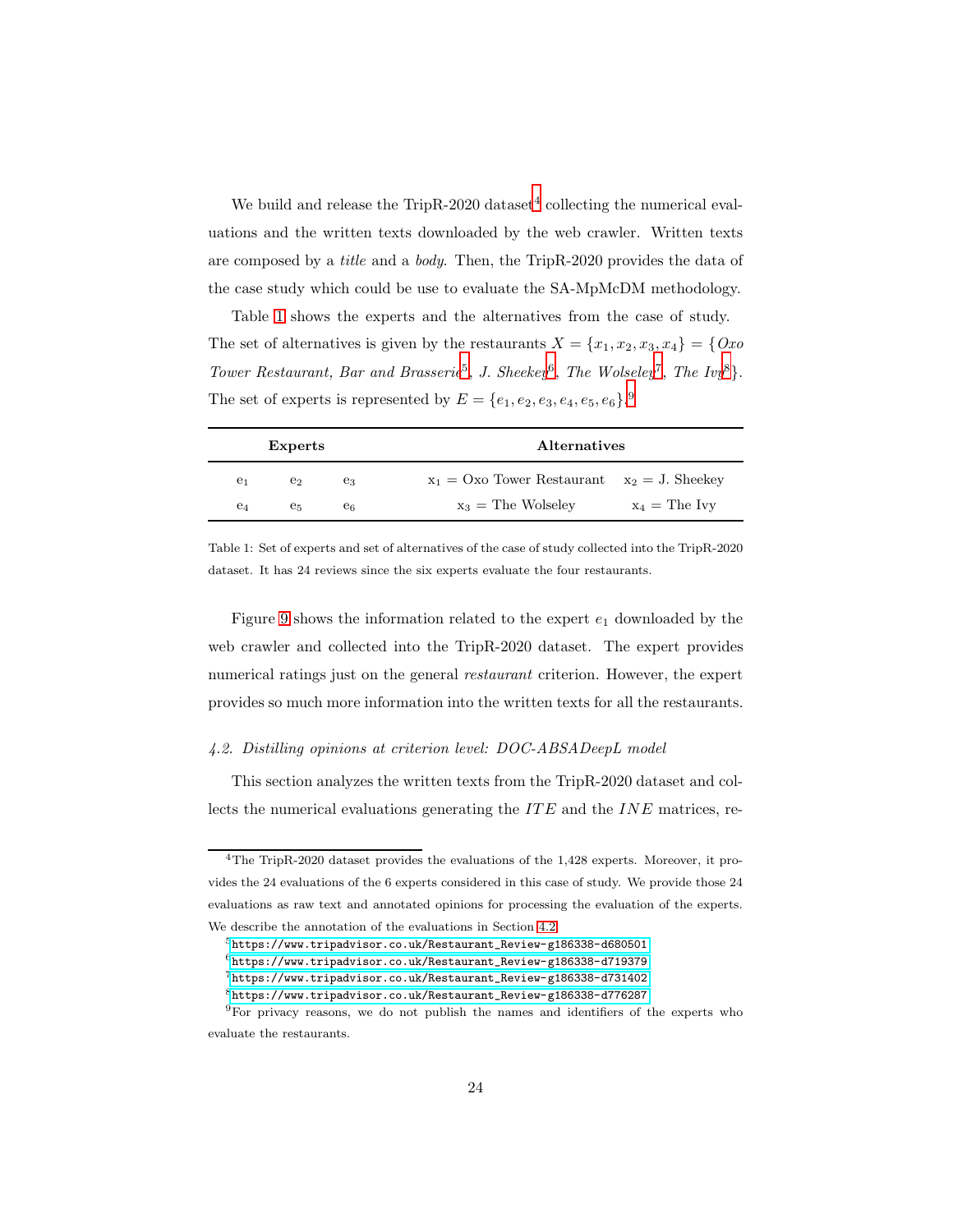We build and release the TripR-2020 dataset<sup>[4](#page-23-0)</sup> collecting the numerical evaluations and the written texts downloaded by the web crawler. Written texts are composed by a *title* and a *body*. Then, the TripR-2020 provides the data of the case study which could be use to evaluate the SA-MpMcDM methodology.

Table [1](#page-23-1) shows the experts and the alternatives from the case of study. The set of alternatives is given by the restaurants  $X = \{x_1, x_2, x_3, x_4\} = \{Ox_0\}$ *Tower Restaurant, Bar and Brasserie*[5](#page-23-2) , *J. Sheekey*[6](#page-23-3) , *The Wolseley*[7](#page-23-4) , *The Ivy*[8](#page-23-5)}. The set of experts is represented by  $E = \{e_1, e_2, e_3, e_4, e_5, e_6\}$ .

<span id="page-23-1"></span>

|                | <b>Experts</b> |                | <b>Alternatives</b>                               |                 |
|----------------|----------------|----------------|---------------------------------------------------|-----------------|
| e <sub>1</sub> | e2             | eз             | $x_1 = Ox_0$ Tower Restaurant $x_2 = J$ . Sheekey |                 |
| e4             | е5             | e <sub>6</sub> | $x_3$ = The Wolseley                              | $x_4$ = The Ivy |

Table 1: Set of experts and set of alternatives of the case of study collected into the TripR-2020 dataset. It has 24 reviews since the six experts evaluate the four restaurants.

Figure [9](#page-24-0) shows the information related to the expert  $e_1$  downloaded by the web crawler and collected into the TripR-2020 dataset. The expert provides numerical ratings just on the general *restaurant* criterion. However, the expert provides so much more information into the written texts for all the restaurants.

## <span id="page-23-7"></span>*4.2. Distilling opinions at criterion level: DOC-ABSADeepL model*

This section analyzes the written texts from the TripR-2020 dataset and collects the numerical evaluations generating the  $ITE$  and the  $INE$  matrices, re-

<span id="page-23-0"></span><sup>&</sup>lt;sup>4</sup>The TripR-2020 dataset provides the evaluations of the 1,428 experts. Moreover, it provides the 24 evaluations of the 6 experts considered in this case of study. We provide those 24 evaluations as raw text and annotated opinions for processing the evaluation of the experts. We describe the annotation of the evaluations in Section [4.2.](#page-23-7)

<sup>5</sup>[https://www.tripadvisor.co.uk/Restaurant\\_Review-g186338-d680501](https://www.tripadvisor.co.uk/Restaurant_Review-g186338-d680501)

<span id="page-23-2"></span> $6$ [https://www.tripadvisor.co.uk/Restaurant\\_Review-g186338-d719379](https://www.tripadvisor.co.uk/Restaurant_Review-g186338-d719379)

<span id="page-23-3"></span><sup>7</sup>[https://www.tripadvisor.co.uk/Restaurant\\_Review-g186338-d731402](https://www.tripadvisor.co.uk/Restaurant_Review-g186338-d731402)

<span id="page-23-5"></span><span id="page-23-4"></span><sup>8</sup>[https://www.tripadvisor.co.uk/Restaurant\\_Review-g186338-d776287](https://www.tripadvisor.co.uk/Restaurant_Review-g186338-d776287)

<span id="page-23-6"></span><sup>9</sup>For privacy reasons, we do not publish the names and identifiers of the experts who evaluate the restaurants.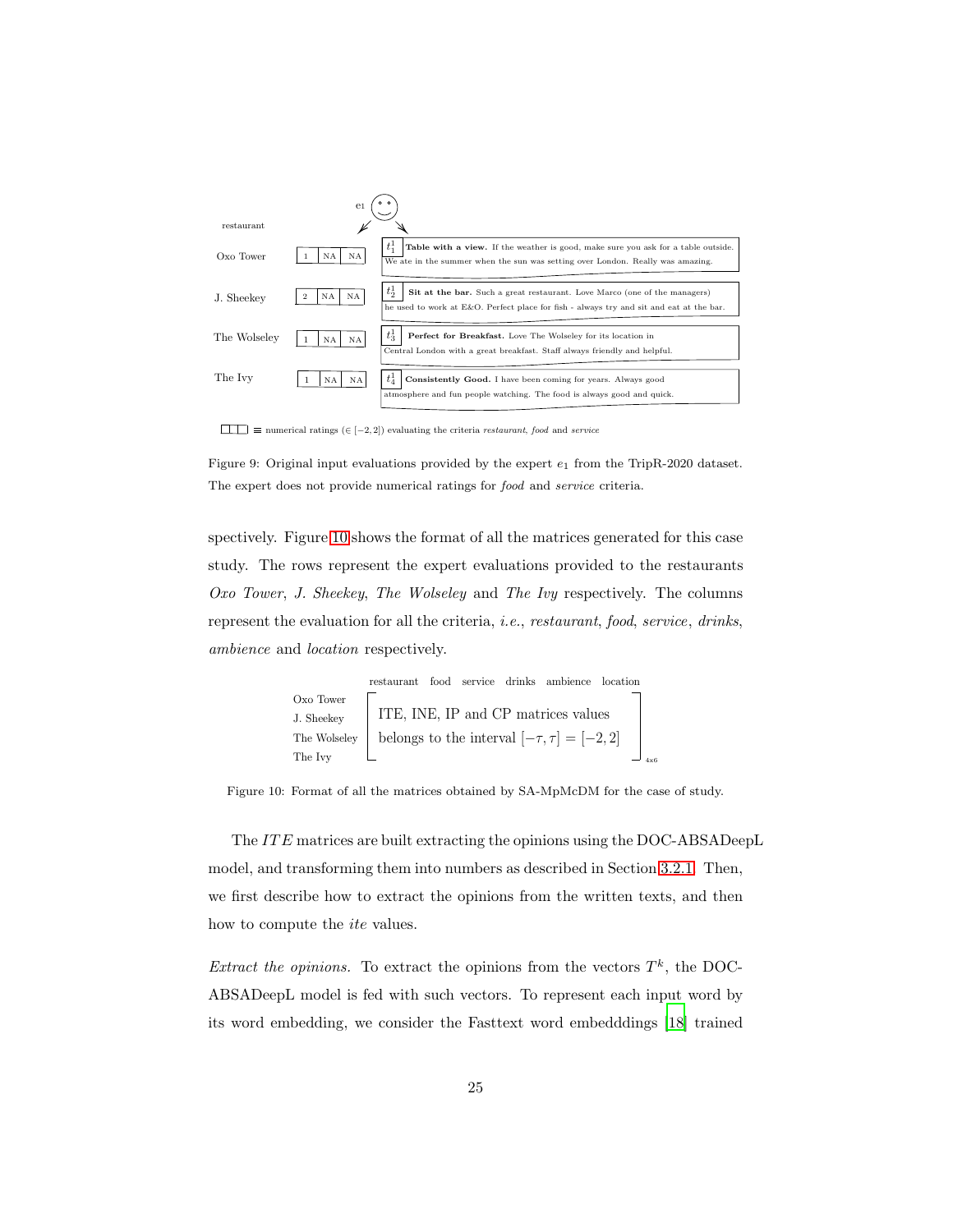<span id="page-24-0"></span>

numerical ratings (∈ [−2, 2]) evaluating the criteria *restaurant*, *food* and *service*

Figure 9: Original input evaluations provided by the expert e1 from the TripR-2020 dataset. The expert does not provide numerical ratings for *food* and *service* criteria.

spectively. Figure [10](#page-24-1) shows the format of all the matrices generated for this case study. The rows represent the expert evaluations provided to the restaurants *Oxo Tower*, *J. Sheekey*, *The Wolseley* and *The Ivy* respectively. The columns represent the evaluation for all the criteria, *i.e.*, *restaurant*, *food*, *service*, *drinks*, *ambience* and *location* respectively.

<span id="page-24-1"></span>restaurant food service drinks ambience location Oxo Tower J. Sheekey The Wolseley The Ivy ITE, INE, IP and CP matrices values belongs to the interval [−τ, τ ] = [−2, 2] 4x6

Figure 10: Format of all the matrices obtained by SA-MpMcDM for the case of study.

The ITE matrices are built extracting the opinions using the DOC-ABSADeepL model, and transforming them into numbers as described in Section [3.2.1.](#page-14-0) Then, we first describe how to extract the opinions from the written texts, and then how to compute the *ite* values.

*Extract the opinions.* To extract the opinions from the vectors  $T^k$ , the DOC-ABSADeepL model is fed with such vectors. To represent each input word by its word embedding, we consider the Fasttext word embedddings [\[18\]](#page-40-6) trained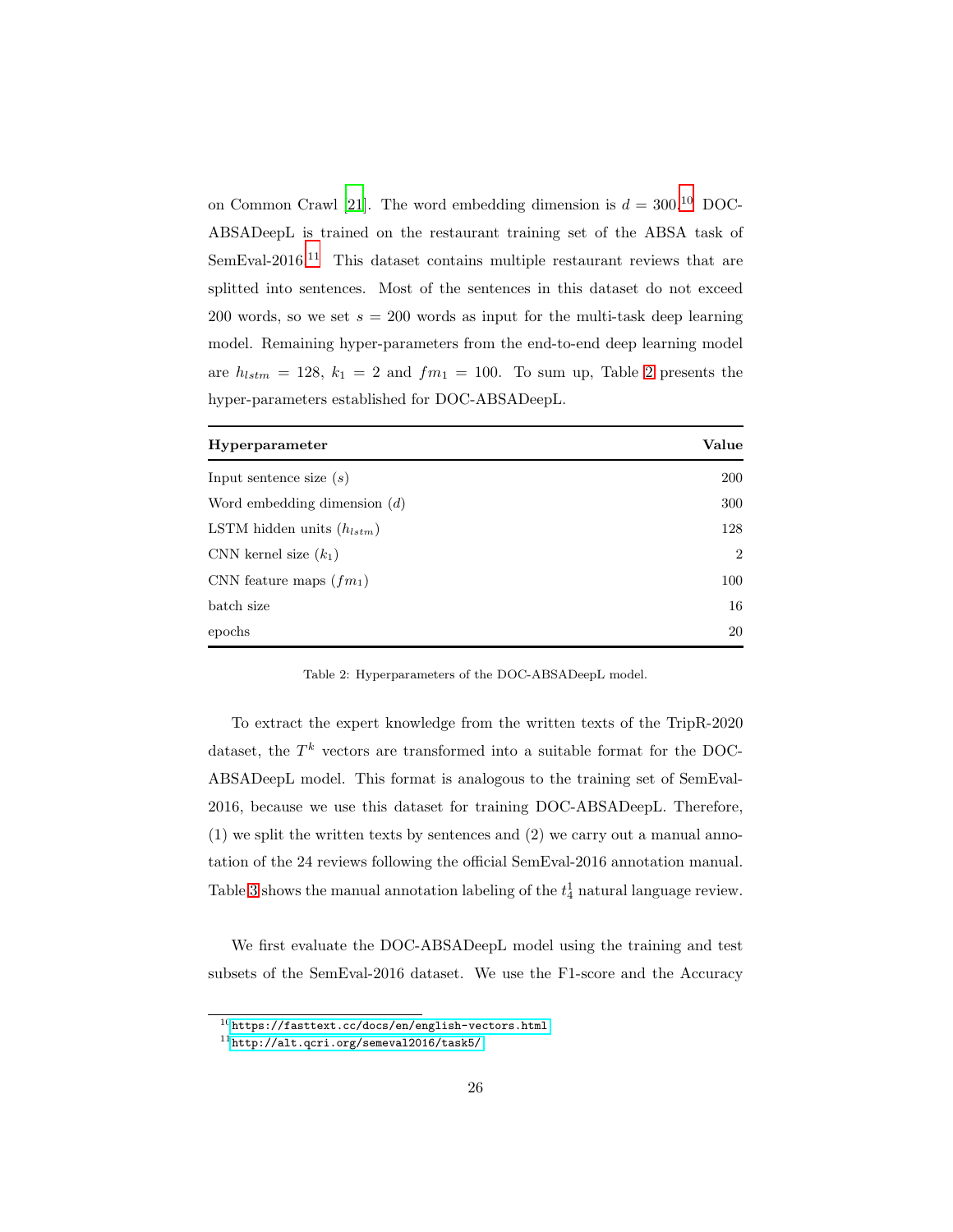on Common Crawl [\[21\]](#page-41-6). The word embedding dimension is  $d = 300^{10}$  $d = 300^{10}$  $d = 300^{10}$  DOC-ABSADeepL is trained on the restaurant training set of the ABSA task of  $SemEval-2016<sup>11</sup>$  $SemEval-2016<sup>11</sup>$  $SemEval-2016<sup>11</sup>$  This dataset contains multiple restaurant reviews that are splitted into sentences. Most of the sentences in this dataset do not exceed 200 words, so we set  $s = 200$  words as input for the multi-task deep learning model. Remaining hyper-parameters from the end-to-end deep learning model are  $h_{lstm} = 128$ ,  $k_1 = 2$  $k_1 = 2$  and  $fm_1 = 100$ . To sum up, Table 2 presents the hyper-parameters established for DOC-ABSADeepL.

<span id="page-25-2"></span>

| Hyperparameter                 | Value          |
|--------------------------------|----------------|
| Input sentence size $(s)$      | 200            |
| Word embedding dimension $(d)$ | 300            |
| LSTM hidden units $(h_{lstm})$ | 128            |
| CNN kernel size $(k_1)$        | $\overline{2}$ |
| CNN feature maps $(f_{m_1})$   | 100            |
| batch size                     | 16             |
| epochs                         | 20             |

Table 2: Hyperparameters of the DOC-ABSADeepL model.

To extract the expert knowledge from the written texts of the TripR-2020 dataset, the  $T^k$  vectors are transformed into a suitable format for the DOC-ABSADeepL model. This format is analogous to the training set of SemEval-2016, because we use this dataset for training DOC-ABSADeepL. Therefore, (1) we split the written texts by sentences and (2) we carry out a manual annotation of the 24 reviews following the official SemEval-2016 annotation manual. Table [3](#page-26-0) shows the manual annotation labeling of the  $t_4$ <sup>1</sup> natural language review.

We first evaluate the DOC-ABSADeepL model using the training and test subsets of the SemEval-2016 dataset. We use the F1-score and the Accuracy

<sup>10</sup><https://fasttext.cc/docs/en/english-vectors.html>

<span id="page-25-1"></span><span id="page-25-0"></span><sup>11</sup><http://alt.qcri.org/semeval2016/task5/>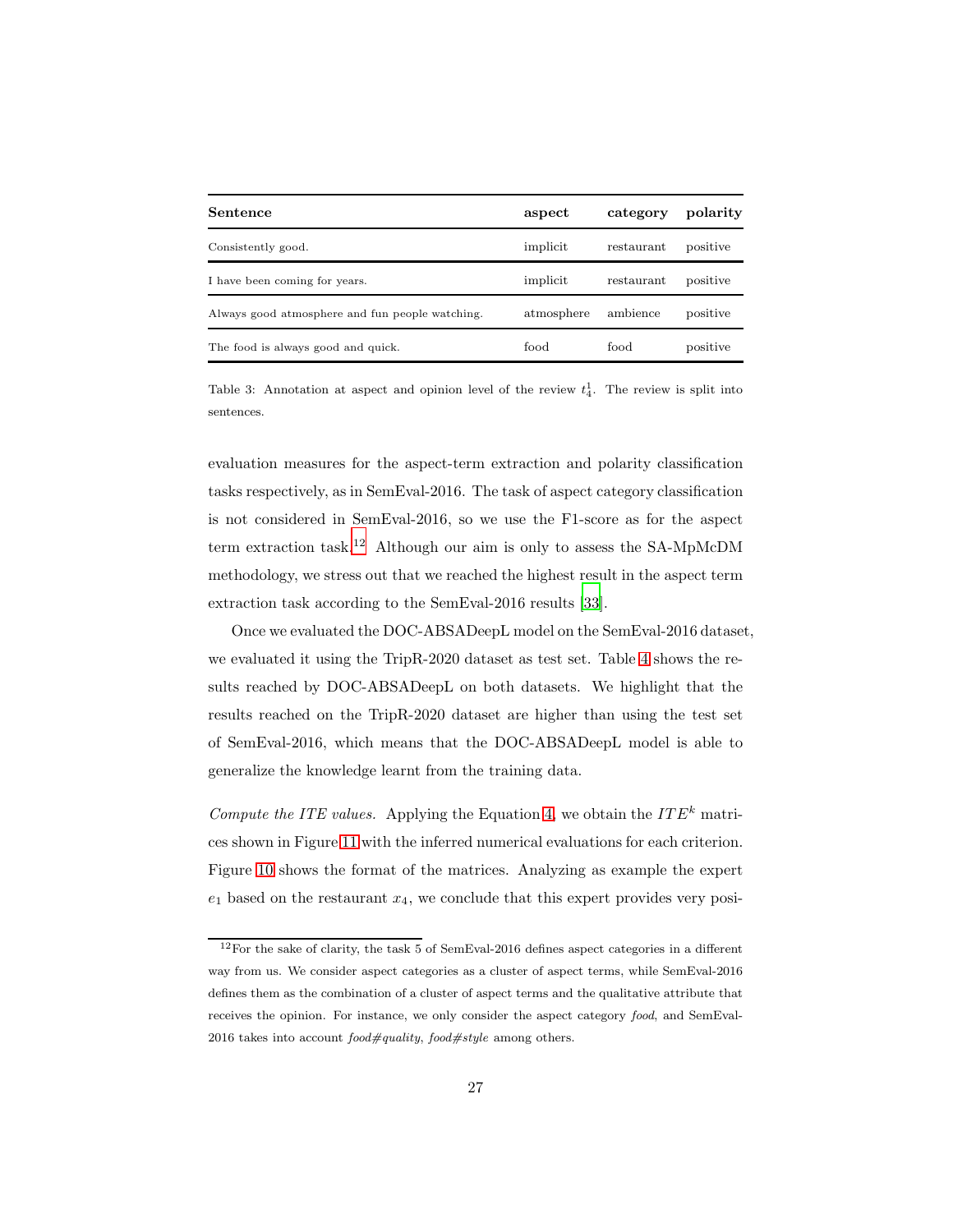<span id="page-26-0"></span>

| Sentence                                        | aspect     | category   | polarity |
|-------------------------------------------------|------------|------------|----------|
| Consistently good.                              | implicit   | restaurant | positive |
| I have been coming for years.                   | implicit   | restaurant | positive |
| Always good atmosphere and fun people watching. | atmosphere | ambience   | positive |
| The food is always good and quick.              | food       | food       | positive |

Table 3: Annotation at aspect and opinion level of the review  $t_4^1$ . The review is split into sentences.

evaluation measures for the aspect-term extraction and polarity classification tasks respectively, as in SemEval-2016. The task of aspect category classification is not considered in SemEval-2016, so we use the F1-score as for the aspect term extraction task.[12](#page-26-1) Although our aim is only to assess the SA-MpMcDM methodology, we stress out that we reached the highest result in the aspect term extraction task according to the SemEval-2016 results [\[33](#page-42-9)].

Once we evaluated the DOC-ABSADeepL model on the SemEval-2016 dataset, we evaluated it using the TripR-2020 dataset as test set. Table [4](#page-27-0) shows the results reached by DOC-ABSADeepL on both datasets. We highlight that the results reached on the TripR-2020 dataset are higher than using the test set of SemEval-2016, which means that the DOC-ABSADeepL model is able to generalize the knowledge learnt from the training data.

*Compute the ITE values.* Applying the Equation [4,](#page-17-0) we obtain the  $ITE^k$  matrices shown in Figure [11](#page-27-1) with the inferred numerical evaluations for each criterion. Figure [10](#page-24-1) shows the format of the matrices. Analyzing as example the expert  $e_1$  based on the restaurant  $x_4$ , we conclude that this expert provides very posi-

<span id="page-26-1"></span> $12$ For the sake of clarity, the task 5 of SemEval-2016 defines aspect categories in a different way from us. We consider aspect categories as a cluster of aspect terms, while SemEval-2016 defines them as the combination of a cluster of aspect terms and the qualitative attribute that receives the opinion. For instance, we only consider the aspect category *food*, and SemEval-2016 takes into account *food#quality*, *food#style* among others.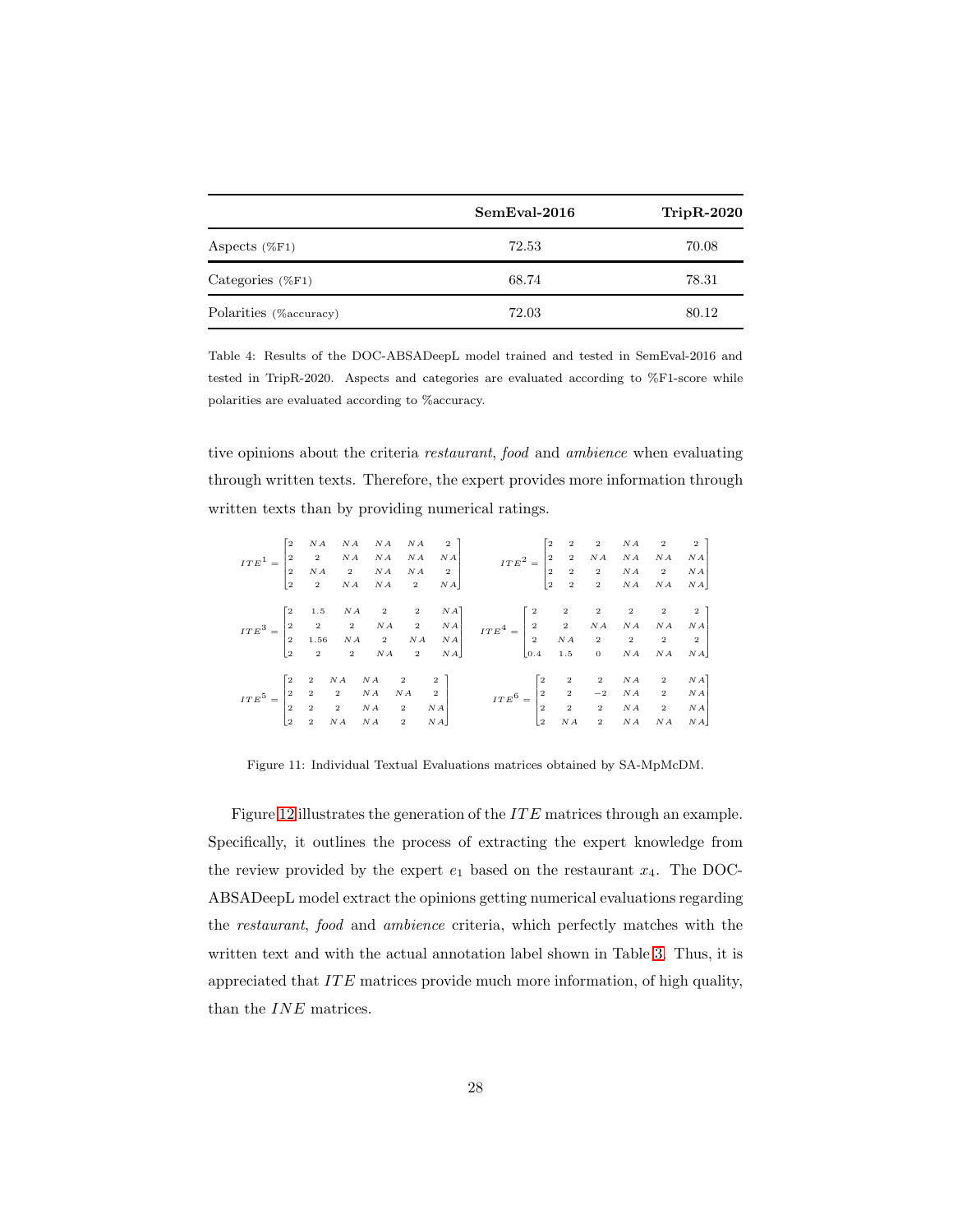<span id="page-27-0"></span>

|                         | SemEval-2016 | $TripR-2020$ |
|-------------------------|--------------|--------------|
| Aspects $(\%F1)$        | 72.53        | 70.08        |
| Categories $(\%F1)$     | 68.74        | 78.31        |
| Polarities (% accuracy) | 72.03        | 80.12        |

Table 4: Results of the DOC-ABSADeepL model trained and tested in SemEval-2016 and tested in TripR-2020. Aspects and categories are evaluated according to %F1-score while polarities are evaluated according to %accuracy.

tive opinions about the criteria *restaurant*, *food* and *ambience* when evaluating through written texts. Therefore, the expert provides more information through written texts than by providing numerical ratings.

<span id="page-27-1"></span>

|  |  |  |  | $\label{eq:ITE3} ITE^3 = \begin{bmatrix} 2 & 1.5 & NA & 2 & 2 & NA \\ 2 & 2 & 2 & NA & 2 & NA \\ 2 & 1.56 & NA & 2 & NA & NA \\ 2 & 2 & 2 & NA & 2 & NA \end{bmatrix} \quad ITE^4 = \begin{bmatrix} 2 & 2 & 2 & 2 & 2 & 2 \\ 2 & 2 & NA & NA & NA & NA \\ 2 & NA & 2 & 2 & 2 & 2 \\ 0.4 & 1.5 & 0 & NA & NA & NA \end{bmatrix}$ |  |  |  |
|--|--|--|--|---------------------------------------------------------------------------------------------------------------------------------------------------------------------------------------------------------------------------------------------------------------------------------------------------------------------------------|--|--|--|
|  |  |  |  |                                                                                                                                                                                                                                                                                                                                 |  |  |  |
|  |  |  |  |                                                                                                                                                                                                                                                                                                                                 |  |  |  |
|  |  |  |  |                                                                                                                                                                                                                                                                                                                                 |  |  |  |
|  |  |  |  |                                                                                                                                                                                                                                                                                                                                 |  |  |  |
|  |  |  |  |                                                                                                                                                                                                                                                                                                                                 |  |  |  |
|  |  |  |  |                                                                                                                                                                                                                                                                                                                                 |  |  |  |
|  |  |  |  |                                                                                                                                                                                                                                                                                                                                 |  |  |  |

Figure 11: Individual Textual Evaluations matrices obtained by SA-MpMcDM.

Figure [12](#page-28-0) illustrates the generation of the *ITE* matrices through an example. Specifically, it outlines the process of extracting the expert knowledge from the review provided by the expert  $e_1$  based on the restaurant  $x_4$ . The DOC-ABSADeepL model extract the opinions getting numerical evaluations regarding the *restaurant*, *food* and *ambience* criteria, which perfectly matches with the written text and with the actual annotation label shown in Table [3.](#page-26-0) Thus, it is appreciated that  $ITE$  matrices provide much more information, of high quality, than the  $INE$  matrices.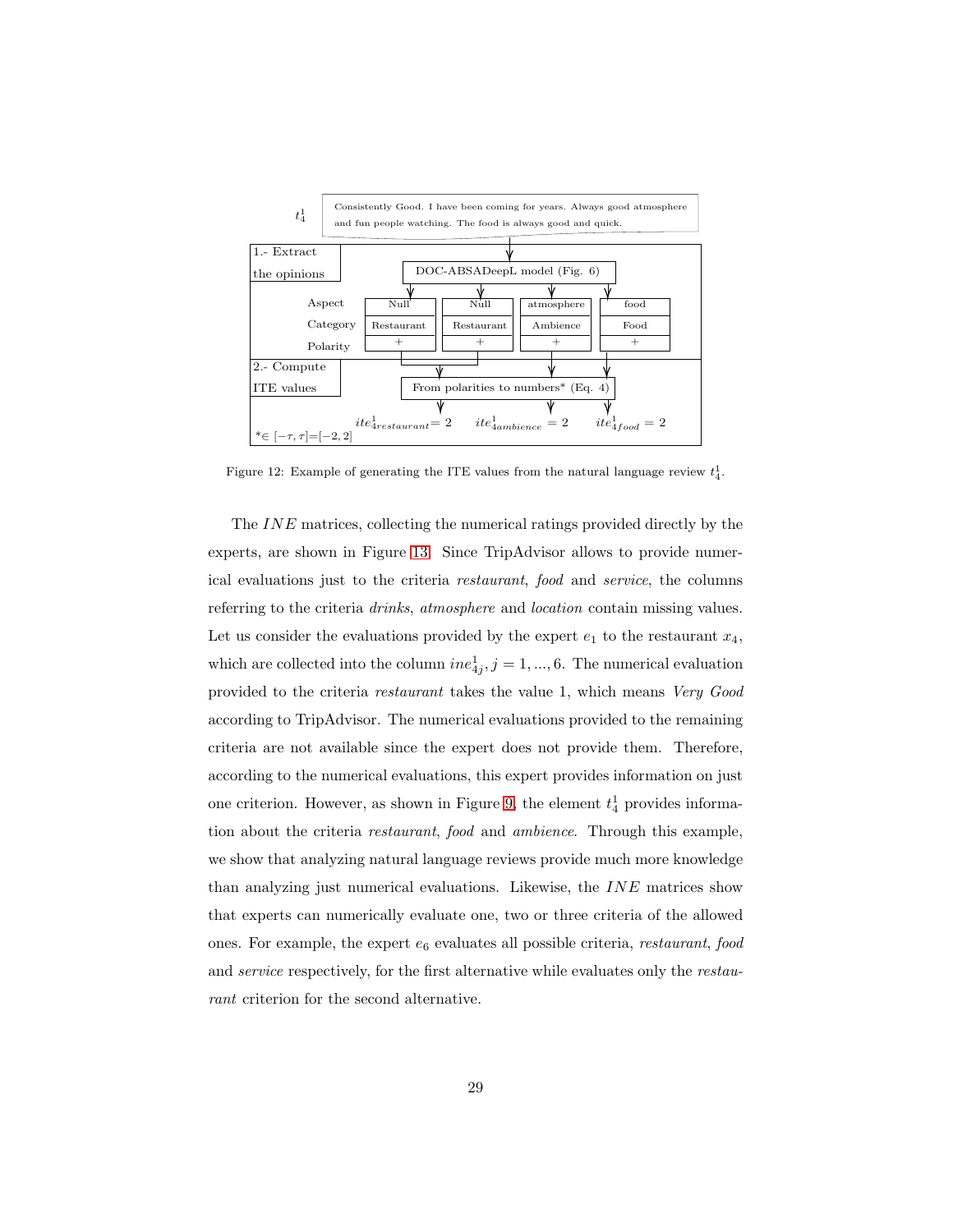<span id="page-28-0"></span>

Figure 12: Example of generating the ITE values from the natural language review  $t_4^1$ .

The INE matrices, collecting the numerical ratings provided directly by the experts, are shown in Figure [13.](#page-29-0) Since TripAdvisor allows to provide numerical evaluations just to the criteria *restaurant*, *food* and *service*, the columns referring to the criteria *drinks*, *atmosphere* and *location* contain missing values. Let us consider the evaluations provided by the expert  $e_1$  to the restaurant  $x_4$ , which are collected into the column  $ine_{4j}^1, j = 1, ..., 6$ . The numerical evaluation provided to the criteria *restaurant* takes the value 1, which means *Very Good* according to TripAdvisor. The numerical evaluations provided to the remaining criteria are not available since the expert does not provide them. Therefore, according to the numerical evaluations, this expert provides information on just one criterion. However, as shown in Figure [9,](#page-24-0) the element  $t_4^1$  provides information about the criteria *restaurant*, *food* and *ambience*. Through this example, we show that analyzing natural language reviews provide much more knowledge than analyzing just numerical evaluations. Likewise, the INE matrices show that experts can numerically evaluate one, two or three criteria of the allowed ones. For example, the expert e<sup>6</sup> evaluates all possible criteria, *restaurant*, *food* and *service* respectively, for the first alternative while evaluates only the *restaurant* criterion for the second alternative.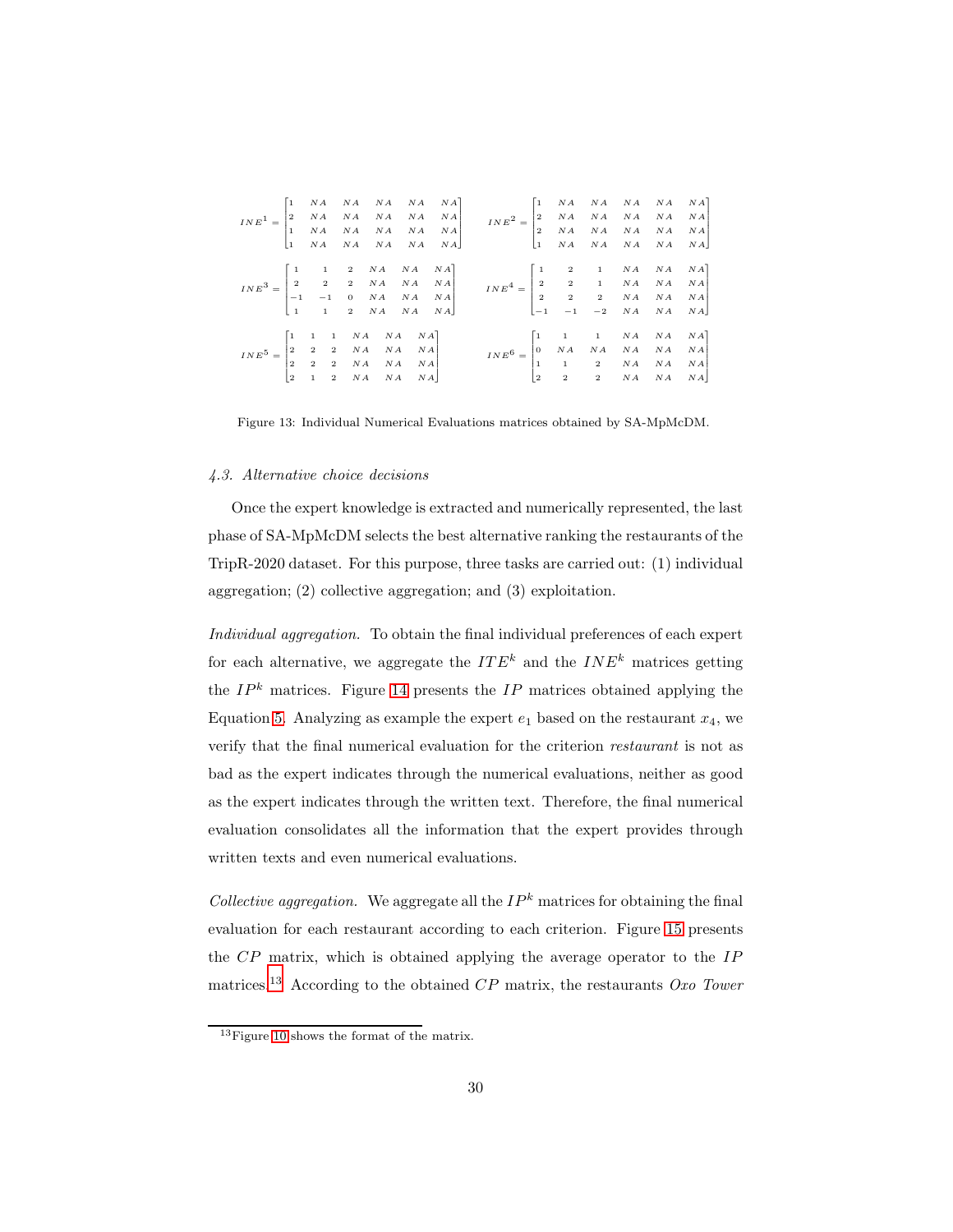<span id="page-29-0"></span>

|                                                                                                                                                         |  |  |  | $\small INE^1=\begin{bmatrix} 1 & NA & NA & NA & NA & NA & NA\\ 2 & NA & NA & NA & NA & NA & NA\\ 1 & NA & NA & NA & NA & NA & NA\\ 1 & NA & NA & NA & NA & NA & NA\\ \end{bmatrix}\begin{bmatrix} 1 & NA & NA & NA & NA & NA\\ 1 & MA & NA & NA & NA & NA\\ 1 & MA & NA & NA & NA & NA\\ 1 & NA & NA & NA & NA & NA & NA\\ 1 & NA & NA & NA & NA & NA & NA\\ \end{bmatrix}$ |  |  |  |
|---------------------------------------------------------------------------------------------------------------------------------------------------------|--|--|--|------------------------------------------------------------------------------------------------------------------------------------------------------------------------------------------------------------------------------------------------------------------------------------------------------------------------------------------------------------------------------|--|--|--|
|                                                                                                                                                         |  |  |  | $\label{eq:INE3} INE^3 = \begin{bmatrix} 1 & 1 & 2 & NA & NA & NA \\ 2 & 2 & 2 & NA & NA & NA \\ -1 & -1 & 0 & NA & NA & NA \\ 1 & 1 & 2 & NA & NA & NA \\ \end{bmatrix} \quad \quad \quad \nonumber \\ INE^4 = \begin{bmatrix} 1 & 2 & 1 & NA & NA & NA \\ 2 & 2 & 1 & NA & NA & NA \\ 2 & 2 & 2 & NA & NA & NA \\ -1 & -1 & -2 & NA & NA & NA \\ \end{bmatrix}$            |  |  |  |
| $INE^5 = \begin{bmatrix} 1 & 1 & 1 & NA & NA & NA \\ 2 & 2 & 2 & NA & NA & NA \\ 2 & 2 & 2 & NA & NA & NA \\ 2 & 1 & 2 & NA & NA & NA \\ \end{bmatrix}$ |  |  |  | $\label{eq:INE} INE^6 = \begin{bmatrix} 1 & 1 & 1 & NA & NA & NA & NA \\ 0 & NA & NA & NA & NA & NA & NA \\ 1 & 1 & 2 & NA & NA & NA & NA \\ 2 & 2 & 2 & NA & NA & NA & NA \end{bmatrix}$                                                                                                                                                                                    |  |  |  |

Figure 13: Individual Numerical Evaluations matrices obtained by SA-MpMcDM.

#### *4.3. Alternative choice decisions*

Once the expert knowledge is extracted and numerically represented, the last phase of SA-MpMcDM selects the best alternative ranking the restaurants of the TripR-2020 dataset. For this purpose, three tasks are carried out: (1) individual aggregation; (2) collective aggregation; and (3) exploitation.

*Individual aggregation.* To obtain the final individual preferences of each expert for each alternative, we aggregate the  $ITE^k$  and the  $INE^k$  matrices getting the  $IP<sup>k</sup>$  matrices. Figure [14](#page-30-0) presents the  $IP$  matrices obtained applying the Equation [5.](#page-19-0) Analyzing as example the expert  $e_1$  based on the restaurant  $x_4$ , we verify that the final numerical evaluation for the criterion *restaurant* is not as bad as the expert indicates through the numerical evaluations, neither as good as the expert indicates through the written text. Therefore, the final numerical evaluation consolidates all the information that the expert provides through written texts and even numerical evaluations.

*Collective aggregation.* We aggregate all the  $IP<sup>k</sup>$  matrices for obtaining the final evaluation for each restaurant according to each criterion. Figure [15](#page-30-1) presents the CP matrix, which is obtained applying the average operator to the IP matrices.[13](#page-29-1) According to the obtained CP matrix, the restaurants *Oxo Tower*

<span id="page-29-1"></span><sup>&</sup>lt;sup>13</sup>Figure [10](#page-24-1) shows the format of the matrix.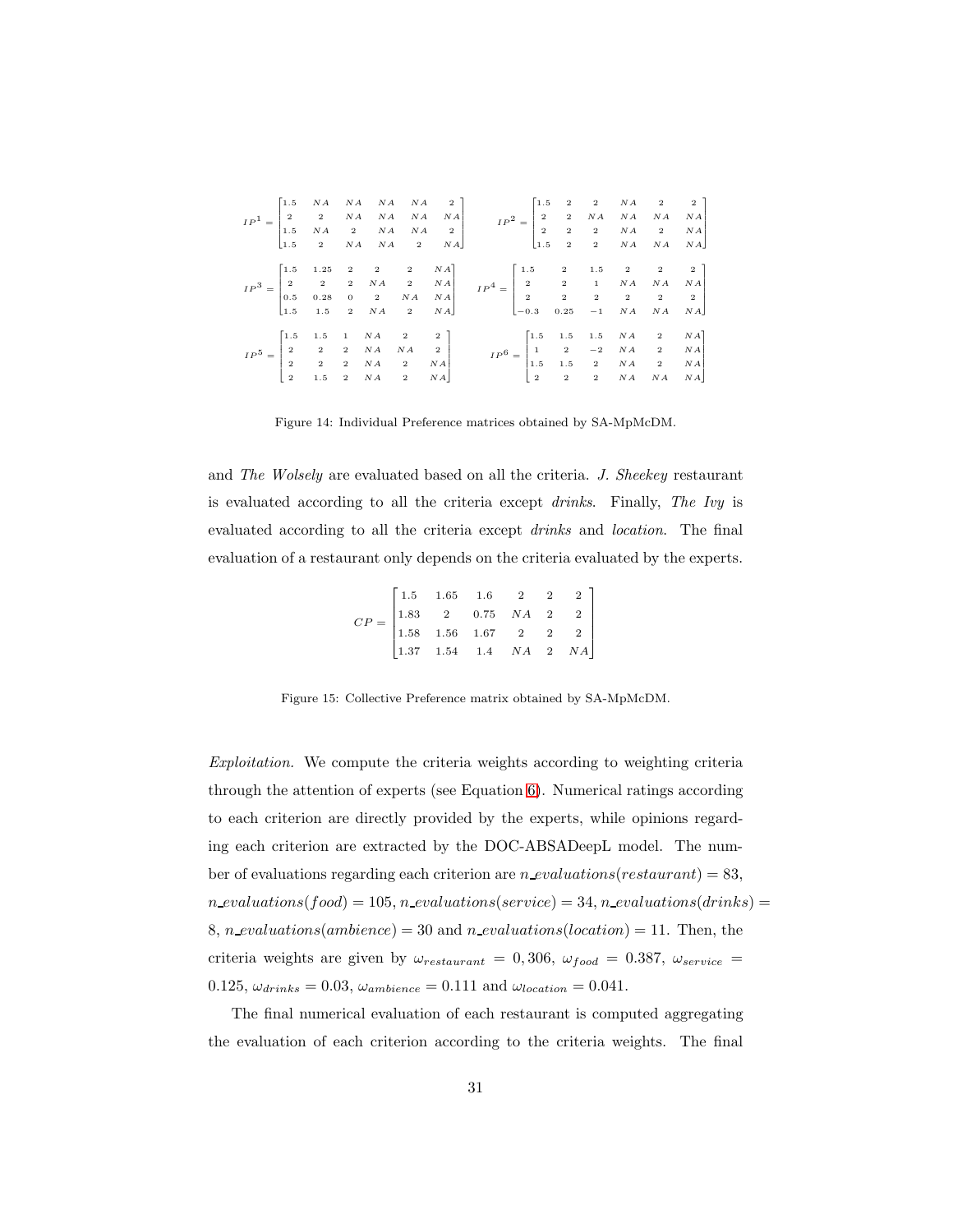<span id="page-30-0"></span>

|  |  |  |  | $\label{eq:IP3} IP^3 = \begin{bmatrix} 1.5 & 1.25 & 2 & 2 & 2 & NA \\ 2 & 2 & 2 & NA & 2 & NA \\ 0.5 & 0.28 & 0 & 2 & NA & NA \\ 1.5 & 1.5 & 2 & NA & 2 & NA \end{bmatrix} \qquad IP^4 = \begin{bmatrix} 1.5 & 2 & 1.5 & 2 & 2 & 2 \\ 2 & 2 & 1 & NA & NA & NA \\ 2 & 2 & 2 & 2 & 2 & 2 \\ -0.3 & 0.25 & -1 & NA & NA & NA \end{bmatrix}$ |  |  |  |
|--|--|--|--|-------------------------------------------------------------------------------------------------------------------------------------------------------------------------------------------------------------------------------------------------------------------------------------------------------------------------------------------|--|--|--|
|  |  |  |  |                                                                                                                                                                                                                                                                                                                                           |  |  |  |
|  |  |  |  |                                                                                                                                                                                                                                                                                                                                           |  |  |  |
|  |  |  |  |                                                                                                                                                                                                                                                                                                                                           |  |  |  |
|  |  |  |  |                                                                                                                                                                                                                                                                                                                                           |  |  |  |
|  |  |  |  |                                                                                                                                                                                                                                                                                                                                           |  |  |  |
|  |  |  |  |                                                                                                                                                                                                                                                                                                                                           |  |  |  |

Figure 14: Individual Preference matrices obtained by SA-MpMcDM.

<span id="page-30-1"></span>and *The Wolsely* are evaluated based on all the criteria. *J. Sheekey* restaurant is evaluated according to all the criteria except *drinks*. Finally, *The Ivy* is evaluated according to all the criteria except *drinks* and *location*. The final evaluation of a restaurant only depends on the criteria evaluated by the experts.

$$
CP = \begin{bmatrix} 1.5 & 1.65 & 1.6 & 2 & 2 & 2 \\ 1.83 & 2 & 0.75 & NA & 2 & 2 \\ 1.58 & 1.56 & 1.67 & 2 & 2 & 2 \\ 1.37 & 1.54 & 1.4 & NA & 2 & NA \end{bmatrix}
$$

Figure 15: Collective Preference matrix obtained by SA-MpMcDM.

*Exploitation.* We compute the criteria weights according to weighting criteria through the attention of experts (see Equation [6\)](#page-20-2). Numerical ratings according to each criterion are directly provided by the experts, while opinions regarding each criterion are extracted by the DOC-ABSADeepL model. The number of evaluations regarding each criterion are n evaluations (restaurant) = 83,  $n$  evaluations(food) = 105,  $n$  evaluations(service) = 34,  $n$  evaluations(drinks) = 8, n evaluations(ambience) = 30 and n evaluations(location) = 11. Then, the criteria weights are given by  $\omega_{res{taurant}} = 0,306, \omega_{food} = 0.387, \omega_{service} =$ 0.125,  $\omega_{drinks} = 0.03$ ,  $\omega_{ambience} = 0.111$  and  $\omega_{location} = 0.041$ .

The final numerical evaluation of each restaurant is computed aggregating the evaluation of each criterion according to the criteria weights. The final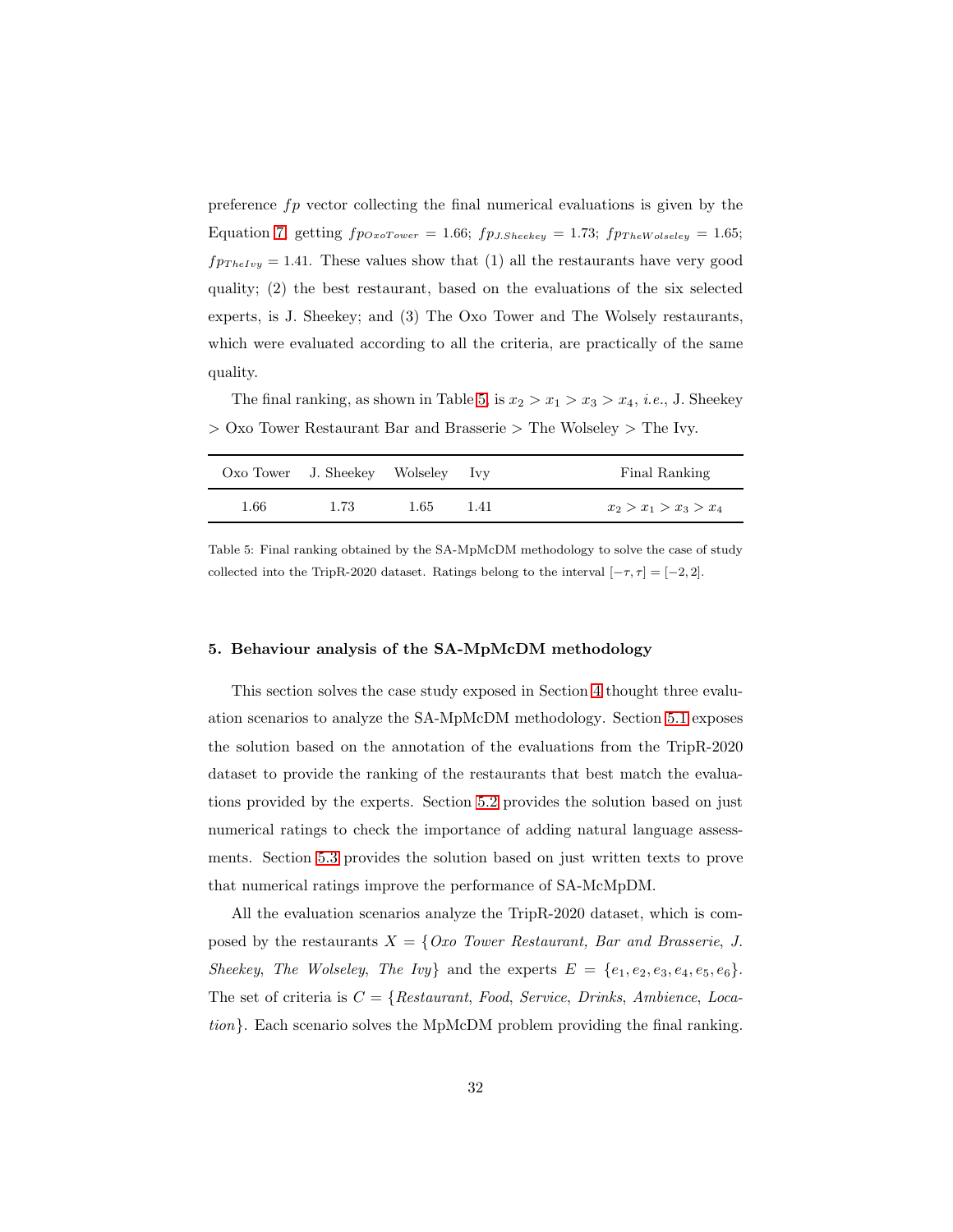preference  $fp$  vector collecting the final numerical evaluations is given by the Equation [7,](#page-20-3) getting  $fp_{OxoTower} = 1.66$ ;  $fp_{J.Sheekey} = 1.73$ ;  $fp_{TheWoleseley} = 1.65$ ;  $fp_{TheIvy} = 1.41$ . These values show that (1) all the restaurants have very good quality; (2) the best restaurant, based on the evaluations of the six selected experts, is J. Sheekey; and (3) The Oxo Tower and The Wolsely restaurants, which were evaluated according to all the criteria, are practically of the same quality.

<span id="page-31-1"></span>The final ranking, as shown in Table [5,](#page-31-1) is  $x_2 > x_1 > x_3 > x_4$ , *i.e.*, J. Sheekey > Oxo Tower Restaurant Bar and Brasserie > The Wolseley > The Ivy.

|      | Oxo Tower J. Sheekey Wolseley Ivy |      |      | Final Ranking           |
|------|-----------------------------------|------|------|-------------------------|
| 1.66 | 1.73                              | 1.65 | 1.41 | $x_2 > x_1 > x_3 > x_4$ |

Table 5: Final ranking obtained by the SA-MpMcDM methodology to solve the case of study collected into the TripR-2020 dataset. Ratings belong to the interval  $[-\tau, \tau] = [-2, 2]$ .

## <span id="page-31-0"></span>5. Behaviour analysis of the SA-MpMcDM methodology

This section solves the case study exposed in Section [4](#page-20-0) thought three evaluation scenarios to analyze the SA-MpMcDM methodology. Section [5.1](#page-32-0) exposes the solution based on the annotation of the evaluations from the TripR-2020 dataset to provide the ranking of the restaurants that best match the evaluations provided by the experts. Section [5.2](#page-33-0) provides the solution based on just numerical ratings to check the importance of adding natural language assessments. Section [5.3](#page-34-0) provides the solution based on just written texts to prove that numerical ratings improve the performance of SA-McMpDM.

All the evaluation scenarios analyze the TripR-2020 dataset, which is composed by the restaurants  $X = \{Ox0\}$  Tower Restaurant, Bar and Brasserie, J. *Sheekey*, *The Wolseley*, *The Ivy*} and the experts  $E = \{e_1, e_2, e_3, e_4, e_5, e_6\}.$ The set of criteria is C = {*Restaurant*, *Food*, *Service*, *Drinks*, *Ambience*, *Location*}. Each scenario solves the MpMcDM problem providing the final ranking.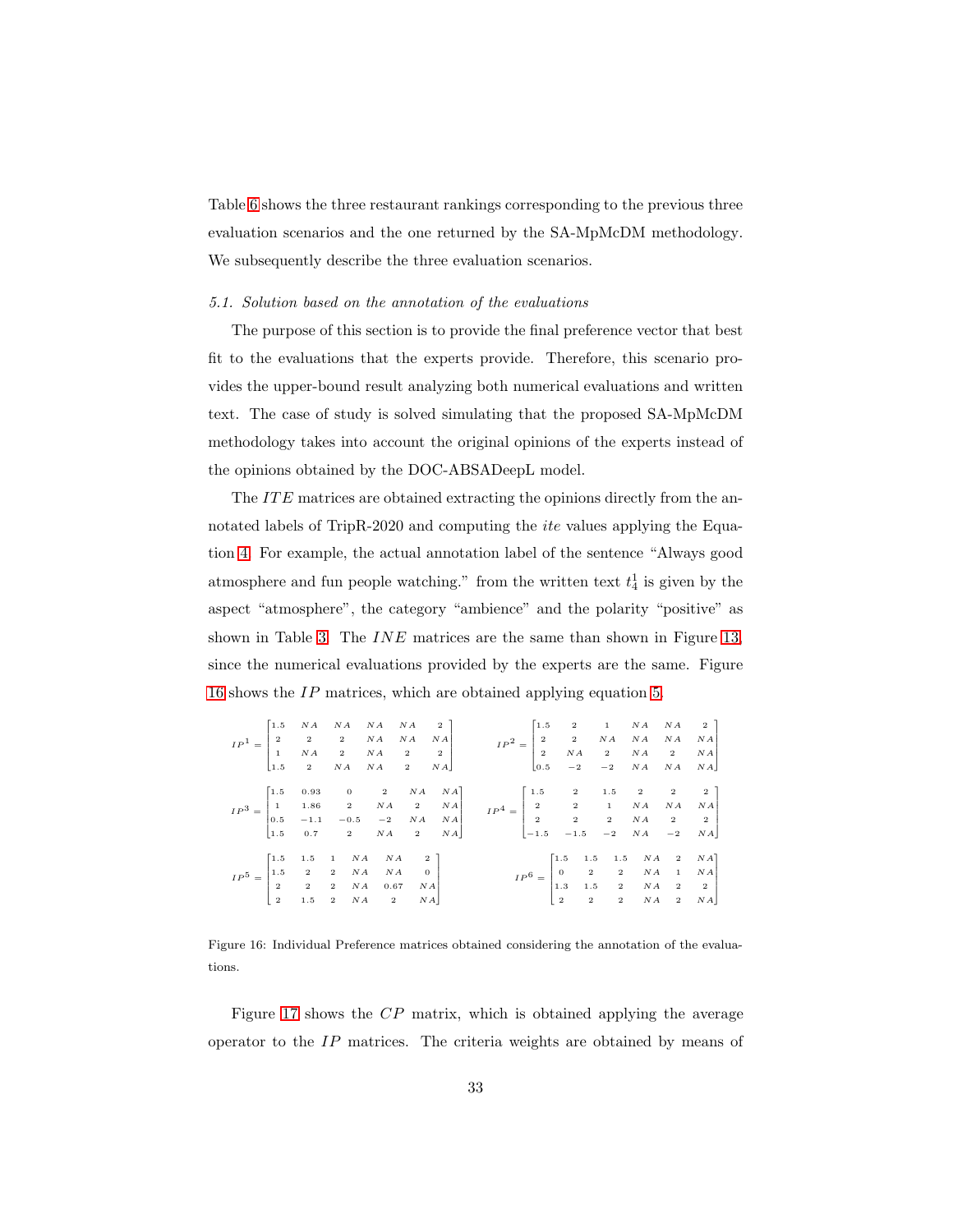Table [6](#page-35-0) shows the three restaurant rankings corresponding to the previous three evaluation scenarios and the one returned by the SA-MpMcDM methodology. We subsequently describe the three evaluation scenarios.

## <span id="page-32-0"></span>*5.1. Solution based on the annotation of the evaluations*

The purpose of this section is to provide the final preference vector that best fit to the evaluations that the experts provide. Therefore, this scenario provides the upper-bound result analyzing both numerical evaluations and written text. The case of study is solved simulating that the proposed SA-MpMcDM methodology takes into account the original opinions of the experts instead of the opinions obtained by the DOC-ABSADeepL model.

The ITE matrices are obtained extracting the opinions directly from the annotated labels of TripR-2020 and computing the *ite* values applying the Equation [4.](#page-17-0) For example, the actual annotation label of the sentence "Always good atmosphere and fun people watching." from the written text  $t_4^1$  is given by the aspect "atmosphere", the category "ambience" and the polarity "positive" as shown in Table [3.](#page-26-0) The INE matrices are the same than shown in Figure [13,](#page-29-0) since the numerical evaluations provided by the experts are the same. Figure [16](#page-32-1) shows the IP matrices, which are obtained applying equation [5.](#page-19-0)

<span id="page-32-1"></span>

|  |  |                                                                                                                                                                                      |  | $\label{eq:IP} IP^1 = \begin{bmatrix} 1.5 & NA & NA & NA & NA & 2 \\ 2 & 2 & 2 & NA & NA & NA \\ 1 & NA & 2 & NA & 2 & 2 \\ 1.5 & 2 & NA & NA & 2 & NA \\ \end{bmatrix} \hspace{1cm} IP^2 = \begin{bmatrix} 1.5 & 2 & 1 & NA & NA & 2 \\ 2 & 2 & NA & NA & NA & NA \\ 2 & NA & 2 & NA & 2 & NA \\ 0.5 & -2 & -2 & NA & NA & NA \\ \end{bmatrix}$        |                                                                                                                                                                        |  |  |
|--|--|--------------------------------------------------------------------------------------------------------------------------------------------------------------------------------------|--|---------------------------------------------------------------------------------------------------------------------------------------------------------------------------------------------------------------------------------------------------------------------------------------------------------------------------------------------------------|------------------------------------------------------------------------------------------------------------------------------------------------------------------------|--|--|
|  |  |                                                                                                                                                                                      |  | $\label{eq:IP3} IP^3 = \begin{bmatrix} 1.5 & 0.93 & 0 & 2 & NA & NA \\ 1 & 1.86 & 2 & NA & 2 & NA \\ 0.5 & -1.1 & -0.5 & -2 & NA & NA \\ 1.5 & 0.7 & 2 & NA & 2 & NA \end{bmatrix} \quad \quad IP^4 = \begin{bmatrix} 1.5 & 2 & 1.5 & 2 & 2 & 2 \\ 2 & 2 & 1 & NA & NA & NA \\ 2 & 2 & 2 & NA & 2 & 2 \\ -1.5 & -1.5 & -2 & NA & -2 & NA \end{bmatrix}$ |                                                                                                                                                                        |  |  |
|  |  | $\label{eq:IP5} IP^{\tilde{5}} = \begin{bmatrix} 1.5 & 1.5 & 1 & NA & NA & 2 \\ 1.5 & 2 & 2 & NA & NA & 0 \\ 2 & 2 & 2 & NA & 0.67 & NA \\ 2 & 1.5 & 2 & NA & 2 & NA \end{bmatrix}.$ |  |                                                                                                                                                                                                                                                                                                                                                         | $\label{eq:IP} IP^6 = \begin{bmatrix} 1.5 & 1.5 & 1.5 & NA & 2 & NA \\ 0 & 2 & 2 & NA & 1 & NA \\ 1.3 & 1.5 & 2 & NA & 2 & 2 \\ 2 & 2 & 2 & NA & 2 & NA \end{bmatrix}$ |  |  |

Figure 16: Individual Preference matrices obtained considering the annotation of the evaluations.

Figure [17](#page-33-1) shows the CP matrix, which is obtained applying the average operator to the  $IP$  matrices. The criteria weights are obtained by means of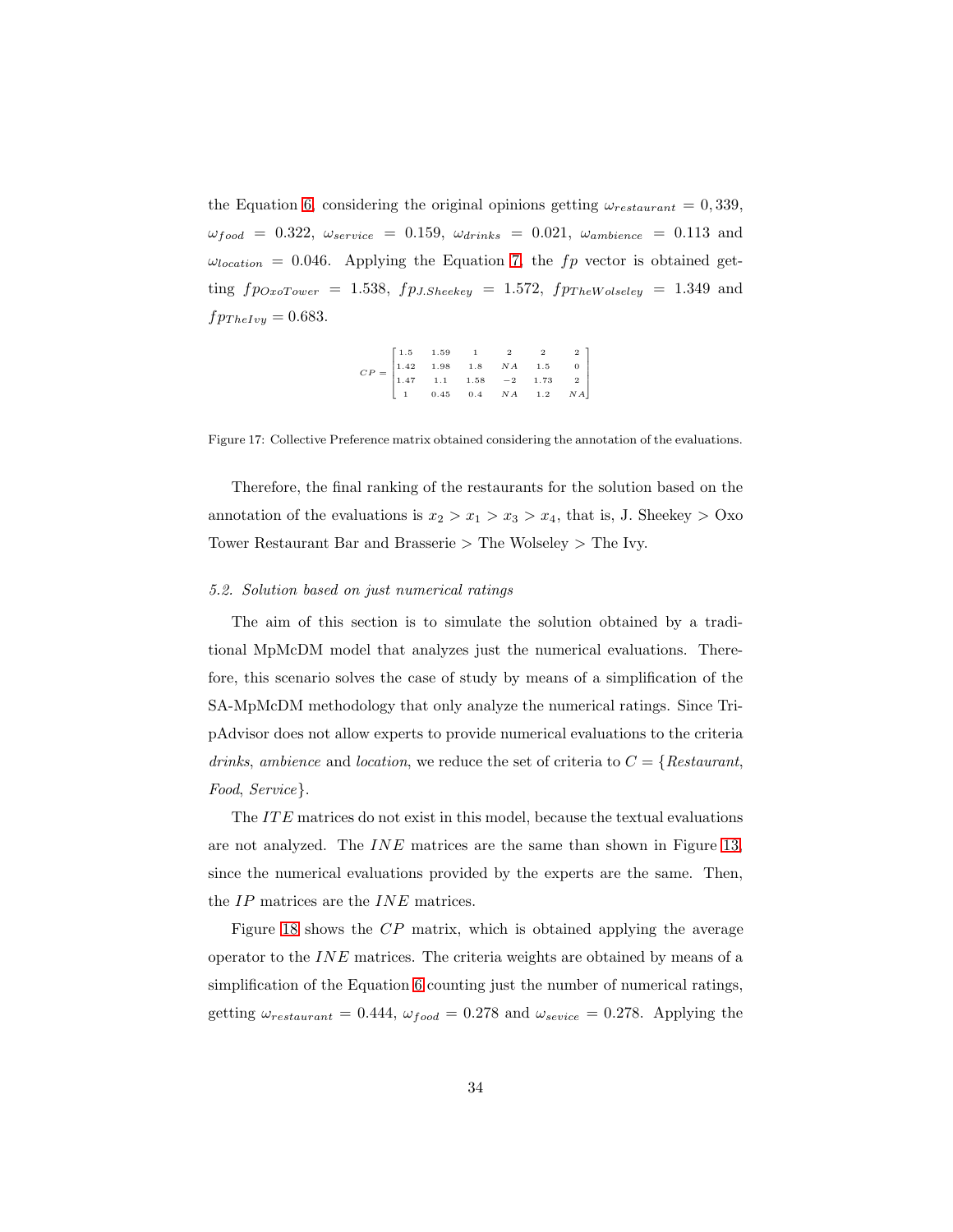<span id="page-33-1"></span>the Equation [6,](#page-20-2) considering the original opinions getting  $\omega_{restaurant} = 0,339$ ,  $\omega_{food} = 0.322, \ \omega_{service} = 0.159, \ \omega_{drinks} = 0.021, \ \omega_{ambience} = 0.113$  and  $\omega_{location} = 0.046$ . Applying the Equation [7,](#page-20-3) the f<sub>p</sub> vector is obtained getting  $fp_{OxoTower} = 1.538$ ,  $fp_{J.Sheekey} = 1.572$ ,  $fp_{TheWolesley} = 1.349$  and  $f p_{TheIvu} = 0.683.$ 

$$
CP=\begin{bmatrix}1.5&1.59&1&2&2&2\\1.42&1.98&1.8&NA&1.5&0\\1.47&1.1&1.58&-2&1.73&2\\1&0.45&0.4&NA&1.2&NA\end{bmatrix}
$$

Figure 17: Collective Preference matrix obtained considering the annotation of the evaluations.

Therefore, the final ranking of the restaurants for the solution based on the annotation of the evaluations is  $x_2 > x_1 > x_3 > x_4$ , that is, J. Sheekey  $> 0$ xo Tower Restaurant Bar and Brasserie > The Wolseley > The Ivy.

#### <span id="page-33-0"></span>*5.2. Solution based on just numerical ratings*

The aim of this section is to simulate the solution obtained by a traditional MpMcDM model that analyzes just the numerical evaluations. Therefore, this scenario solves the case of study by means of a simplification of the SA-MpMcDM methodology that only analyze the numerical ratings. Since TripAdvisor does not allow experts to provide numerical evaluations to the criteria *drinks*, *ambience* and *location*, we reduce the set of criteria to C = {*Restaurant*, *Food*, *Service*}.

The ITE matrices do not exist in this model, because the textual evaluations are not analyzed. The INE matrices are the same than shown in Figure [13,](#page-29-0) since the numerical evaluations provided by the experts are the same. Then, the IP matrices are the INE matrices.

Figure [18](#page-34-1) shows the CP matrix, which is obtained applying the average operator to the  $INE$  matrices. The criteria weights are obtained by means of a simplification of the Equation [6](#page-20-2) counting just the number of numerical ratings, getting  $\omega_{restaurant} = 0.444$ ,  $\omega_{food} = 0.278$  and  $\omega_{sevice} = 0.278$ . Applying the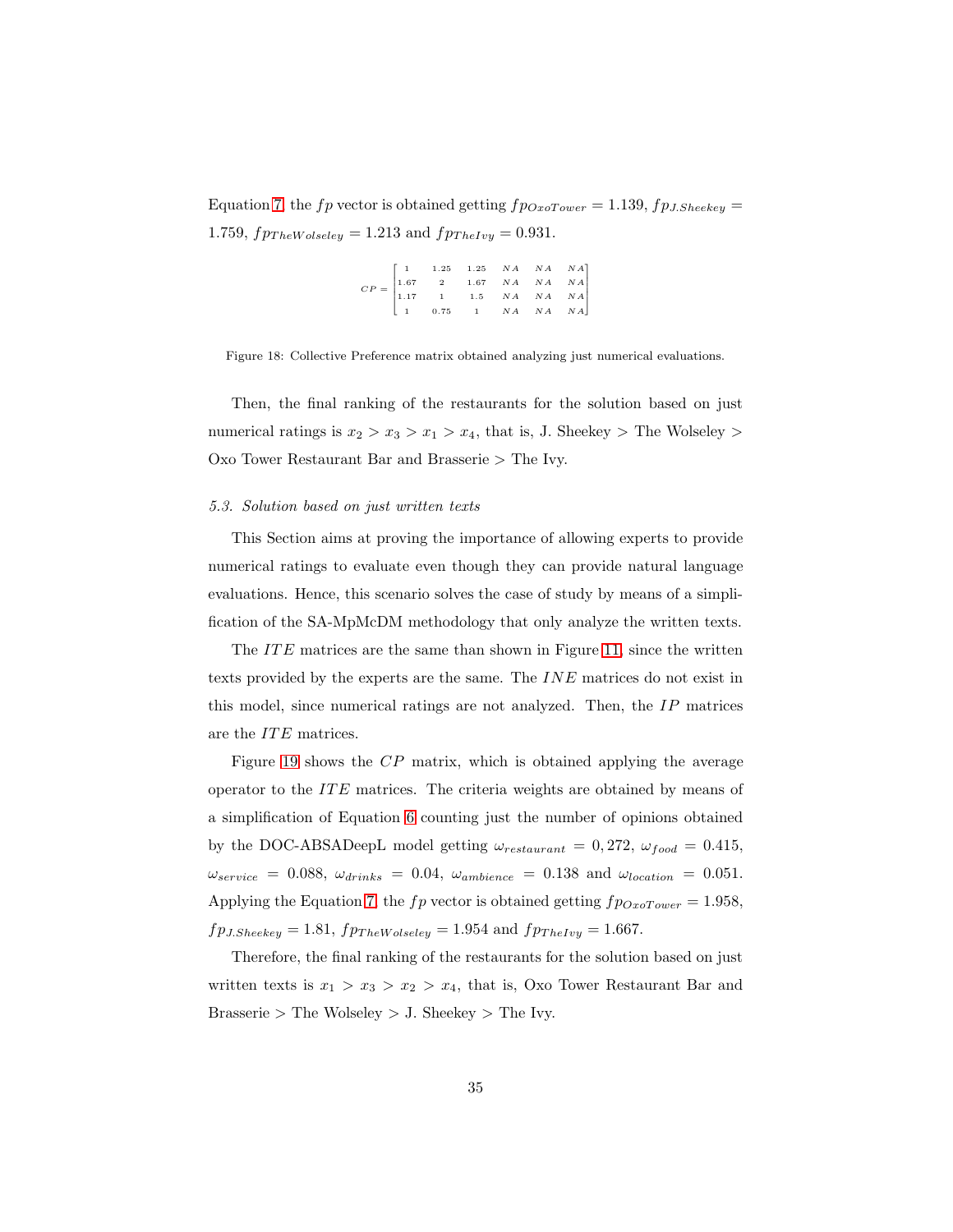<span id="page-34-1"></span>Equation [7,](#page-20-3) the f p vector is obtained getting  $fp_{OxoTower} = 1.139, fp_{J.Sheekey} =$ 1.759,  $fp_{The Wolesley} = 1.213$  and  $fp_{TheIvy} = 0.931$ .

| $\label{eq:CP} CP = \begin{bmatrix} 1 & 1.25 & 1.25 & NA & NA & NA & NA\\ 1.67 & 2 & 1.67 & NA & NA & NA\\ 1.17 & 1 & 1.5 & NA & NA & NA\\ 1 & 0.75 & 1 & NA & NA & NA\\ \end{bmatrix}$ |  |  |  |
|-----------------------------------------------------------------------------------------------------------------------------------------------------------------------------------------|--|--|--|
|                                                                                                                                                                                         |  |  |  |
|                                                                                                                                                                                         |  |  |  |

Figure 18: Collective Preference matrix obtained analyzing just numerical evaluations.

Then, the final ranking of the restaurants for the solution based on just numerical ratings is  $x_2 > x_3 > x_1 > x_4$ , that is, J. Sheekey > The Wolseley > Oxo Tower Restaurant Bar and Brasserie > The Ivy.

## <span id="page-34-0"></span>*5.3. Solution based on just written texts*

This Section aims at proving the importance of allowing experts to provide numerical ratings to evaluate even though they can provide natural language evaluations. Hence, this scenario solves the case of study by means of a simplification of the SA-MpMcDM methodology that only analyze the written texts.

The  $ITE$  matrices are the same than shown in Figure [11,](#page-27-1) since the written texts provided by the experts are the same. The INE matrices do not exist in this model, since numerical ratings are not analyzed. Then, the  $IP$  matrices are the ITE matrices.

Figure [19](#page-35-1) shows the CP matrix, which is obtained applying the average operator to the  $ITE$  matrices. The criteria weights are obtained by means of a simplification of Equation [6](#page-20-2) counting just the number of opinions obtained by the DOC-ABSADeepL model getting  $\omega_{res{taurant}} = 0.272$ ,  $\omega_{food} = 0.415$ ,  $\omega_{service}$  = 0.088,  $\omega_{drinks}$  = 0.04,  $\omega_{ambience}$  = 0.138 and  $\omega_{location}$  = 0.051. Applying the Equation [7,](#page-20-3) the fp vector is obtained getting  $fp_{OxoTower} = 1.958$ ,  $fp_{J.Sheekey} = 1.81, fp_{TheWolseley} = 1.954$  and  $fp_{TheIvy} = 1.667$ .

Therefore, the final ranking of the restaurants for the solution based on just written texts is  $x_1 > x_3 > x_2 > x_4$ , that is, Oxo Tower Restaurant Bar and Brasserie  $>$  The Wolseley  $>$  J. Sheekey  $>$  The Ivy.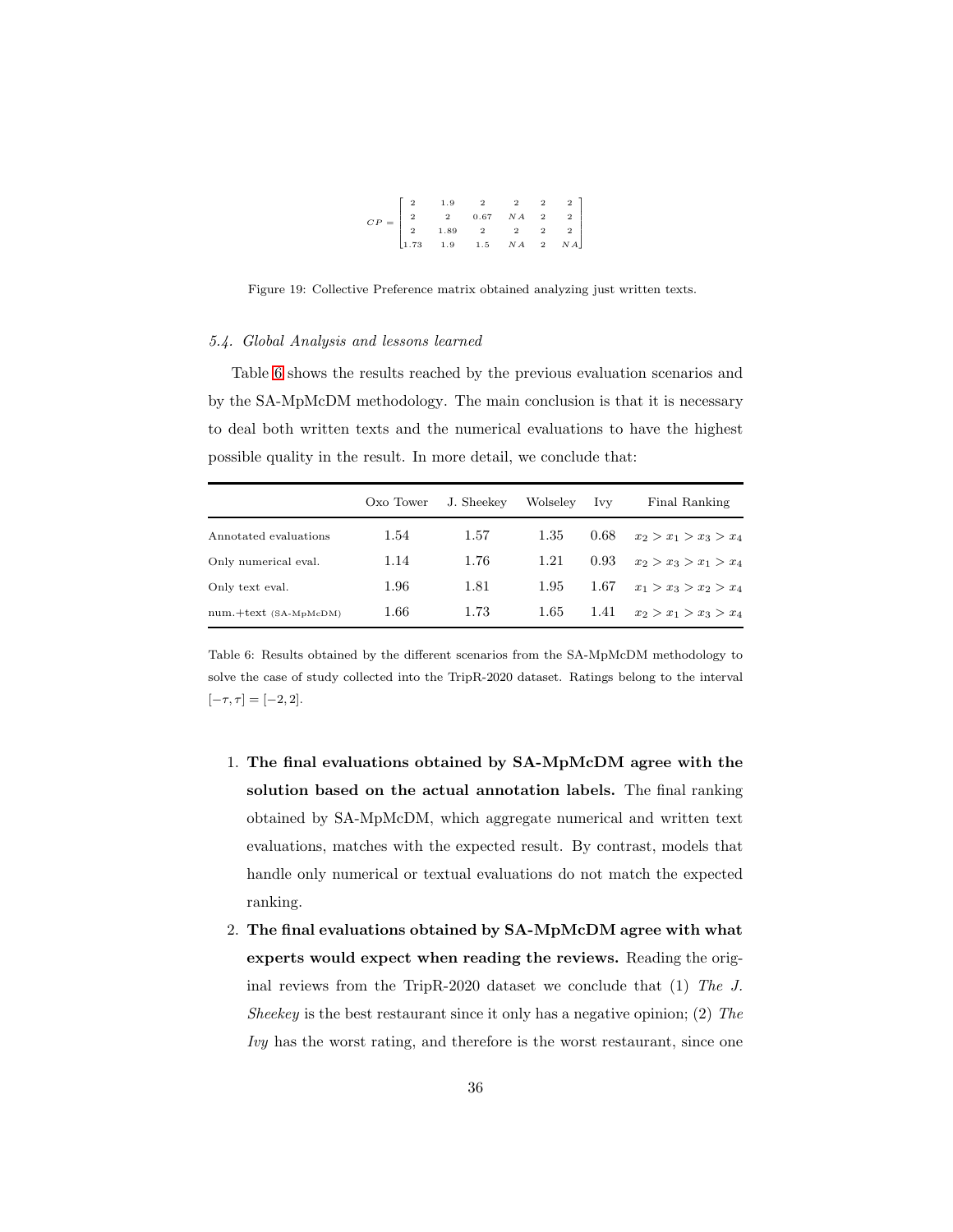| $CP = \begin{bmatrix} 2 & 1.9 & 2 & 2 & 2 & 2 \\ 2 & 2 & 0.67 & NA & 2 & 2 \\ 2 & 1.89 & 2 & 2 & 2 & 2 \\ 1.73 & 1.9 & 1.5 & NA & 2 & NA \end{bmatrix}$ |  |  |  |
|---------------------------------------------------------------------------------------------------------------------------------------------------------|--|--|--|
|                                                                                                                                                         |  |  |  |
|                                                                                                                                                         |  |  |  |

<span id="page-35-1"></span>Figure 19: Collective Preference matrix obtained analyzing just written texts.

## *5.4. Global Analysis and lessons learned*

Table [6](#page-35-0) shows the results reached by the previous evaluation scenarios and by the SA-MpMcDM methodology. The main conclusion is that it is necessary to deal both written texts and the numerical evaluations to have the highest possible quality in the result. In more detail, we conclude that:

<span id="page-35-0"></span>

|                         | Oxo Tower | J. Sheekey | Wolseley | Ivv  | Final Ranking           |
|-------------------------|-----------|------------|----------|------|-------------------------|
| Annotated evaluations   | 1.54      | 1.57       | 1.35     | 0.68 | $x_2 > x_1 > x_3 > x_4$ |
| Only numerical eval.    | 1.14      | 1.76       | 1.21     | 0.93 | $x_2 > x_3 > x_1 > x_4$ |
| Only text eval.         | 1.96      | 1.81       | 1.95     | 1.67 | $x_1 > x_3 > x_2 > x_4$ |
| $num.+text$ (SA-MpMcDM) | $1.66\,$  | 1.73       | 1.65     | 1.41 | $x_2 > x_1 > x_3 > x_4$ |

Table 6: Results obtained by the different scenarios from the SA-MpMcDM methodology to solve the case of study collected into the TripR-2020 dataset. Ratings belong to the interval  $[-\tau, \tau] = [-2, 2].$ 

- 1. The final evaluations obtained by SA-MpMcDM agree with the solution based on the actual annotation labels. The final ranking obtained by SA-MpMcDM, which aggregate numerical and written text evaluations, matches with the expected result. By contrast, models that handle only numerical or textual evaluations do not match the expected ranking.
- 2. The final evaluations obtained by SA-MpMcDM agree with what experts would expect when reading the reviews. Reading the original reviews from the TripR-2020 dataset we conclude that (1) *The J. Sheekey* is the best restaurant since it only has a negative opinion; (2) *The Ivy* has the worst rating, and therefore is the worst restaurant, since one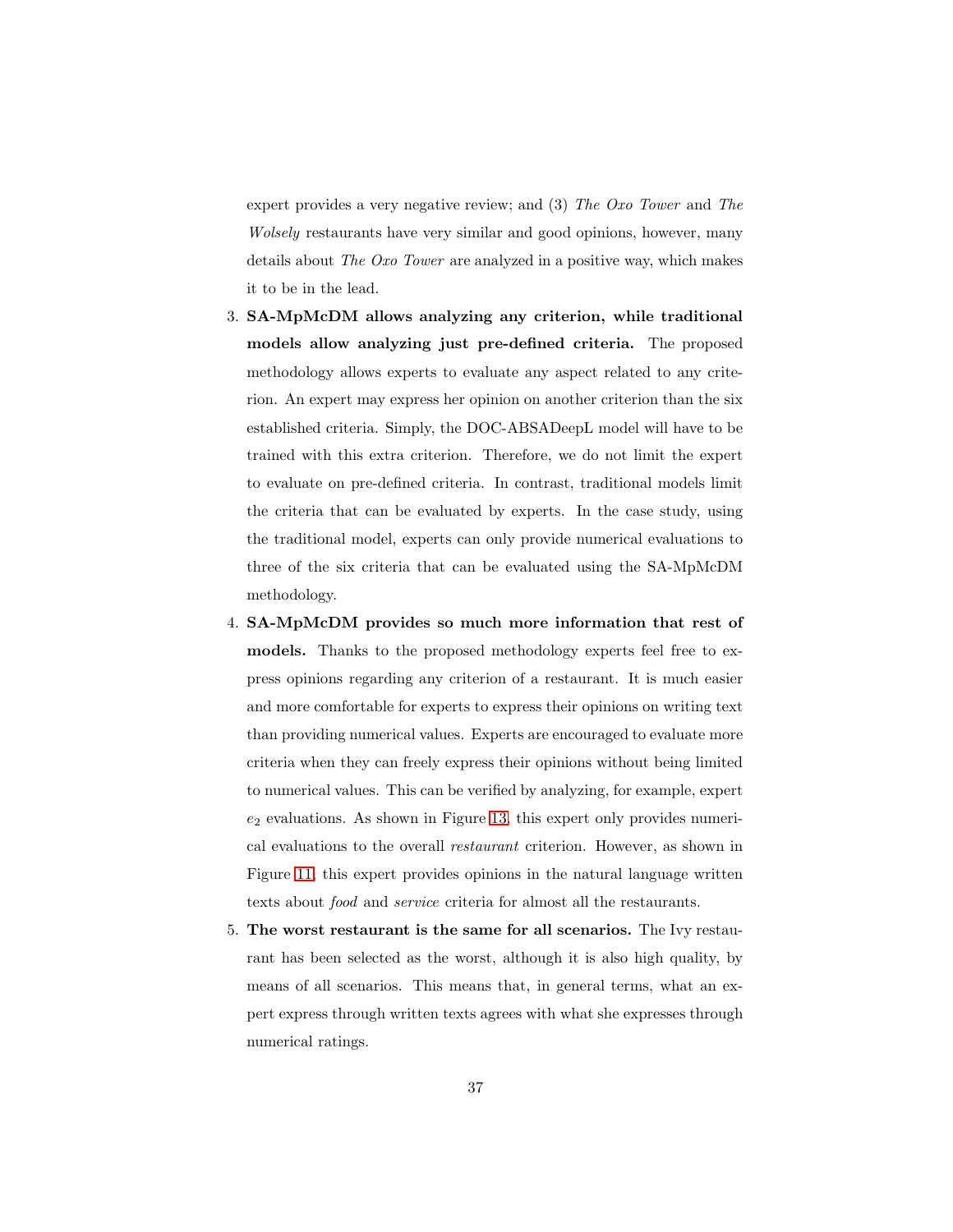expert provides a very negative review; and (3) *The Oxo Tower* and *The Wolsely* restaurants have very similar and good opinions, however, many details about *The Oxo Tower* are analyzed in a positive way, which makes it to be in the lead.

- 3. SA-MpMcDM allows analyzing any criterion, while traditional models allow analyzing just pre-defined criteria. The proposed methodology allows experts to evaluate any aspect related to any criterion. An expert may express her opinion on another criterion than the six established criteria. Simply, the DOC-ABSADeepL model will have to be trained with this extra criterion. Therefore, we do not limit the expert to evaluate on pre-defined criteria. In contrast, traditional models limit the criteria that can be evaluated by experts. In the case study, using the traditional model, experts can only provide numerical evaluations to three of the six criteria that can be evaluated using the SA-MpMcDM methodology.
- 4. SA-MpMcDM provides so much more information that rest of models. Thanks to the proposed methodology experts feel free to express opinions regarding any criterion of a restaurant. It is much easier and more comfortable for experts to express their opinions on writing text than providing numerical values. Experts are encouraged to evaluate more criteria when they can freely express their opinions without being limited to numerical values. This can be verified by analyzing, for example, expert  $e<sub>2</sub>$  evaluations. As shown in Figure [13,](#page-29-0) this expert only provides numerical evaluations to the overall *restaurant* criterion. However, as shown in Figure [11,](#page-27-1) this expert provides opinions in the natural language written texts about *food* and *service* criteria for almost all the restaurants.
- 5. The worst restaurant is the same for all scenarios. The Ivy restaurant has been selected as the worst, although it is also high quality, by means of all scenarios. This means that, in general terms, what an expert express through written texts agrees with what she expresses through numerical ratings.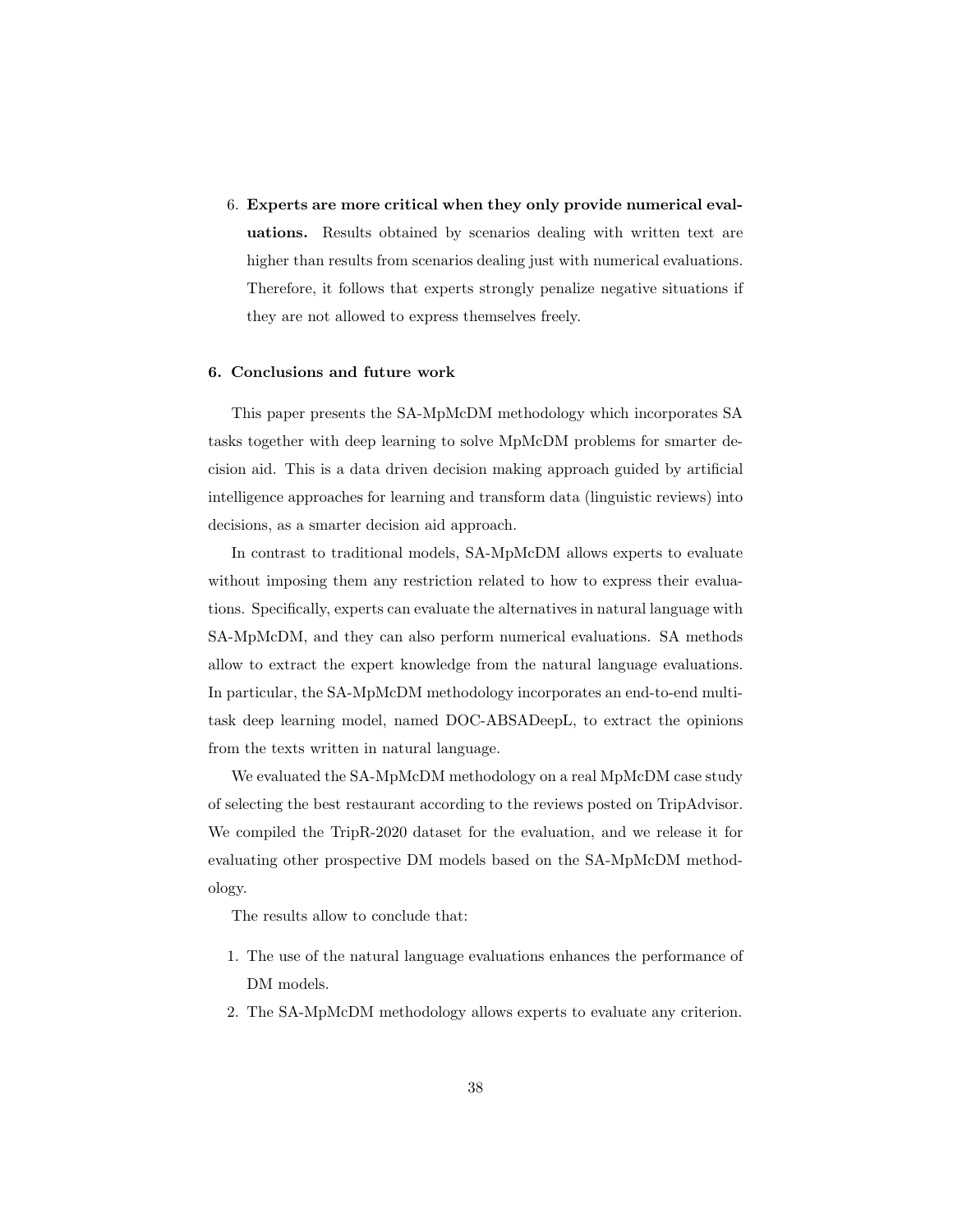6. Experts are more critical when they only provide numerical evaluations. Results obtained by scenarios dealing with written text are higher than results from scenarios dealing just with numerical evaluations. Therefore, it follows that experts strongly penalize negative situations if they are not allowed to express themselves freely.

## <span id="page-37-0"></span>6. Conclusions and future work

This paper presents the SA-MpMcDM methodology which incorporates SA tasks together with deep learning to solve MpMcDM problems for smarter decision aid. This is a data driven decision making approach guided by artificial intelligence approaches for learning and transform data (linguistic reviews) into decisions, as a smarter decision aid approach.

In contrast to traditional models, SA-MpMcDM allows experts to evaluate without imposing them any restriction related to how to express their evaluations. Specifically, experts can evaluate the alternatives in natural language with SA-MpMcDM, and they can also perform numerical evaluations. SA methods allow to extract the expert knowledge from the natural language evaluations. In particular, the SA-MpMcDM methodology incorporates an end-to-end multitask deep learning model, named DOC-ABSADeepL, to extract the opinions from the texts written in natural language.

We evaluated the SA-MpMcDM methodology on a real MpMcDM case study of selecting the best restaurant according to the reviews posted on TripAdvisor. We compiled the TripR-2020 dataset for the evaluation, and we release it for evaluating other prospective DM models based on the SA-MpMcDM methodology.

The results allow to conclude that:

- 1. The use of the natural language evaluations enhances the performance of DM models.
- 2. The SA-MpMcDM methodology allows experts to evaluate any criterion.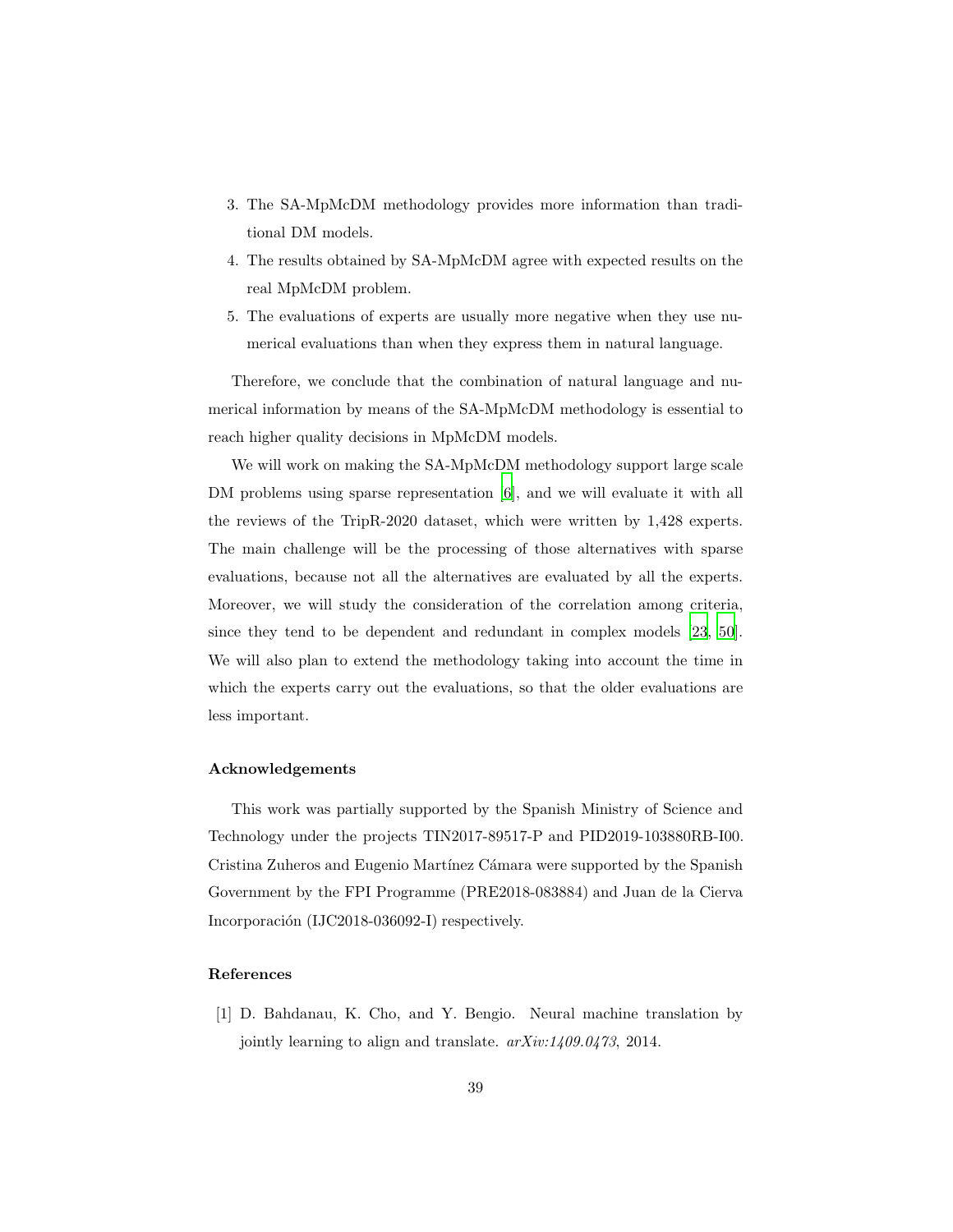- 3. The SA-MpMcDM methodology provides more information than traditional DM models.
- 4. The results obtained by SA-MpMcDM agree with expected results on the real MpMcDM problem.
- 5. The evaluations of experts are usually more negative when they use numerical evaluations than when they express them in natural language.

Therefore, we conclude that the combination of natural language and numerical information by means of the SA-MpMcDM methodology is essential to reach higher quality decisions in MpMcDM models.

We will work on making the SA-MpMcDM methodology support large scale DM problems using sparse representation [\[6\]](#page-39-7), and we will evaluate it with all the reviews of the TripR-2020 dataset, which were written by 1,428 experts. The main challenge will be the processing of those alternatives with sparse evaluations, because not all the alternatives are evaluated by all the experts. Moreover, we will study the consideration of the correlation among criteria, since they tend to be dependent and redundant in complex models [\[23,](#page-41-7) [50\]](#page-44-4). We will also plan to extend the methodology taking into account the time in which the experts carry out the evaluations, so that the older evaluations are less important.

## Acknowledgements

This work was partially supported by the Spanish Ministry of Science and Technology under the projects TIN2017-89517-P and PID2019-103880RB-I00. Cristina Zuheros and Eugenio Martínez Cámara were supported by the Spanish Government by the FPI Programme (PRE2018-083884) and Juan de la Cierva Incorporación (IJC2018-036092-I) respectively.

## References

<span id="page-38-0"></span>[1] D. Bahdanau, K. Cho, and Y. Bengio. Neural machine translation by jointly learning to align and translate. *arXiv:1409.0473*, 2014.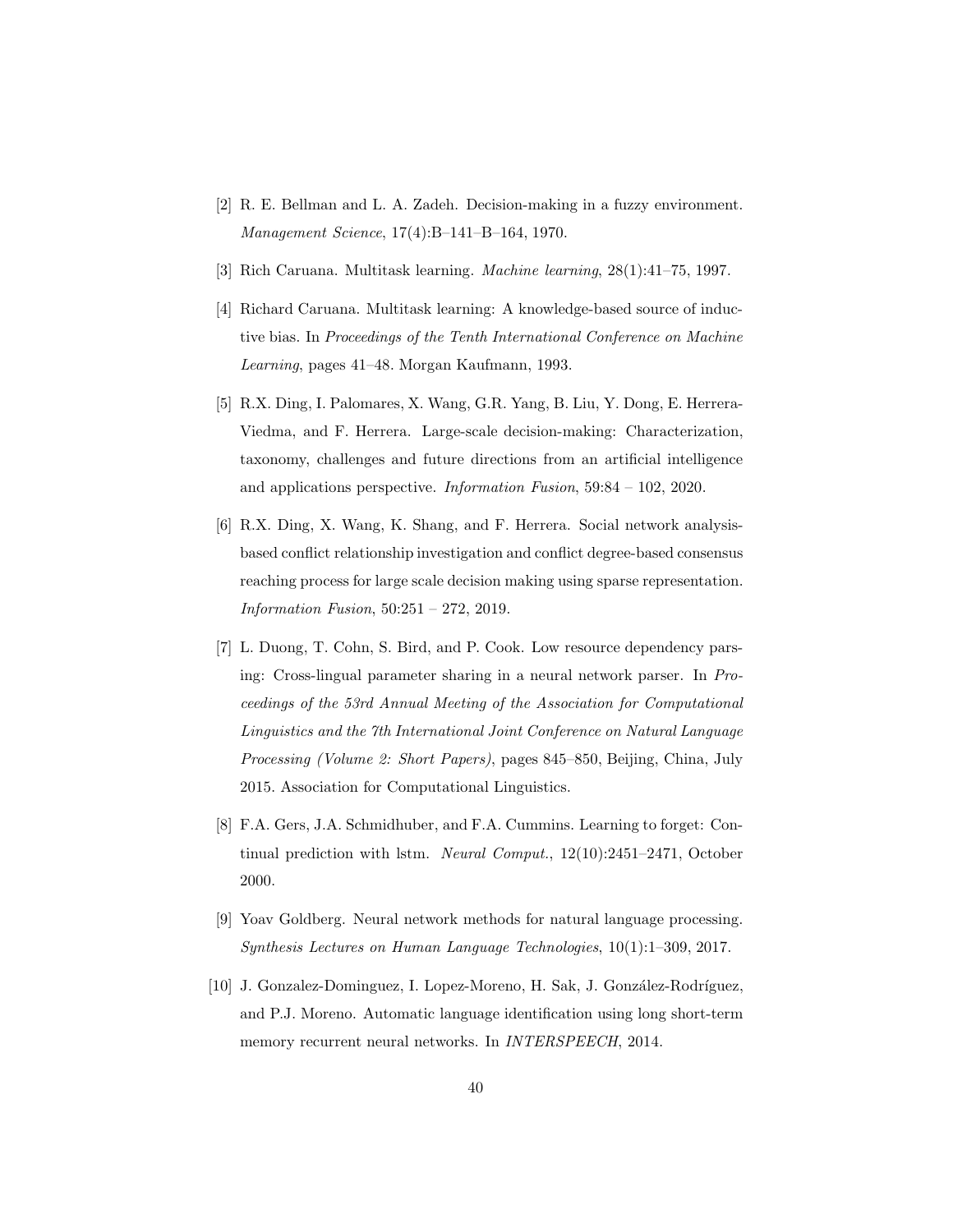- <span id="page-39-0"></span>[2] R. E. Bellman and L. A. Zadeh. Decision-making in a fuzzy environment. *Management Science*, 17(4):B–141–B–164, 1970.
- <span id="page-39-3"></span>[3] Rich Caruana. Multitask learning. *Machine learning*, 28(1):41–75, 1997.
- <span id="page-39-5"></span>[4] Richard Caruana. Multitask learning: A knowledge-based source of inductive bias. In *Proceedings of the Tenth International Conference on Machine Learning*, pages 41–48. Morgan Kaufmann, 1993.
- <span id="page-39-6"></span>[5] R.X. Ding, I. Palomares, X. Wang, G.R. Yang, B. Liu, Y. Dong, E. Herrera-Viedma, and F. Herrera. Large-scale decision-making: Characterization, taxonomy, challenges and future directions from an artificial intelligence and applications perspective. *Information Fusion*, 59:84 – 102, 2020.
- <span id="page-39-7"></span>[6] R.X. Ding, X. Wang, K. Shang, and F. Herrera. Social network analysisbased conflict relationship investigation and conflict degree-based consensus reaching process for large scale decision making using sparse representation. *Information Fusion*, 50:251 – 272, 2019.
- <span id="page-39-4"></span>[7] L. Duong, T. Cohn, S. Bird, and P. Cook. Low resource dependency parsing: Cross-lingual parameter sharing in a neural network parser. In *Proceedings of the 53rd Annual Meeting of the Association for Computational Linguistics and the 7th International Joint Conference on Natural Language Processing (Volume 2: Short Papers)*, pages 845–850, Beijing, China, July 2015. Association for Computational Linguistics.
- [8] F.A. Gers, J.A. Schmidhuber, and F.A. Cummins. Learning to forget: Continual prediction with lstm. *Neural Comput.*, 12(10):2451–2471, October 2000.
- <span id="page-39-1"></span>[9] Yoav Goldberg. Neural network methods for natural language processing. *Synthesis Lectures on Human Language Technologies*, 10(1):1–309, 2017.
- <span id="page-39-2"></span>[10] J. Gonzalez-Dominguez, I. Lopez-Moreno, H. Sak, J. González-Rodríguez, and P.J. Moreno. Automatic language identification using long short-term memory recurrent neural networks. In *INTERSPEECH*, 2014.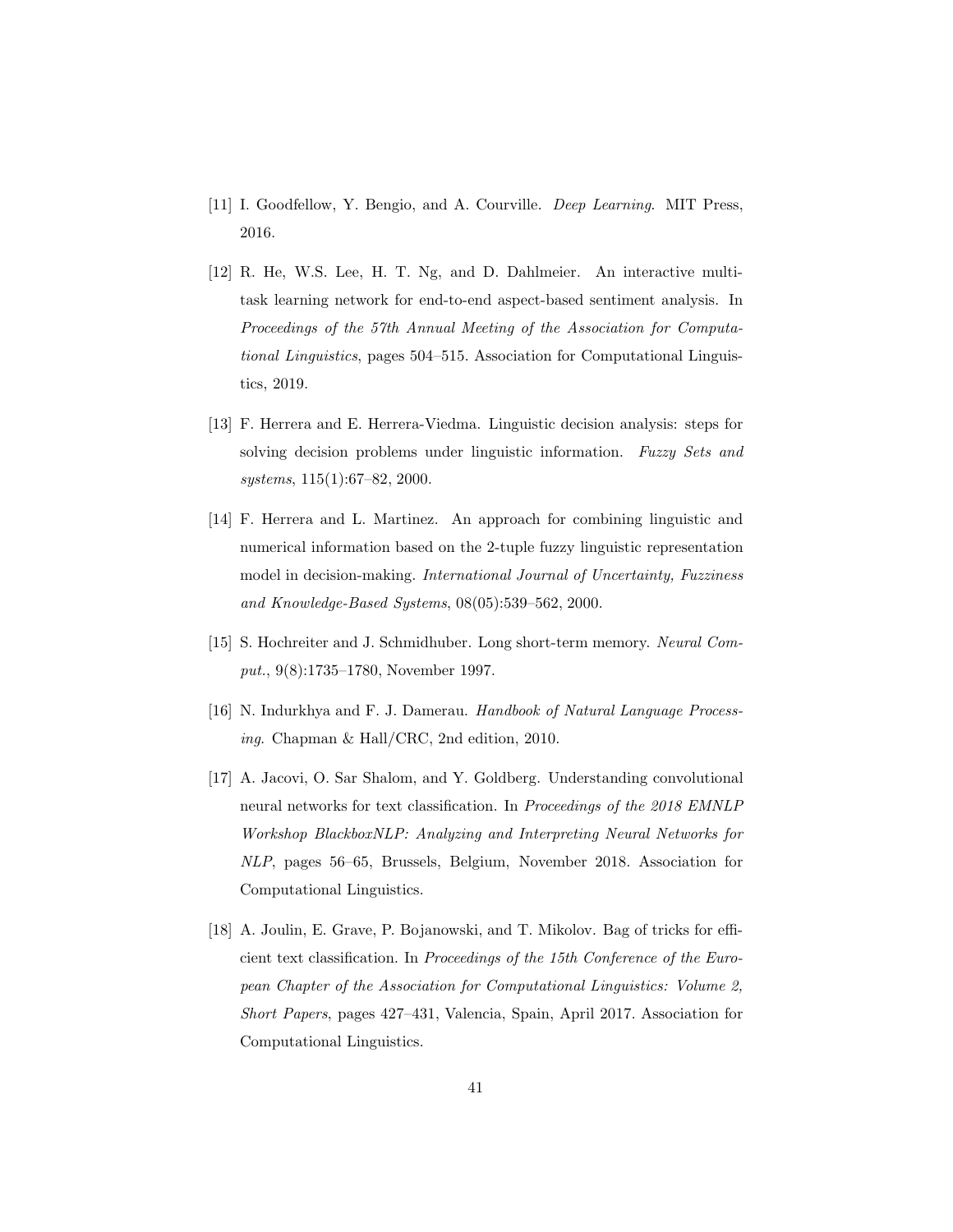- <span id="page-40-3"></span>[11] I. Goodfellow, Y. Bengio, and A. Courville. *Deep Learning*. MIT Press, 2016.
- <span id="page-40-5"></span>[12] R. He, W.S. Lee, H. T. Ng, and D. Dahlmeier. An interactive multitask learning network for end-to-end aspect-based sentiment analysis. In *Proceedings of the 57th Annual Meeting of the Association for Computational Linguistics*, pages 504–515. Association for Computational Linguistics, 2019.
- <span id="page-40-0"></span>[13] F. Herrera and E. Herrera-Viedma. Linguistic decision analysis: steps for solving decision problems under linguistic information. *Fuzzy Sets and systems*, 115(1):67–82, 2000.
- <span id="page-40-2"></span>[14] F. Herrera and L. Martinez. An approach for combining linguistic and numerical information based on the 2-tuple fuzzy linguistic representation model in decision-making. *International Journal of Uncertainty, Fuzziness and Knowledge-Based Systems*, 08(05):539–562, 2000.
- [15] S. Hochreiter and J. Schmidhuber. Long short-term memory. *Neural Comput.*, 9(8):1735–1780, November 1997.
- <span id="page-40-1"></span>[16] N. Indurkhya and F. J. Damerau. *Handbook of Natural Language Processing*. Chapman & Hall/CRC, 2nd edition, 2010.
- <span id="page-40-4"></span>[17] A. Jacovi, O. Sar Shalom, and Y. Goldberg. Understanding convolutional neural networks for text classification. In *Proceedings of the 2018 EMNLP Workshop BlackboxNLP: Analyzing and Interpreting Neural Networks for NLP*, pages 56–65, Brussels, Belgium, November 2018. Association for Computational Linguistics.
- <span id="page-40-6"></span>[18] A. Joulin, E. Grave, P. Bojanowski, and T. Mikolov. Bag of tricks for efficient text classification. In *Proceedings of the 15th Conference of the European Chapter of the Association for Computational Linguistics: Volume 2, Short Papers*, pages 427–431, Valencia, Spain, April 2017. Association for Computational Linguistics.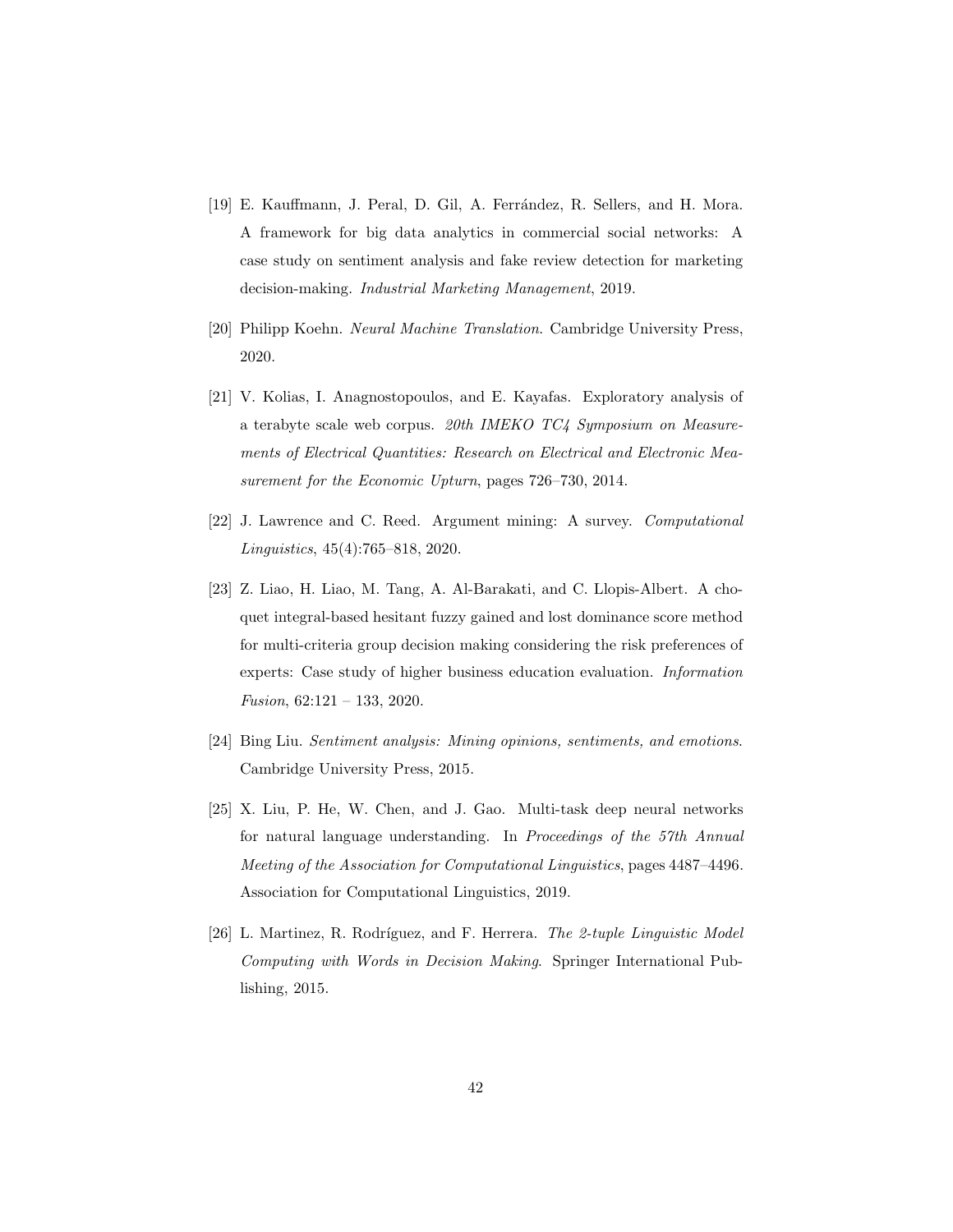- <span id="page-41-4"></span>[19] E. Kauffmann, J. Peral, D. Gil, A. Ferrández, R. Sellers, and H. Mora. A framework for big data analytics in commercial social networks: A case study on sentiment analysis and fake review detection for marketing decision-making. *Industrial Marketing Management*, 2019.
- <span id="page-41-0"></span>[20] Philipp Koehn. *Neural Machine Translation*. Cambridge University Press, 2020.
- <span id="page-41-6"></span>[21] V. Kolias, I. Anagnostopoulos, and E. Kayafas. Exploratory analysis of a terabyte scale web corpus. *20th IMEKO TC4 Symposium on Measurements of Electrical Quantities: Research on Electrical and Electronic Measurement for the Economic Upturn*, pages 726–730, 2014.
- <span id="page-41-1"></span>[22] J. Lawrence and C. Reed. Argument mining: A survey. *Computational Linguistics*, 45(4):765–818, 2020.
- <span id="page-41-7"></span>[23] Z. Liao, H. Liao, M. Tang, A. Al-Barakati, and C. Llopis-Albert. A choquet integral-based hesitant fuzzy gained and lost dominance score method for multi-criteria group decision making considering the risk preferences of experts: Case study of higher business education evaluation. *Information Fusion*, 62:121 – 133, 2020.
- <span id="page-41-3"></span>[24] Bing Liu. *Sentiment analysis: Mining opinions, sentiments, and emotions*. Cambridge University Press, 2015.
- <span id="page-41-5"></span>[25] X. Liu, P. He, W. Chen, and J. Gao. Multi-task deep neural networks for natural language understanding. In *Proceedings of the 57th Annual Meeting of the Association for Computational Linguistics*, pages 4487–4496. Association for Computational Linguistics, 2019.
- <span id="page-41-2"></span>[26] L. Martinez, R. Rodríguez, and F. Herrera. *The 2-tuple Linguistic Model Computing with Words in Decision Making*. Springer International Publishing, 2015.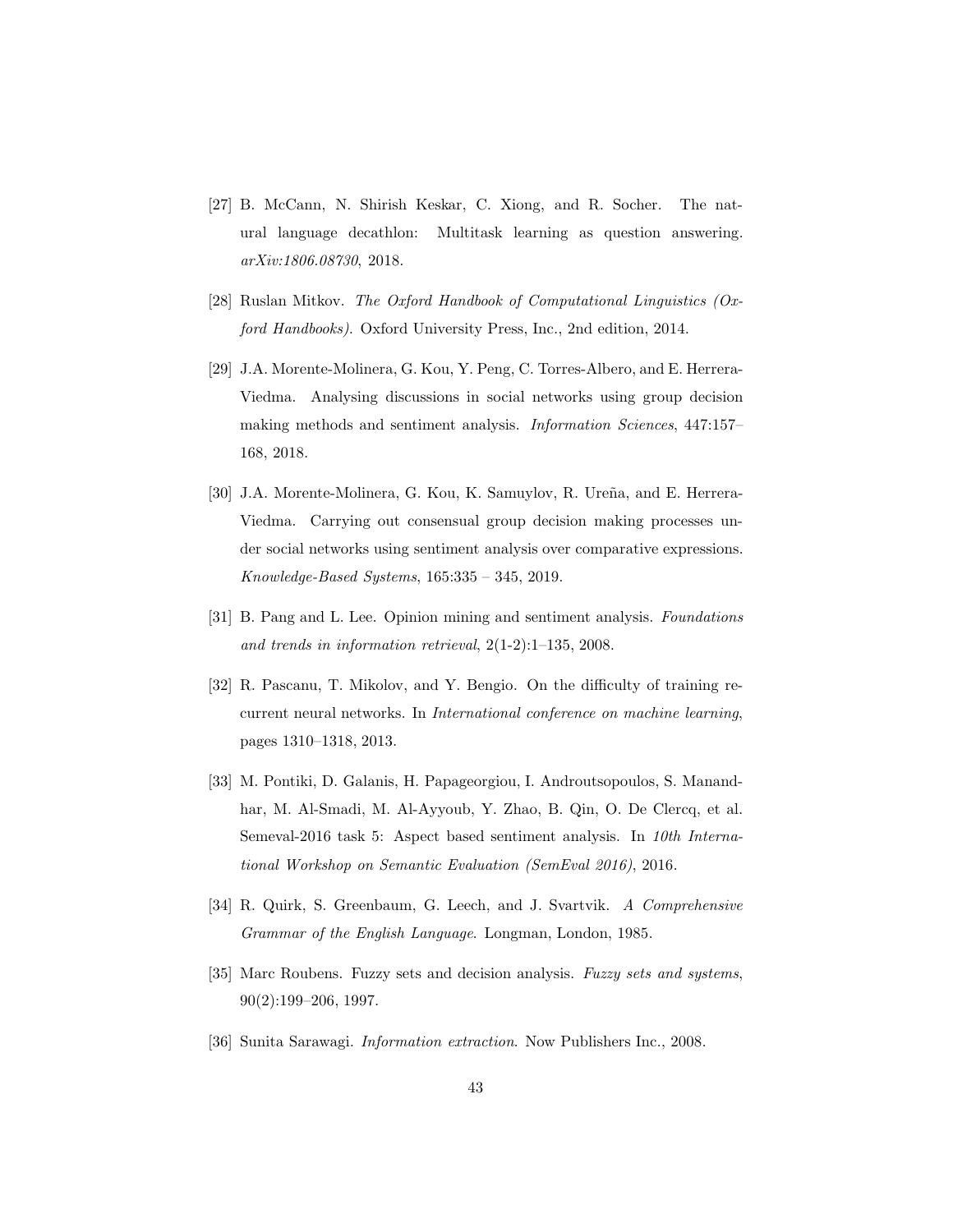- <span id="page-42-8"></span>[27] B. McCann, N. Shirish Keskar, C. Xiong, and R. Socher. The natural language decathlon: Multitask learning as question answering. *arXiv:1806.08730*, 2018.
- <span id="page-42-1"></span>[28] Ruslan Mitkov. *The Oxford Handbook of Computational Linguistics (Oxford Handbooks)*. Oxford University Press, Inc., 2nd edition, 2014.
- <span id="page-42-5"></span>[29] J.A. Morente-Molinera, G. Kou, Y. Peng, C. Torres-Albero, and E. Herrera-Viedma. Analysing discussions in social networks using group decision making methods and sentiment analysis. *Information Sciences*, 447:157– 168, 2018.
- <span id="page-42-6"></span>[30] J.A. Morente-Molinera, G. Kou, K. Samuylov, R. Ureña, and E. Herrera-Viedma. Carrying out consensual group decision making processes under social networks using sentiment analysis over comparative expressions. *Knowledge-Based Systems*, 165:335 – 345, 2019.
- <span id="page-42-4"></span>[31] B. Pang and L. Lee. Opinion mining and sentiment analysis. *Foundations and trends in information retrieval*, 2(1-2):1–135, 2008.
- <span id="page-42-7"></span>[32] R. Pascanu, T. Mikolov, and Y. Bengio. On the difficulty of training recurrent neural networks. In *International conference on machine learning*, pages 1310–1318, 2013.
- <span id="page-42-9"></span>[33] M. Pontiki, D. Galanis, H. Papageorgiou, I. Androutsopoulos, S. Manandhar, M. Al-Smadi, M. Al-Ayyoub, Y. Zhao, B. Qin, O. De Clercq, et al. Semeval-2016 task 5: Aspect based sentiment analysis. In *10th International Workshop on Semantic Evaluation (SemEval 2016)*, 2016.
- <span id="page-42-3"></span>[34] R. Quirk, S. Greenbaum, G. Leech, and J. Svartvik. *A Comprehensive Grammar of the English Language*. Longman, London, 1985.
- <span id="page-42-0"></span>[35] Marc Roubens. Fuzzy sets and decision analysis. *Fuzzy sets and systems*, 90(2):199–206, 1997.
- <span id="page-42-2"></span>[36] Sunita Sarawagi. *Information extraction*. Now Publishers Inc., 2008.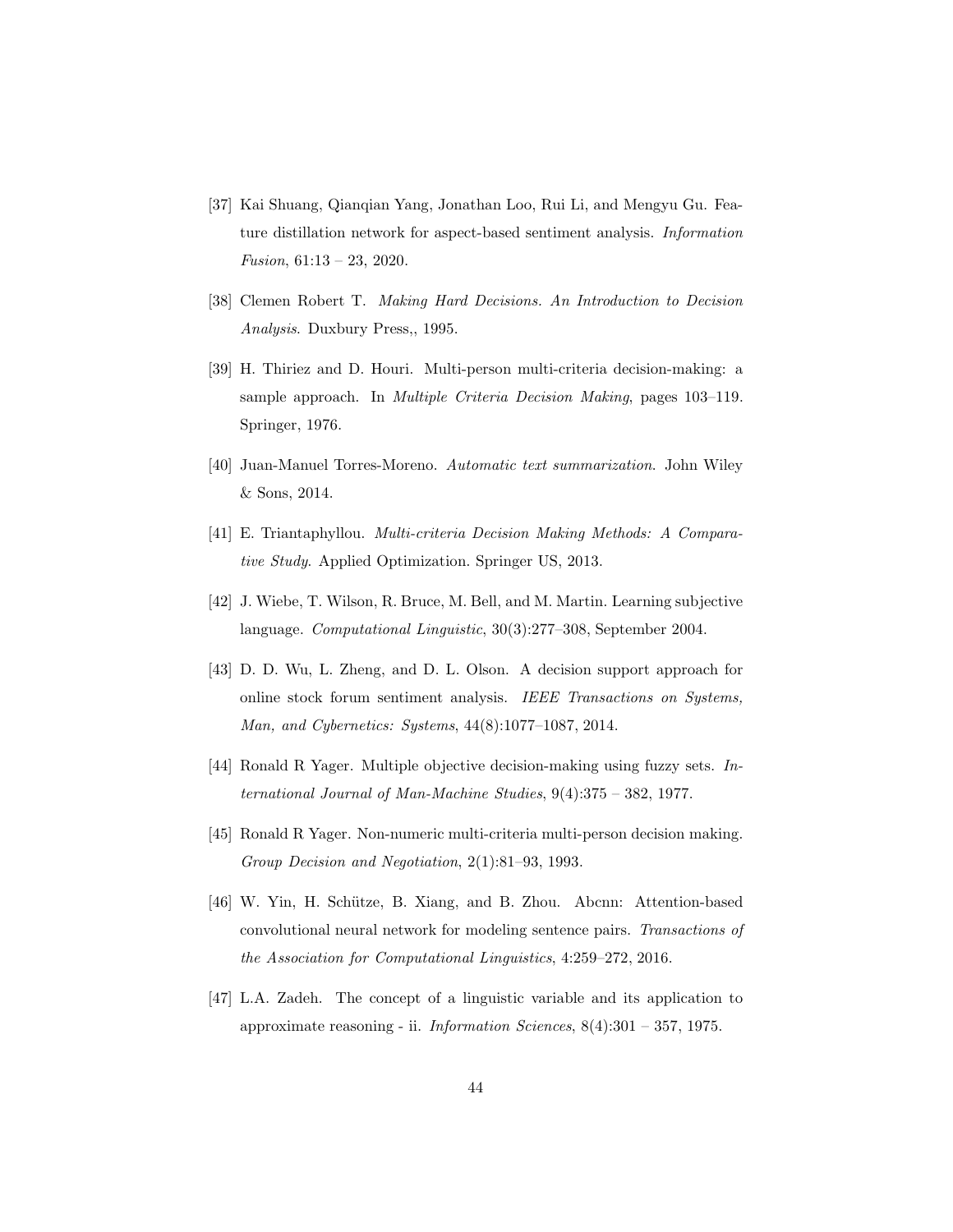- <span id="page-43-10"></span>[37] Kai Shuang, Qianqian Yang, Jonathan Loo, Rui Li, and Mengyu Gu. Feature distillation network for aspect-based sentiment analysis. *Information Fusion*, 61:13 – 23, 2020.
- <span id="page-43-4"></span>[38] Clemen Robert T. *Making Hard Decisions. An Introduction to Decision Analysis*. Duxbury Press,, 1995.
- <span id="page-43-5"></span>[39] H. Thiriez and D. Houri. Multi-person multi-criteria decision-making: a sample approach. In *Multiple Criteria Decision Making*, pages 103–119. Springer, 1976.
- <span id="page-43-1"></span>[40] Juan-Manuel Torres-Moreno. *Automatic text summarization*. John Wiley & Sons, 2014.
- <span id="page-43-3"></span>[41] E. Triantaphyllou. *Multi-criteria Decision Making Methods: A Comparative Study*. Applied Optimization. Springer US, 2013.
- <span id="page-43-2"></span>[42] J. Wiebe, T. Wilson, R. Bruce, M. Bell, and M. Martin. Learning subjective language. *Computational Linguistic*, 30(3):277–308, September 2004.
- <span id="page-43-8"></span>[43] D. D. Wu, L. Zheng, and D. L. Olson. A decision support approach for online stock forum sentiment analysis. *IEEE Transactions on Systems, Man, and Cybernetics: Systems*, 44(8):1077–1087, 2014.
- <span id="page-43-7"></span>[44] Ronald R Yager. Multiple objective decision-making using fuzzy sets. *International Journal of Man-Machine Studies*, 9(4):375 – 382, 1977.
- <span id="page-43-0"></span>[45] Ronald R Yager. Non-numeric multi-criteria multi-person decision making. *Group Decision and Negotiation*, 2(1):81–93, 1993.
- <span id="page-43-9"></span>[46] W. Yin, H. Schütze, B. Xiang, and B. Zhou. Abcnn: Attention-based convolutional neural network for modeling sentence pairs. *Transactions of the Association for Computational Linguistics*, 4:259–272, 2016.
- <span id="page-43-6"></span>[47] L.A. Zadeh. The concept of a linguistic variable and its application to approximate reasoning - ii. *Information Sciences*, 8(4):301 – 357, 1975.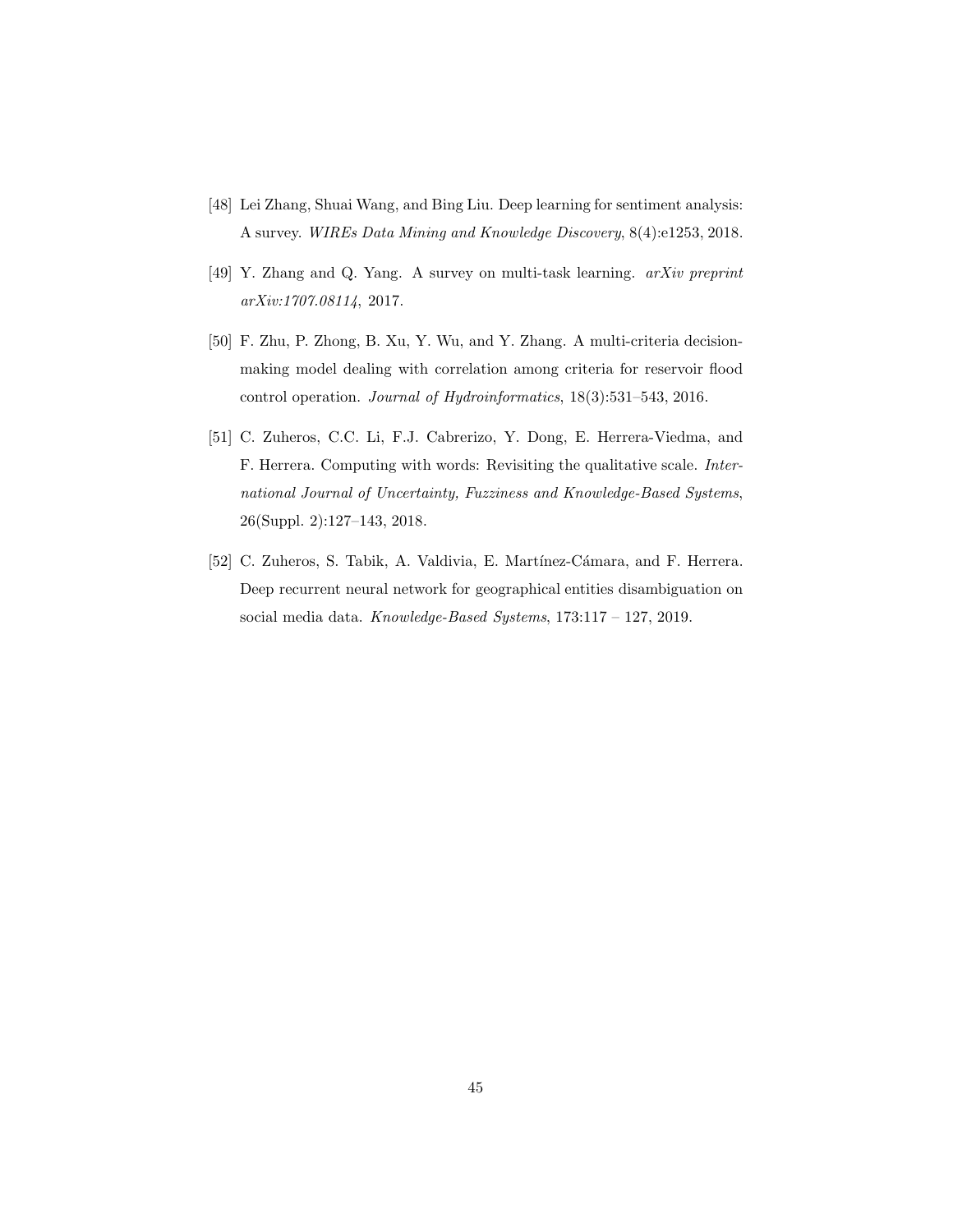- <span id="page-44-0"></span>[48] Lei Zhang, Shuai Wang, and Bing Liu. Deep learning for sentiment analysis: A survey. *WIREs Data Mining and Knowledge Discovery*, 8(4):e1253, 2018.
- <span id="page-44-3"></span>[49] Y. Zhang and Q. Yang. A survey on multi-task learning. *arXiv preprint arXiv:1707.08114*, 2017.
- <span id="page-44-4"></span>[50] F. Zhu, P. Zhong, B. Xu, Y. Wu, and Y. Zhang. A multi-criteria decisionmaking model dealing with correlation among criteria for reservoir flood control operation. *Journal of Hydroinformatics*, 18(3):531–543, 2016.
- <span id="page-44-1"></span>[51] C. Zuheros, C.C. Li, F.J. Cabrerizo, Y. Dong, E. Herrera-Viedma, and F. Herrera. Computing with words: Revisiting the qualitative scale. *International Journal of Uncertainty, Fuzziness and Knowledge-Based Systems*, 26(Suppl. 2):127–143, 2018.
- <span id="page-44-2"></span>[52] C. Zuheros, S. Tabik, A. Valdivia, E. Martínez-Cámara, and F. Herrera. Deep recurrent neural network for geographical entities disambiguation on social media data. *Knowledge-Based Systems*, 173:117 – 127, 2019.